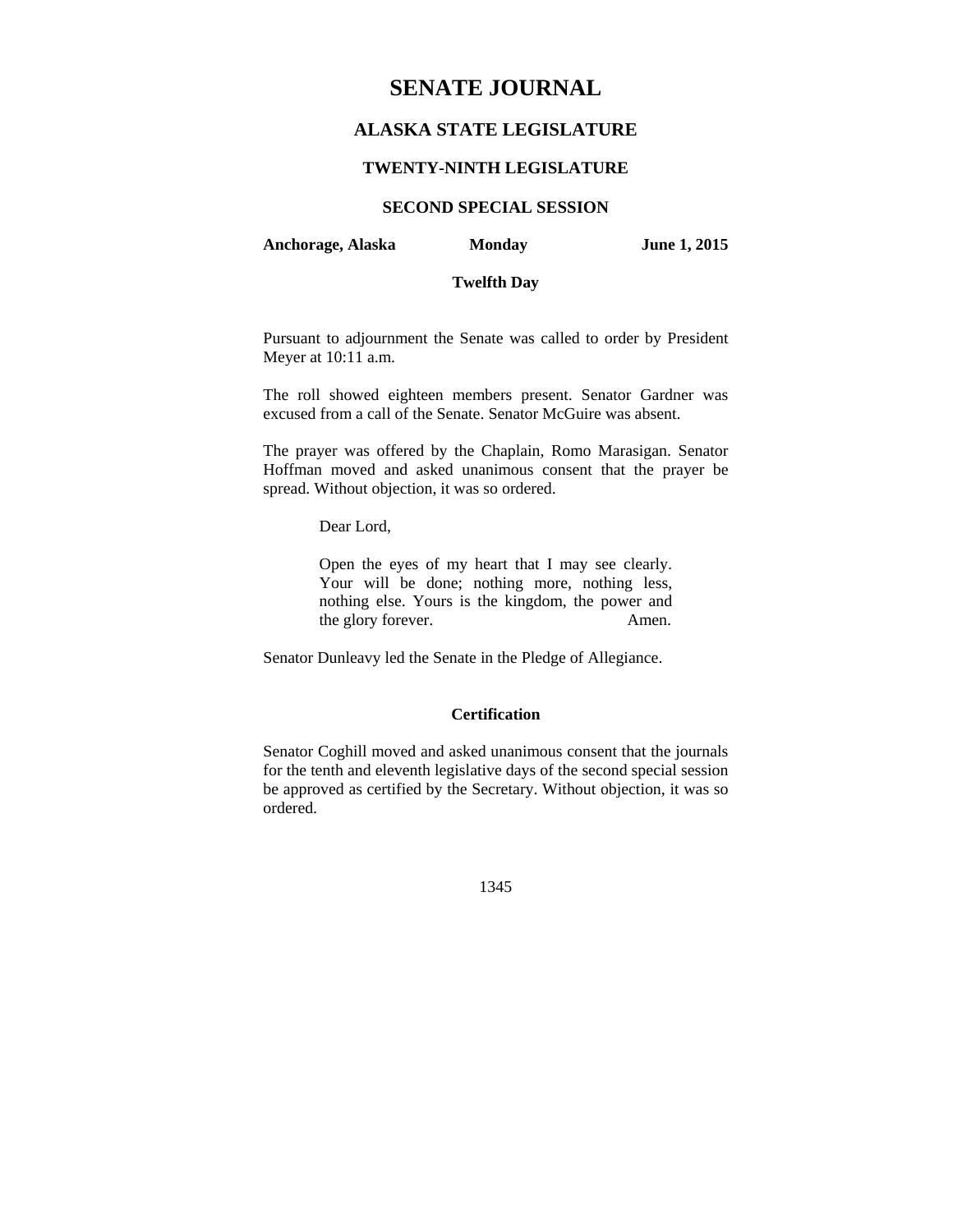# **SENATE JOURNAL**

# **ALASKA STATE LEGISLATURE**

# **TWENTY-NINTH LEGISLATURE**

# **SECOND SPECIAL SESSION**

**Anchorage, Alaska Monday June 1, 2015** 

# **Twelfth Day**

Pursuant to adjournment the Senate was called to order by President Meyer at 10:11 a.m.

The roll showed eighteen members present. Senator Gardner was excused from a call of the Senate. Senator McGuire was absent.

The prayer was offered by the Chaplain, Romo Marasigan. Senator Hoffman moved and asked unanimous consent that the prayer be spread. Without objection, it was so ordered.

Dear Lord,

Open the eyes of my heart that I may see clearly. Your will be done; nothing more, nothing less, nothing else. Yours is the kingdom, the power and the glory forever. Amen.

Senator Dunleavy led the Senate in the Pledge of Allegiance.

# **Certification**

Senator Coghill moved and asked unanimous consent that the journals for the tenth and eleventh legislative days of the second special session be approved as certified by the Secretary. Without objection, it was so ordered.

1345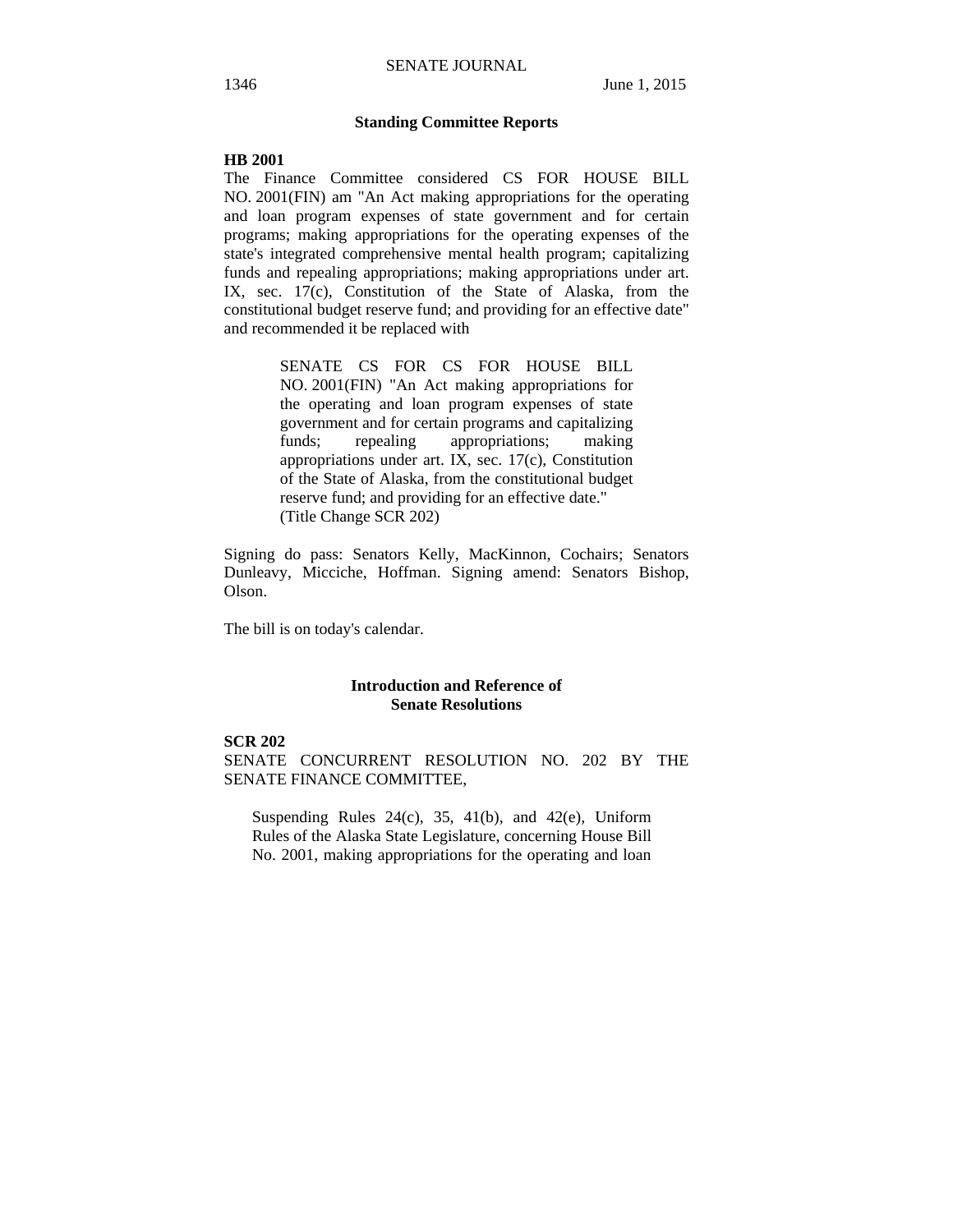## **Standing Committee Reports**

#### **HB 2001**

The Finance Committee considered CS FOR HOUSE BILL NO. 2001(FIN) am "An Act making appropriations for the operating and loan program expenses of state government and for certain programs; making appropriations for the operating expenses of the state's integrated comprehensive mental health program; capitalizing funds and repealing appropriations; making appropriations under art. IX, sec. 17(c), Constitution of the State of Alaska, from the constitutional budget reserve fund; and providing for an effective date" and recommended it be replaced with

> SENATE CS FOR CS FOR HOUSE BILL NO. 2001(FIN) "An Act making appropriations for the operating and loan program expenses of state government and for certain programs and capitalizing funds; repealing appropriations; making appropriations under art. IX, sec. 17(c), Constitution of the State of Alaska, from the constitutional budget reserve fund; and providing for an effective date." (Title Change SCR 202)

Signing do pass: Senators Kelly, MacKinnon, Cochairs; Senators Dunleavy, Micciche, Hoffman. Signing amend: Senators Bishop, Olson.

The bill is on today's calendar.

## **Introduction and Reference of Senate Resolutions**

# **SCR 202**

SENATE CONCURRENT RESOLUTION NO. 202 BY THE SENATE FINANCE COMMITTEE,

Suspending Rules  $24(c)$ ,  $35$ ,  $41(b)$ , and  $42(e)$ , Uniform Rules of the Alaska State Legislature, concerning House Bill No. 2001, making appropriations for the operating and loan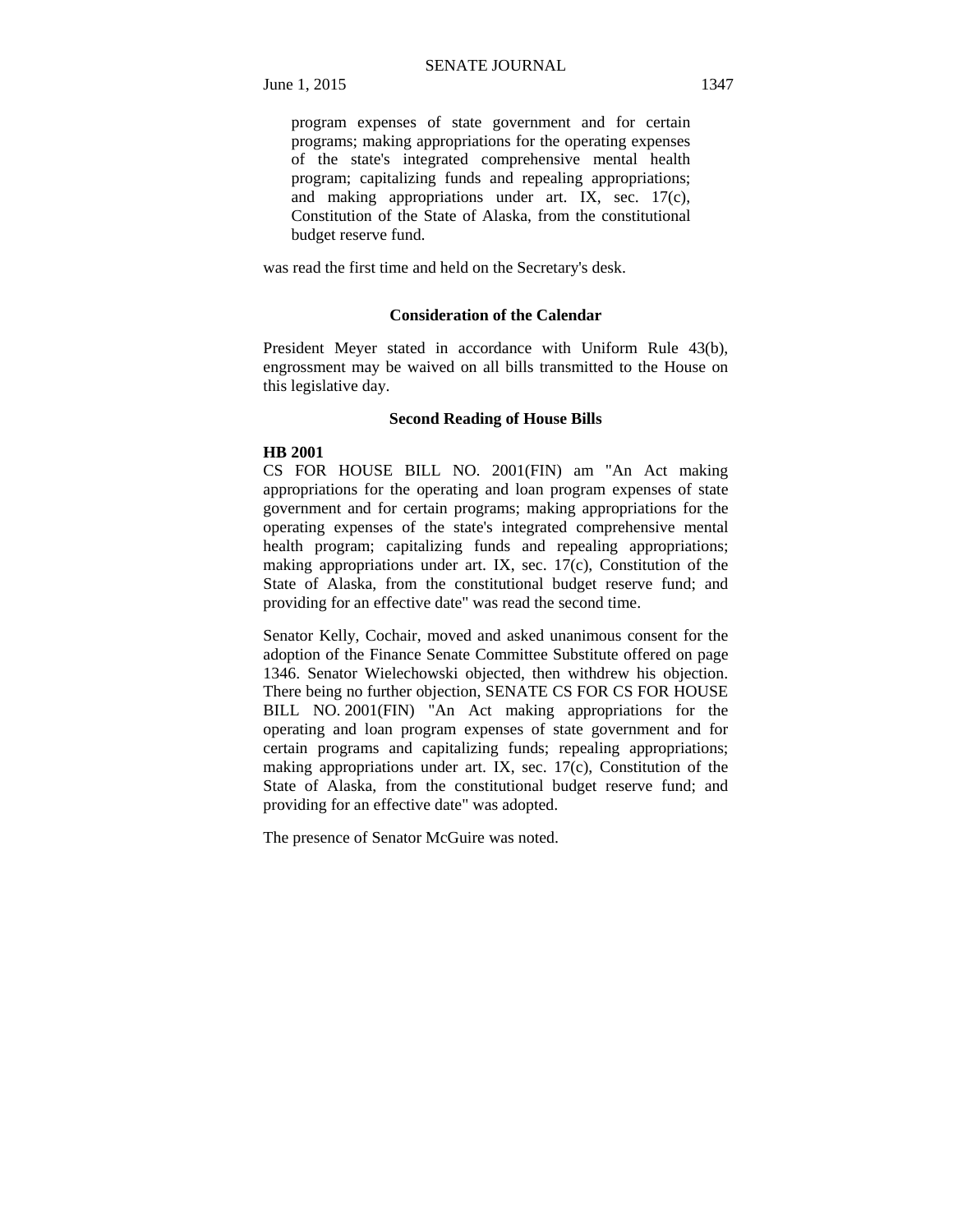program expenses of state government and for certain programs; making appropriations for the operating expenses of the state's integrated comprehensive mental health program; capitalizing funds and repealing appropriations; and making appropriations under art. IX, sec. 17(c), Constitution of the State of Alaska, from the constitutional budget reserve fund.

was read the first time and held on the Secretary's desk.

### **Consideration of the Calendar**

President Meyer stated in accordance with Uniform Rule 43(b), engrossment may be waived on all bills transmitted to the House on this legislative day.

#### **Second Reading of House Bills**

#### **HB 2001**

CS FOR HOUSE BILL NO. 2001(FIN) am "An Act making appropriations for the operating and loan program expenses of state government and for certain programs; making appropriations for the operating expenses of the state's integrated comprehensive mental health program; capitalizing funds and repealing appropriations; making appropriations under art. IX, sec. 17(c), Constitution of the State of Alaska, from the constitutional budget reserve fund; and providing for an effective date" was read the second time.

Senator Kelly, Cochair, moved and asked unanimous consent for the adoption of the Finance Senate Committee Substitute offered on page 1346. Senator Wielechowski objected, then withdrew his objection. There being no further objection, SENATE CS FOR CS FOR HOUSE BILL NO. 2001(FIN) "An Act making appropriations for the operating and loan program expenses of state government and for certain programs and capitalizing funds; repealing appropriations; making appropriations under art. IX, sec. 17(c), Constitution of the State of Alaska, from the constitutional budget reserve fund; and providing for an effective date" was adopted.

The presence of Senator McGuire was noted.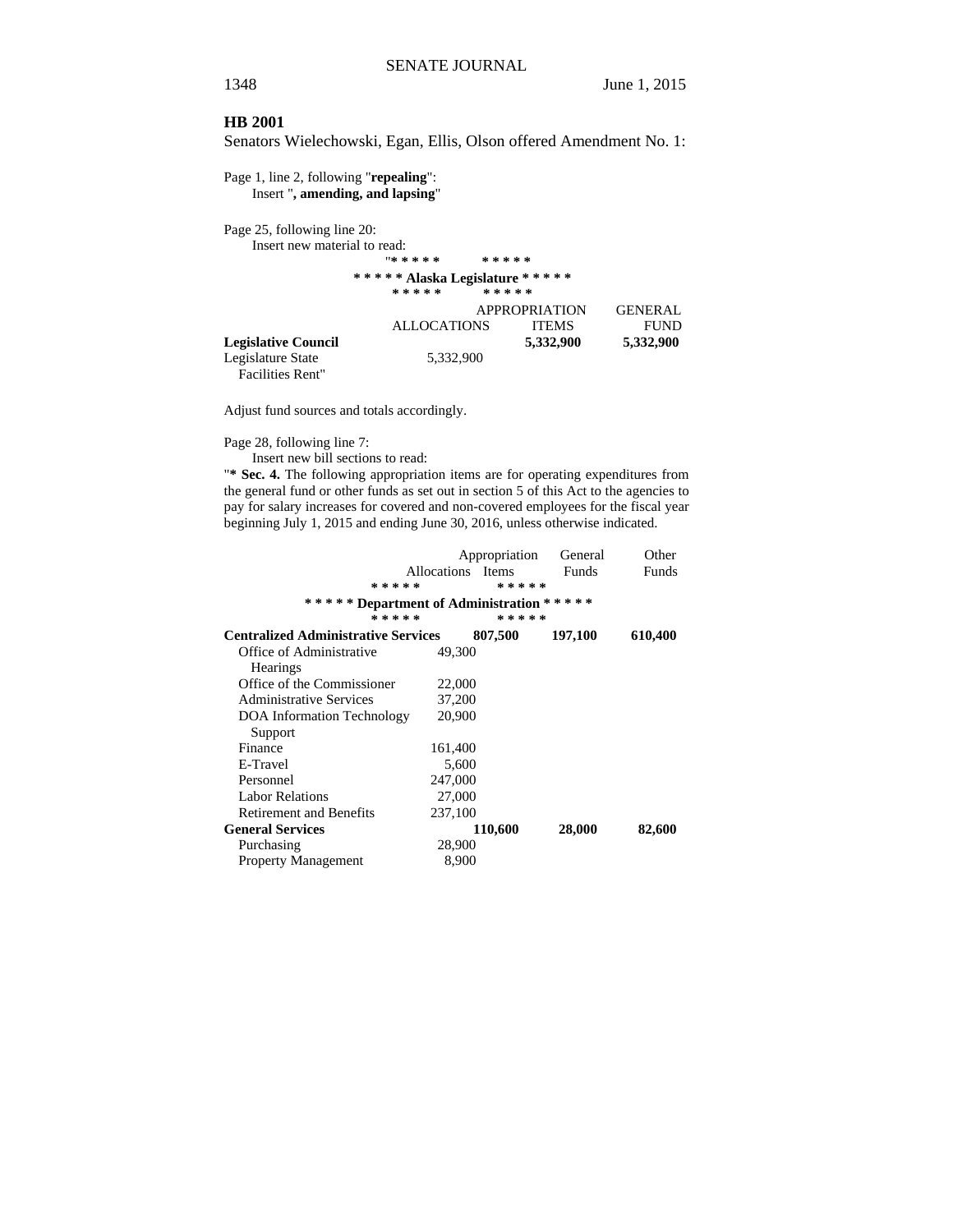#### **HB 2001**

Senators Wielechowski, Egan, Ellis, Olson offered Amendment No. 1:

Page 1, line 2, following "**repealing**": Insert "**, amending, and lapsing**"

Page 25, following line 20:

Insert new material to read: "**\* \* \* \* \* \* \* \* \* \*** 

# **\* \* \* \* \* Alaska Legislature \* \* \* \* \***

|                            | * * * * *          | *****                |                |
|----------------------------|--------------------|----------------------|----------------|
|                            |                    | <b>APPROPRIATION</b> | <b>GENERAL</b> |
|                            | <b>ALLOCATIONS</b> | <b>ITEMS</b>         | <b>FUND</b>    |
| <b>Legislative Council</b> |                    | 5,332,900            | 5,332,900      |
| Legislature State          | 5,332,900          |                      |                |

Facilities Rent"

Adjust fund sources and totals accordingly.

Page 28, following line 7:

Insert new bill sections to read:

"**\* Sec. 4.** The following appropriation items are for operating expenditures from the general fund or other funds as set out in section 5 of this Act to the agencies to pay for salary increases for covered and non-covered employees for the fiscal year beginning July 1, 2015 and ending June 30, 2016, unless otherwise indicated.

|                                            |                   | Appropriation | General   | Other   |
|--------------------------------------------|-------------------|---------------|-----------|---------|
|                                            | Allocations Items |               | Funds     | Funds   |
| * * * * *                                  |                   | * * * * *     |           |         |
| ***** Department of Administration         |                   |               | * * * * * |         |
| * * * * *                                  |                   | *****         |           |         |
| <b>Centralized Administrative Services</b> |                   | 807,500       | 197,100   | 610,400 |
| Office of Administrative                   | 49,300            |               |           |         |
| <b>Hearings</b>                            |                   |               |           |         |
| Office of the Commissioner                 | 22,000            |               |           |         |
| <b>Administrative Services</b>             | 37,200            |               |           |         |
| <b>DOA</b> Information Technology          | 20,900            |               |           |         |
| Support                                    |                   |               |           |         |
| Finance                                    | 161,400           |               |           |         |
| E-Travel                                   | 5,600             |               |           |         |
| Personnel                                  | 247,000           |               |           |         |
| <b>Labor Relations</b>                     | 27,000            |               |           |         |
| <b>Retirement and Benefits</b>             | 237,100           |               |           |         |
| <b>General Services</b>                    |                   | 110,600       | 28,000    | 82,600  |
| Purchasing                                 | 28,900            |               |           |         |
| <b>Property Management</b>                 | 8,900             |               |           |         |
|                                            |                   |               |           |         |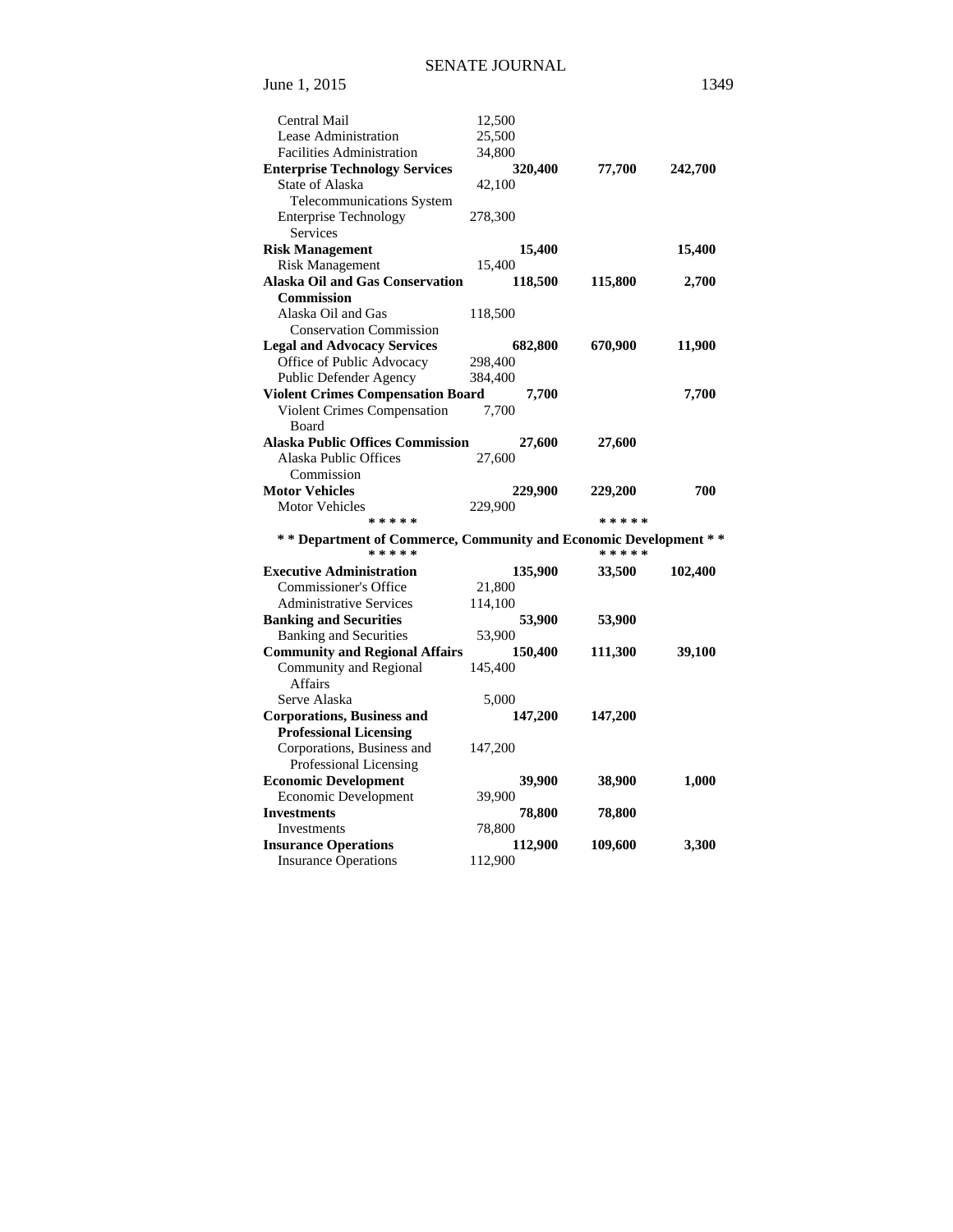| <b>Central Mail</b>                                              | 12,500  |         |           |                |
|------------------------------------------------------------------|---------|---------|-----------|----------------|
| Lease Administration                                             | 25,500  |         |           |                |
| <b>Facilities Administration</b>                                 | 34,800  |         |           |                |
| <b>Enterprise Technology Services</b>                            |         | 320,400 | 77,700    | <b>242,700</b> |
| State of Alaska                                                  | 42,100  |         |           |                |
| Telecommunications System                                        |         |         |           |                |
| <b>Enterprise Technology</b>                                     | 278,300 |         |           |                |
| Services                                                         |         |         |           |                |
| <b>Risk Management</b>                                           |         | 15,400  |           | 15,400         |
| <b>Risk Management</b>                                           | 15,400  |         |           |                |
| <b>Alaska Oil and Gas Conservation</b>                           |         | 118,500 | 115,800   | 2,700          |
| <b>Commission</b>                                                |         |         |           |                |
| Alaska Oil and Gas                                               | 118,500 |         |           |                |
| <b>Conservation Commission</b>                                   |         |         |           |                |
| <b>Legal and Advocacy Services</b>                               |         | 682,800 | 670,900   | 11,900         |
| Office of Public Advocacy                                        | 298,400 |         |           |                |
| Public Defender Agency                                           | 384,400 |         |           |                |
| <b>Violent Crimes Compensation Board</b>                         |         | 7,700   |           | 7,700          |
| Violent Crimes Compensation                                      | 7.700   |         |           |                |
| Board                                                            |         |         |           |                |
| <b>Alaska Public Offices Commission</b>                          |         | 27,600  | 27,600    |                |
| Alaska Public Offices                                            | 27,600  |         |           |                |
| Commission                                                       |         |         |           |                |
| <b>Motor Vehicles</b>                                            |         | 229,900 | 229,200   | 700            |
| <b>Motor Vehicles</b>                                            | 229,900 |         |           |                |
| * * * * *                                                        |         |         | * * * * * |                |
| ** Department of Commerce, Community and Economic Development ** |         |         |           |                |
| * * * * *                                                        |         |         | * * * * * |                |
| <b>Executive Administration</b>                                  |         | 135,900 | 33,500    | 102,400        |
| <b>Commissioner's Office</b>                                     | 21,800  |         |           |                |
| <b>Administrative Services</b>                                   | 114,100 |         |           |                |
| <b>Banking and Securities</b>                                    |         | 53,900  | 53,900    |                |
| <b>Banking and Securities</b>                                    | 53,900  |         |           |                |
| <b>Community and Regional Affairs</b>                            |         | 150,400 | 111,300   | 39,100         |
| Community and Regional                                           | 145,400 |         |           |                |
| <b>Affairs</b>                                                   |         |         |           |                |
| Serve Alaska                                                     | 5,000   |         |           |                |
| <b>Corporations, Business and</b>                                |         | 147,200 | 147,200   |                |
| <b>Professional Licensing</b>                                    |         |         |           |                |
| Corporations, Business and                                       | 147,200 |         |           |                |
| Professional Licensing                                           |         |         |           |                |
| <b>Economic Development</b>                                      |         | 39,900  | 38,900    | 1,000          |
| Economic Development                                             |         |         |           |                |
|                                                                  | 39,900  |         |           |                |
| <b>Investments</b>                                               |         | 78,800  | 78,800    |                |
| Investments                                                      | 78,800  |         |           |                |
| <b>Insurance Operations</b><br><b>Insurance Operations</b>       | 112,900 | 112,900 | 109,600   | 3,300          |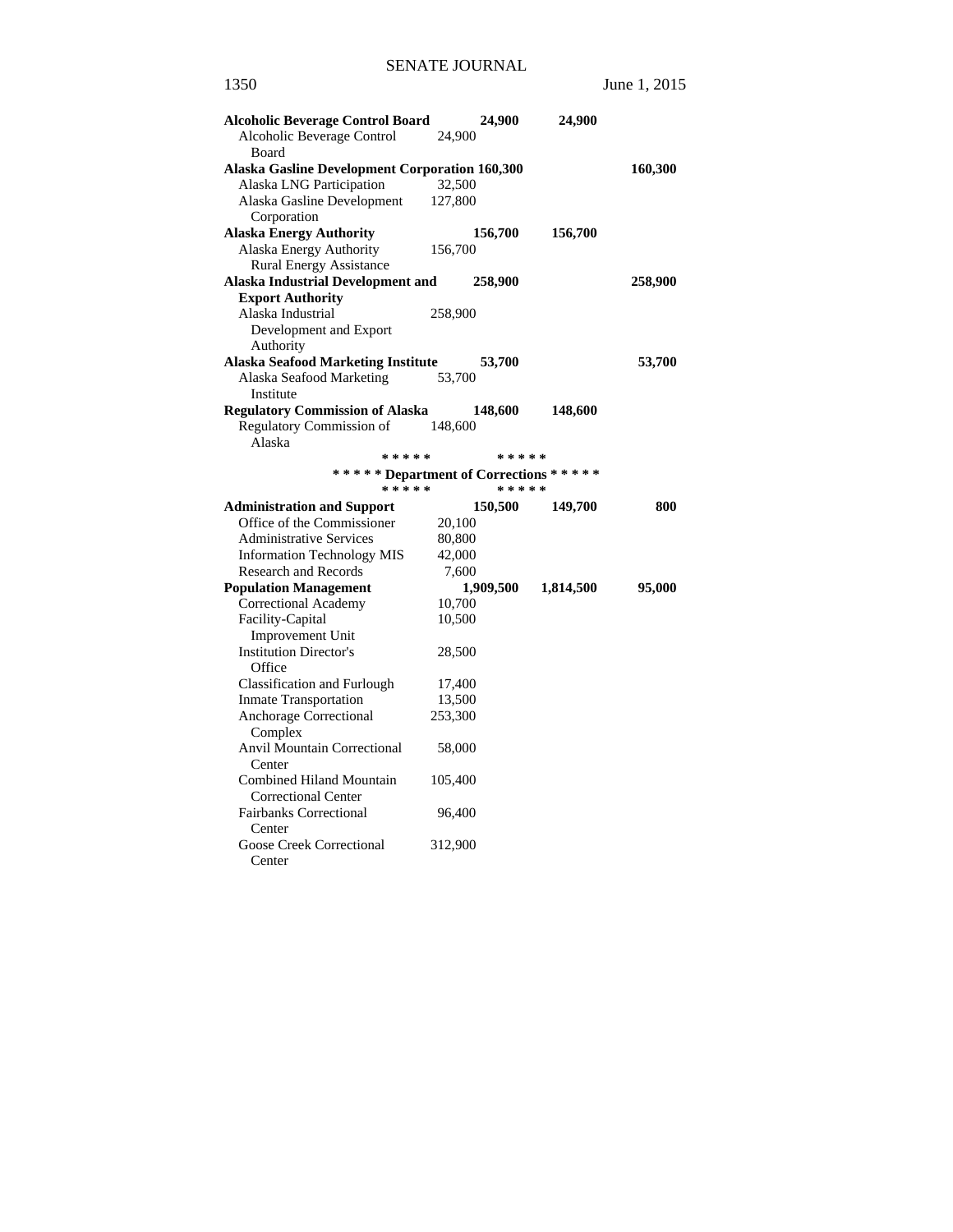| <b>Alcoholic Beverage Control Board</b>                |         | 24,900    | 24,900    |         |
|--------------------------------------------------------|---------|-----------|-----------|---------|
| Alcoholic Beverage Control<br>Board                    | 24,900  |           |           |         |
| <b>Alaska Gasline Development Corporation 160,300</b>  |         |           |           | 160,300 |
| Alaska LNG Participation                               | 32,500  |           |           |         |
| Alaska Gasline Development<br>Corporation              | 127,800 |           |           |         |
| <b>Alaska Energy Authority</b>                         |         | 156,700   | 156,700   |         |
| Alaska Energy Authority                                | 156,700 |           |           |         |
| <b>Rural Energy Assistance</b>                         |         |           |           |         |
| <b>Alaska Industrial Development and</b>               |         | 258,900   |           | 258,900 |
| <b>Export Authority</b>                                |         |           |           |         |
| Alaska Industrial                                      | 258,900 |           |           |         |
| Development and Export                                 |         |           |           |         |
| Authority                                              |         |           |           |         |
| <b>Alaska Seafood Marketing Institute</b>              |         | 53,700    |           | 53,700  |
| Alaska Seafood Marketing                               | 53,700  |           |           |         |
| Institute                                              |         |           |           |         |
| <b>Regulatory Commission of Alaska</b>                 |         | 148,600   | 148,600   |         |
| Regulatory Commission of<br>Alaska                     | 148,600 |           |           |         |
| * * * * *                                              |         | * * * * * |           |         |
| ****** Department of Corrections *****                 |         |           |           |         |
| *****                                                  |         | * * * * * |           |         |
| <b>Administration and Support</b>                      |         | 150,500   | 149,700   | 800     |
| Office of the Commissioner                             | 20,100  |           |           |         |
| <b>Administrative Services</b>                         | 80,800  |           |           |         |
| <b>Information Technology MIS</b>                      | 42,000  |           |           |         |
| <b>Research and Records</b>                            | 7,600   |           |           |         |
| <b>Population Management</b>                           |         | 1,909,500 | 1,814,500 | 95,000  |
| Correctional Academy                                   | 10,700  |           |           |         |
| Facility-Capital                                       | 10,500  |           |           |         |
| Improvement Unit                                       |         |           |           |         |
| <b>Institution Director's</b>                          | 28,500  |           |           |         |
| Office                                                 |         |           |           |         |
| <b>Classification and Furlough</b>                     | 17,400  |           |           |         |
| <b>Inmate Transportation</b>                           | 13,500  |           |           |         |
| Anchorage Correctional<br>Complex                      | 253,300 |           |           |         |
| <b>Anvil Mountain Correctional</b><br>Center           | 58,000  |           |           |         |
| Combined Hiland Mountain<br><b>Correctional Center</b> | 105,400 |           |           |         |
| <b>Fairbanks Correctional</b><br>Center                | 96,400  |           |           |         |
| <b>Goose Creek Correctional</b><br>Center              | 312,900 |           |           |         |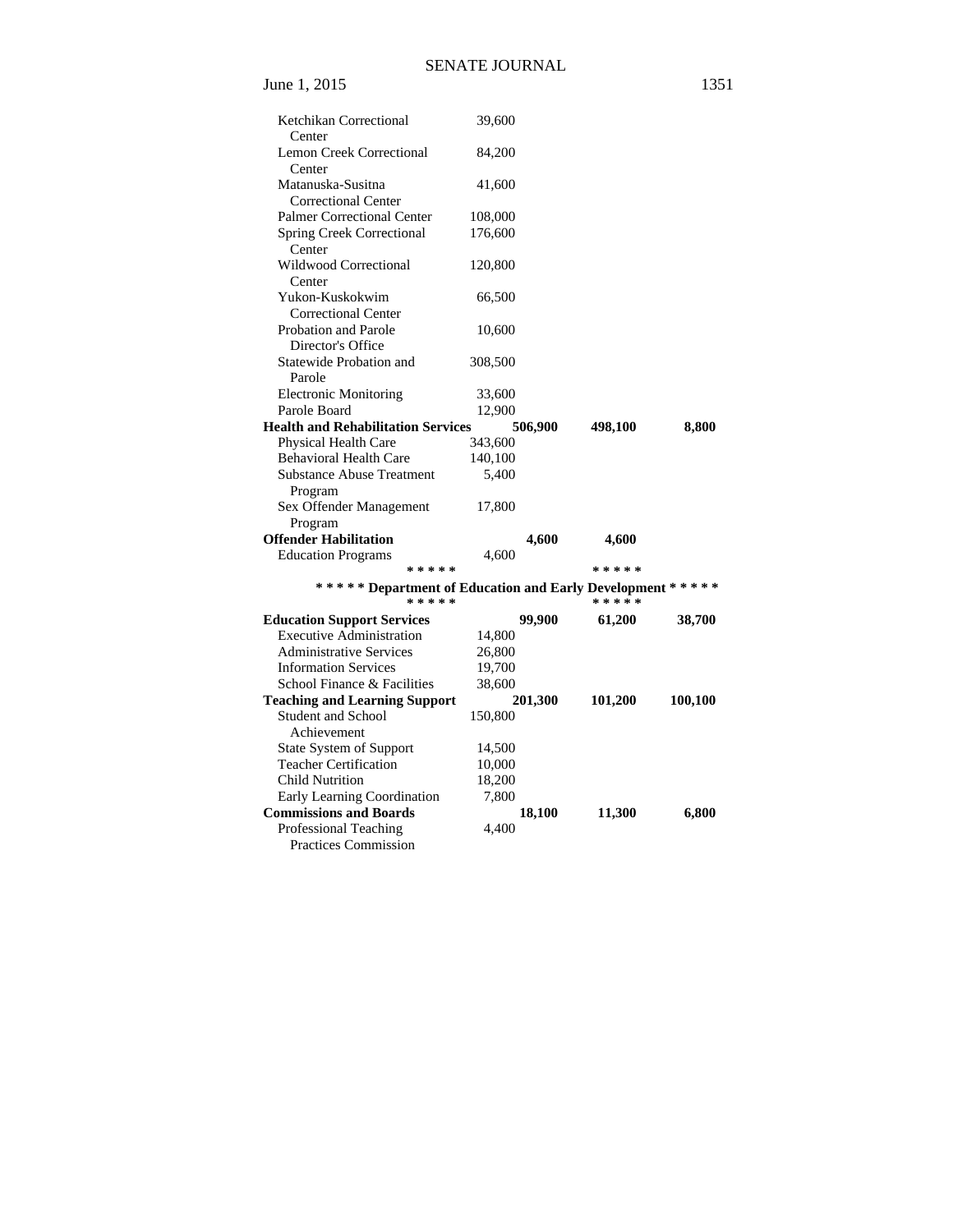June 1, 2015

| ×<br>۹<br>۰. |
|--------------|
|--------------|

| Ketchikan Correctional                                                   | 39,600  |         |           |         |
|--------------------------------------------------------------------------|---------|---------|-----------|---------|
| Center<br>Lemon Creek Correctional                                       | 84,200  |         |           |         |
| Center                                                                   |         |         |           |         |
| Matanuska-Susitna<br><b>Correctional Center</b>                          | 41,600  |         |           |         |
| <b>Palmer Correctional Center</b>                                        | 108,000 |         |           |         |
| <b>Spring Creek Correctional</b><br>Center                               | 176,600 |         |           |         |
| Wildwood Correctional<br>Center                                          | 120,800 |         |           |         |
| Yukon-Kuskokwim                                                          | 66,500  |         |           |         |
| <b>Correctional Center</b>                                               |         |         |           |         |
| Probation and Parole                                                     | 10,600  |         |           |         |
| Director's Office                                                        |         |         |           |         |
| Statewide Probation and                                                  | 308,500 |         |           |         |
| Parole                                                                   |         |         |           |         |
| <b>Electronic Monitoring</b>                                             | 33,600  |         |           |         |
| Parole Board                                                             | 12,900  |         |           |         |
| <b>Health and Rehabilitation Services</b>                                |         | 506,900 | 498,100   | 8,800   |
| Physical Health Care                                                     | 343,600 |         |           |         |
| <b>Behavioral Health Care</b>                                            | 140,100 |         |           |         |
| <b>Substance Abuse Treatment</b><br>Program                              | 5,400   |         |           |         |
| Sex Offender Management<br>Program                                       | 17,800  |         |           |         |
| <b>Offender Habilitation</b>                                             |         | 4,600   | 4,600     |         |
| <b>Education Programs</b>                                                | 4,600   |         |           |         |
| * * * * *                                                                |         |         | * * * * * |         |
| ****** Department of Education and Early Development ******<br>* * * * * |         |         | * * * * * |         |
| <b>Education Support Services</b>                                        |         | 99,900  | 61,200    | 38,700  |
| <b>Executive Administration</b>                                          | 14,800  |         |           |         |
| <b>Administrative Services</b>                                           | 26,800  |         |           |         |
| <b>Information Services</b>                                              | 19,700  |         |           |         |
| School Finance & Facilities                                              | 38,600  |         |           |         |
| <b>Teaching and Learning Support</b>                                     |         | 201,300 | 101,200   | 100,100 |
| <b>Student and School</b><br>Achievement                                 | 150,800 |         |           |         |
| State System of Support                                                  | 14,500  |         |           |         |
| <b>Teacher Certification</b>                                             | 10,000  |         |           |         |
| Child Nutrition                                                          | 18,200  |         |           |         |
| Early Learning Coordination                                              | 7,800   |         |           |         |
| <b>Commissions and Boards</b>                                            |         | 18,100  | 11,300    | 6,800   |
| <b>Professional Teaching</b><br>Practices Commission                     | 4,400   |         |           |         |
|                                                                          |         |         |           |         |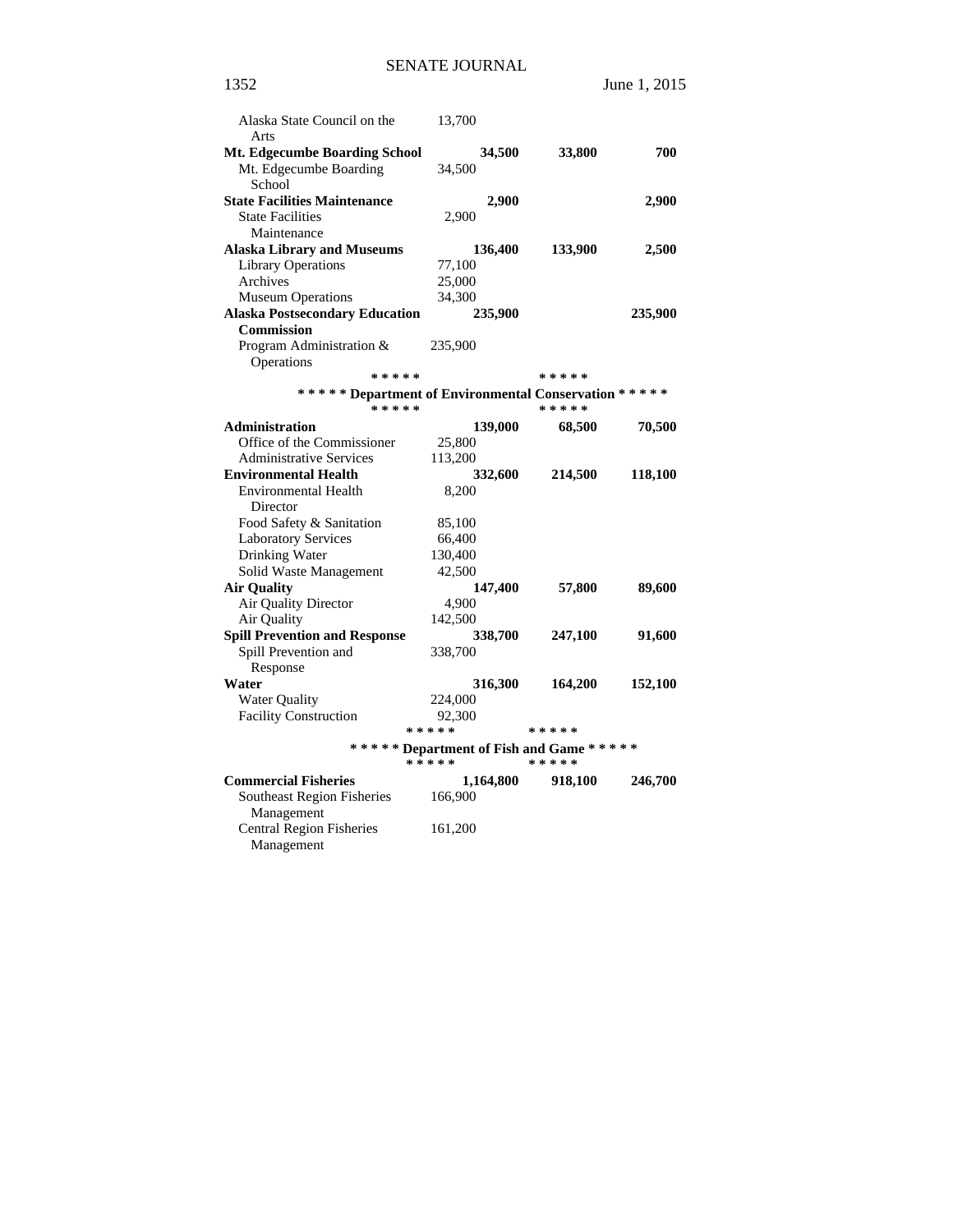| Alaska State Council on the                             | 13,700    |           |                                                       |         |
|---------------------------------------------------------|-----------|-----------|-------------------------------------------------------|---------|
| Arts                                                    |           |           |                                                       |         |
| Mt. Edgecumbe Boarding School<br>Mt. Edgecumbe Boarding | 34,500    | 34,500    | 33,800                                                | 700     |
| School                                                  |           |           |                                                       |         |
| <b>State Facilities Maintenance</b>                     |           | 2,900     |                                                       | 2,900   |
| <b>State Facilities</b>                                 | 2,900     |           |                                                       |         |
| Maintenance                                             |           |           |                                                       |         |
| <b>Alaska Library and Museums</b>                       |           | 136,400   | 133,900                                               | 2,500   |
| <b>Library Operations</b>                               | 77,100    |           |                                                       |         |
| Archives                                                | 25,000    |           |                                                       |         |
| <b>Museum Operations</b>                                | 34,300    |           |                                                       |         |
| <b>Alaska Postsecondary Education</b>                   |           | 235,900   |                                                       | 235,900 |
| <b>Commission</b>                                       |           |           |                                                       |         |
| Program Administration &                                | 235,900   |           |                                                       |         |
| Operations                                              |           |           |                                                       |         |
| * * * * *                                               |           |           | * * * * *                                             |         |
| ****** Department of Environmental Conservation *****   |           |           |                                                       |         |
| * * * * *                                               |           |           | * * * * *                                             |         |
| Administration                                          |           | 139,000   | 68,500                                                | 70,500  |
| Office of the Commissioner                              | 25,800    |           |                                                       |         |
| <b>Administrative Services</b>                          | 113,200   |           |                                                       |         |
| <b>Environmental Health</b>                             |           | 332,600   | 214,500                                               | 118,100 |
| Environmental Health                                    | 8,200     |           |                                                       |         |
| Director                                                |           |           |                                                       |         |
| Food Safety & Sanitation                                | 85,100    |           |                                                       |         |
| <b>Laboratory Services</b>                              | 66,400    |           |                                                       |         |
| Drinking Water                                          | 130,400   |           |                                                       |         |
| Solid Waste Management                                  | 42,500    |           |                                                       |         |
| <b>Air Quality</b>                                      |           | 147,400   | 57,800                                                | 89,600  |
| Air Quality Director                                    | 4,900     |           |                                                       |         |
| Air Quality                                             | 142,500   |           |                                                       |         |
| <b>Spill Prevention and Response</b>                    |           | 338,700   | 247,100                                               | 91,600  |
| Spill Prevention and                                    | 338,700   |           |                                                       |         |
| Response                                                |           |           |                                                       |         |
| Water                                                   |           | 316,300   | 164,200                                               | 152,100 |
| <b>Water Quality</b>                                    | 224,000   |           |                                                       |         |
| <b>Facility Construction</b>                            | 92,300    |           |                                                       |         |
|                                                         | * * * * * |           | * * * * *                                             |         |
|                                                         | * * * * * |           | ****** Department of Fish and Game *****<br>* * * * * |         |
| <b>Commercial Fisheries</b>                             |           | 1,164,800 | 918,100                                               | 246,700 |
| Southeast Region Fisheries                              | 166,900   |           |                                                       |         |
| Management                                              |           |           |                                                       |         |
| <b>Central Region Fisheries</b><br>Management           | 161,200   |           |                                                       |         |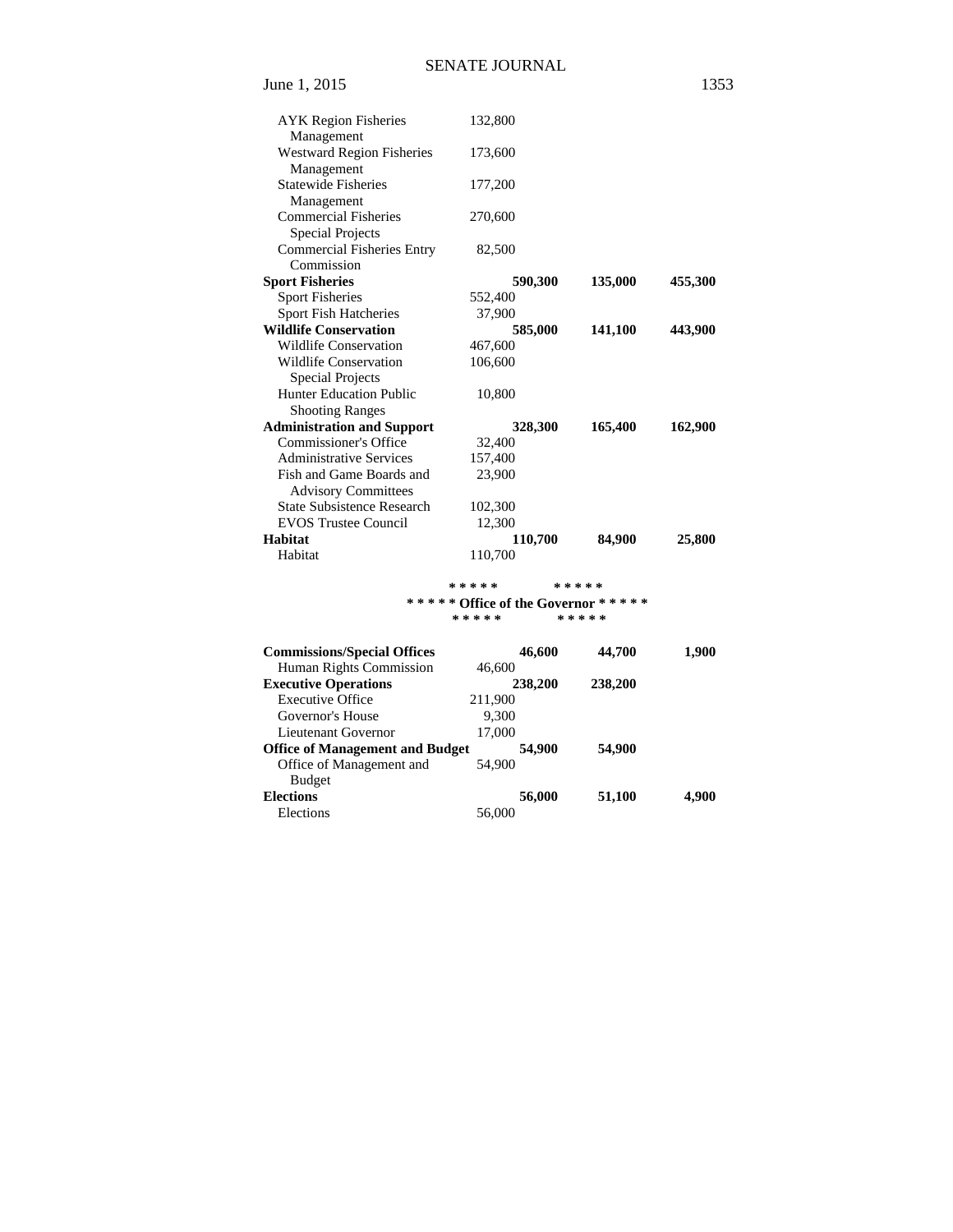| June 1, 2015                      |         |         | 1353    |
|-----------------------------------|---------|---------|---------|
| <b>AYK</b> Region Fisheries       | 132,800 |         |         |
| Management                        |         |         |         |
| <b>Westward Region Fisheries</b>  | 173,600 |         |         |
| Management                        |         |         |         |
| <b>Statewide Fisheries</b>        | 177,200 |         |         |
| Management                        |         |         |         |
| <b>Commercial Fisheries</b>       | 270,600 |         |         |
| <b>Special Projects</b>           |         |         |         |
| <b>Commercial Fisheries Entry</b> | 82,500  |         |         |
| Commission                        |         |         |         |
| <b>Sport Fisheries</b>            | 590,300 | 135,000 | 455,300 |
| <b>Sport Fisheries</b>            | 552,400 |         |         |
| Sport Fish Hatcheries             | 37,900  |         |         |
| <b>Wildlife Conservation</b>      | 585,000 | 141,100 | 443,900 |
| <b>Wildlife Conservation</b>      | 467,600 |         |         |
| <b>Wildlife Conservation</b>      | 106,600 |         |         |
| <b>Special Projects</b>           |         |         |         |
| <b>Hunter Education Public</b>    | 10,800  |         |         |
| <b>Shooting Ranges</b>            |         |         |         |
| <b>Administration and Support</b> | 328,300 | 165,400 | 162,900 |
| Commissioner's Office             | 32,400  |         |         |
| <b>Administrative Services</b>    | 157,400 |         |         |
| Fish and Game Boards and          | 23,900  |         |         |
| <b>Advisory Committees</b>        |         |         |         |
| <b>State Subsistence Research</b> | 102,300 |         |         |
| <b>EVOS Trustee Council</b>       | 12,300  |         |         |
| <b>Habitat</b>                    | 110,700 | 84,900  | 25,800  |
| Habitat                           | 110,700 |         |         |
|                                   |         |         |         |

#### **\* \* \* \* \* \* \* \* \* \* \* \* \* \* \* Office of the Governor \* \* \* \* \* \* \* \* \* \* \* \* \* \* \***

| <b>Commissions/Special Offices</b>     | 46,600  | 44,700  | 1,900 |
|----------------------------------------|---------|---------|-------|
| Human Rights Commission                | 46,600  |         |       |
| <b>Executive Operations</b>            | 238,200 | 238,200 |       |
| <b>Executive Office</b>                | 211,900 |         |       |
| Governor's House                       | 9,300   |         |       |
| Lieutenant Governor                    | 17,000  |         |       |
| <b>Office of Management and Budget</b> | 54,900  | 54,900  |       |
| Office of Management and               | 54,900  |         |       |
| <b>Budget</b>                          |         |         |       |
| Elections                              | 56,000  | 51,100  | 4,900 |
| Elections                              | 56,000  |         |       |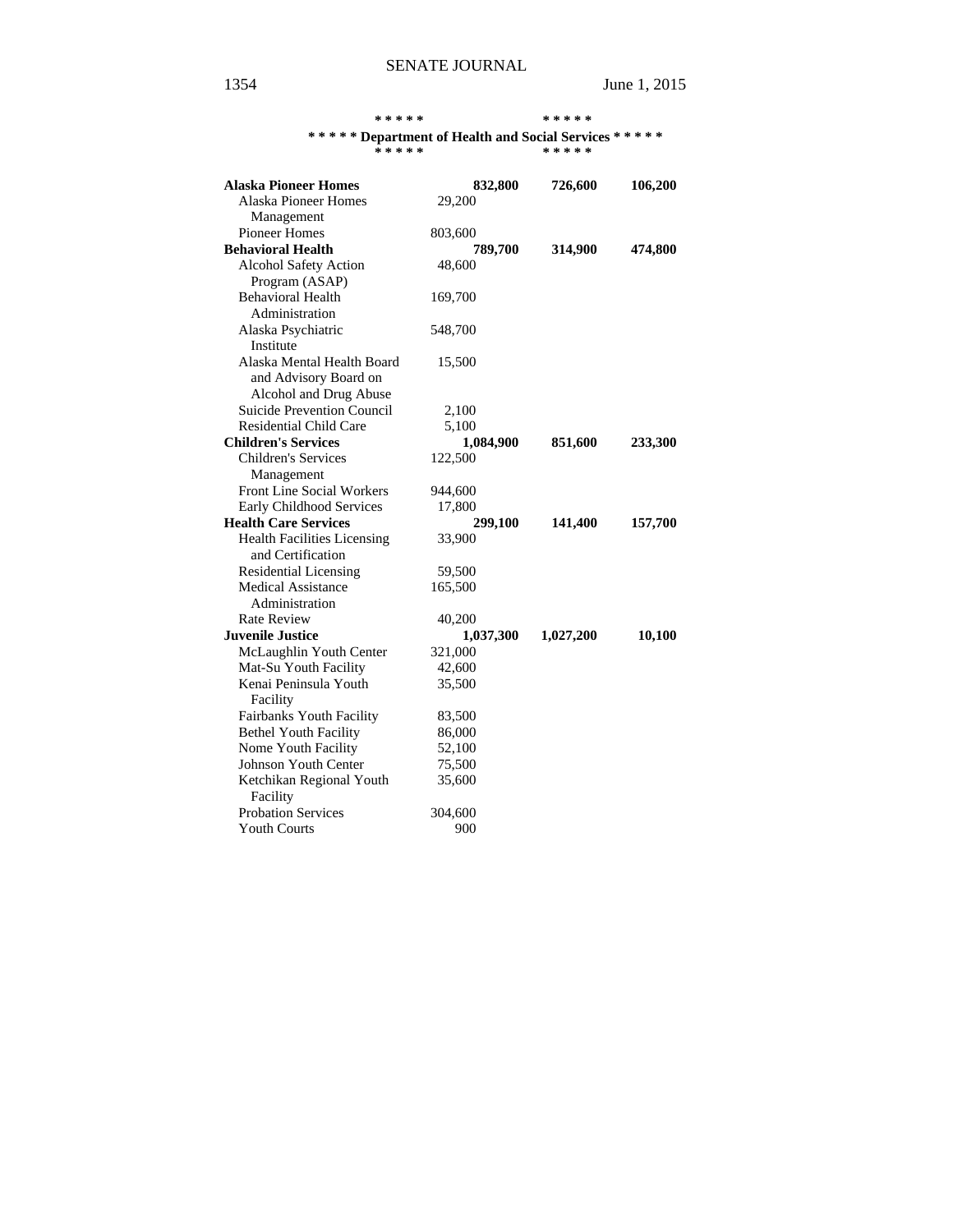#### **\* \* \* \* \* \* \* \* \* \***

### **\* \* \* \* \* Department of Health and Social Services \* \* \* \* \***

| ***** | ***** |
|-------|-------|
|       |       |

| <b>Alaska Pioneer Homes</b>          | 832,800   | 726,600   | 106,200 |
|--------------------------------------|-----------|-----------|---------|
| <b>Alaska Pioneer Homes</b>          | 29,200    |           |         |
| Management                           |           |           |         |
| <b>Pioneer Homes</b>                 | 803,600   |           |         |
| <b>Behavioral Health</b>             | 789,700   | 314,900   | 474,800 |
| Alcohol Safety Action                | 48,600    |           |         |
| Program (ASAP)                       |           |           |         |
| <b>Behavioral Health</b>             | 169,700   |           |         |
| Administration                       |           |           |         |
| Alaska Psychiatric                   | 548,700   |           |         |
| Institute                            |           |           |         |
| Alaska Mental Health Board           | 15,500    |           |         |
| and Advisory Board on                |           |           |         |
| Alcohol and Drug Abuse               |           |           |         |
| <b>Suicide Prevention Council</b>    | 2,100     |           |         |
| <b>Residential Child Care</b>        | 5,100     |           |         |
| <b>Children's Services</b>           | 1,084,900 | 851,600   | 233,300 |
| <b>Children's Services</b>           | 122,500   |           |         |
| Management                           |           |           |         |
| Front Line Social Workers            | 944,600   |           |         |
| Early Childhood Services             | 17,800    |           |         |
| <b>Health Care Services</b>          | 299,100   | 141,400   | 157,700 |
| <b>Health Facilities Licensing</b>   | 33,900    |           |         |
| and Certification                    |           |           |         |
| <b>Residential Licensing</b>         | 59,500    |           |         |
| <b>Medical Assistance</b>            | 165,500   |           |         |
| Administration                       |           |           |         |
| <b>Rate Review</b>                   | 40,200    |           |         |
| <b>Juvenile Justice</b>              | 1,037,300 | 1,027,200 | 10,100  |
| McLaughlin Youth Center              | 321,000   |           |         |
| Mat-Su Youth Facility                | 42,600    |           |         |
| Kenai Peninsula Youth<br>Facility    | 35,500    |           |         |
| Fairbanks Youth Facility             | 83,500    |           |         |
| <b>Bethel Youth Facility</b>         | 86,000    |           |         |
| Nome Youth Facility                  | 52,100    |           |         |
| Johnson Youth Center                 | 75,500    |           |         |
| Ketchikan Regional Youth<br>Facility | 35,600    |           |         |
| <b>Probation Services</b>            | 304,600   |           |         |
| <b>Youth Courts</b>                  | 900       |           |         |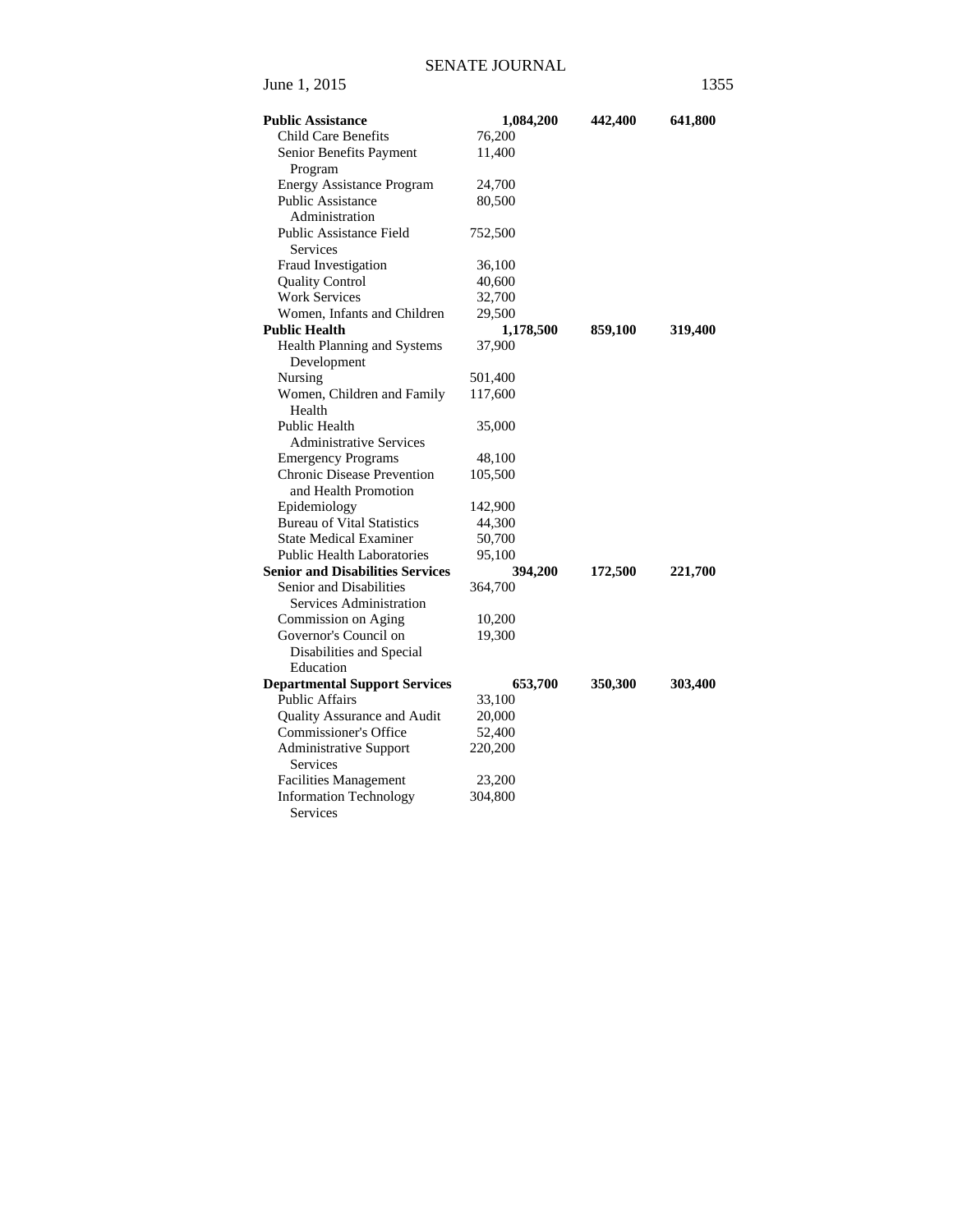| <b>Public Assistance</b>                                  | 1,084,200 | 442,400 | 641,800 |
|-----------------------------------------------------------|-----------|---------|---------|
| <b>Child Care Benefits</b>                                | 76,200    |         |         |
| Senior Benefits Payment<br>Program                        | 11,400    |         |         |
| <b>Energy Assistance Program</b>                          | 24,700    |         |         |
| Public Assistance<br>Administration                       | 80,500    |         |         |
| <b>Public Assistance Field</b><br>Services                | 752,500   |         |         |
| Fraud Investigation                                       | 36,100    |         |         |
| <b>Quality Control</b>                                    | 40,600    |         |         |
| <b>Work Services</b>                                      | 32,700    |         |         |
| Women, Infants and Children                               | 29,500    |         |         |
| <b>Public Health</b>                                      | 1,178,500 | 859,100 | 319,400 |
| Health Planning and Systems<br>Development                | 37,900    |         |         |
| Nursing                                                   | 501,400   |         |         |
| Women, Children and Family<br>Health                      | 117,600   |         |         |
| Public Health                                             | 35,000    |         |         |
| <b>Administrative Services</b>                            |           |         |         |
| <b>Emergency Programs</b>                                 | 48,100    |         |         |
| <b>Chronic Disease Prevention</b><br>and Health Promotion | 105,500   |         |         |
| Epidemiology                                              | 142,900   |         |         |
| <b>Bureau of Vital Statistics</b>                         | 44,300    |         |         |
| <b>State Medical Examiner</b>                             | 50,700    |         |         |
| <b>Public Health Laboratories</b>                         | 95,100    |         |         |
| <b>Senior and Disabilities Services</b>                   | 394,200   | 172,500 | 221,700 |
| Senior and Disabilities<br>Services Administration        | 364,700   |         |         |
| Commission on Aging                                       | 10,200    |         |         |
| Governor's Council on                                     | 19,300    |         |         |
| Disabilities and Special<br>Education                     |           |         |         |
| <b>Departmental Support Services</b>                      | 653,700   | 350,300 | 303,400 |
| Public Affairs                                            | 33,100    |         |         |
| Quality Assurance and Audit                               | 20,000    |         |         |
| Commissioner's Office                                     | 52,400    |         |         |
| <b>Administrative Support</b><br>Services                 | 220,200   |         |         |
| <b>Facilities Management</b>                              | 23,200    |         |         |
| <b>Information Technology</b><br>Services                 | 304,800   |         |         |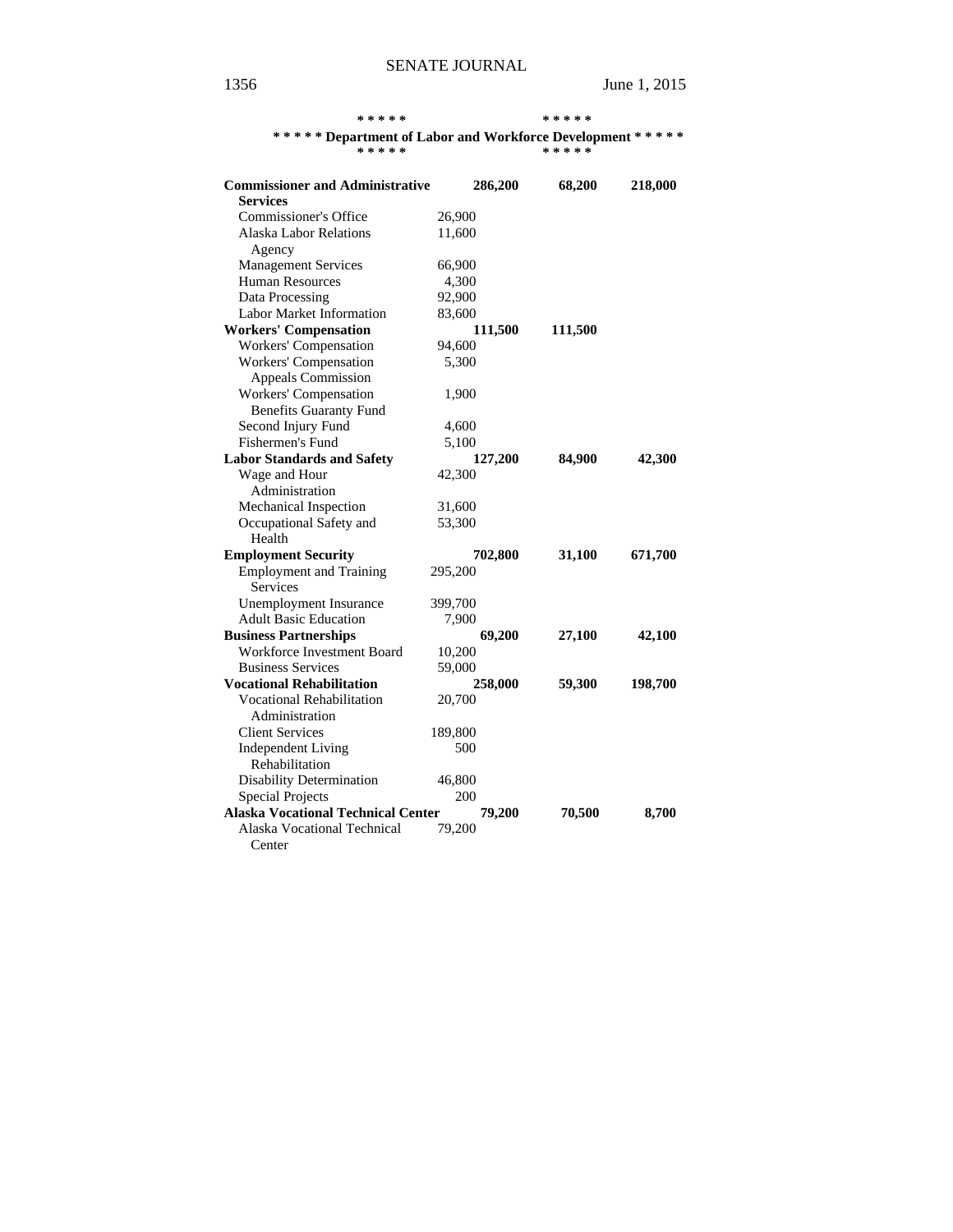**\* \* \* \* \* \* \* \* \* \*** 

| ***** Department of Labor and Workforce Development *****<br>* * * * * |         |         | * * * * * |         |
|------------------------------------------------------------------------|---------|---------|-----------|---------|
| <b>Commissioner and Administrative</b>                                 |         | 286,200 | 68,200    | 218,000 |
| <b>Services</b>                                                        |         |         |           |         |
| Commissioner's Office                                                  | 26,900  |         |           |         |
| <b>Alaska Labor Relations</b>                                          | 11,600  |         |           |         |
| Agency                                                                 |         |         |           |         |
| <b>Management Services</b>                                             | 66,900  |         |           |         |
| <b>Human Resources</b>                                                 | 4,300   |         |           |         |
| Data Processing                                                        | 92,900  |         |           |         |
| <b>Labor Market Information</b>                                        | 83,600  |         |           |         |
| <b>Workers' Compensation</b>                                           |         | 111,500 | 111,500   |         |
| Workers' Compensation                                                  | 94,600  |         |           |         |
| Workers' Compensation                                                  | 5,300   |         |           |         |
| <b>Appeals Commission</b>                                              |         |         |           |         |
| Workers' Compensation                                                  | 1,900   |         |           |         |
| <b>Benefits Guaranty Fund</b>                                          |         |         |           |         |
| Second Injury Fund                                                     | 4,600   |         |           |         |
| Fishermen's Fund                                                       | 5,100   |         |           |         |
| <b>Labor Standards and Safety</b>                                      |         | 127,200 | 84,900    | 42,300  |
| Wage and Hour                                                          | 42,300  |         |           |         |
| Administration                                                         |         |         |           |         |
| Mechanical Inspection                                                  | 31,600  |         |           |         |
| Occupational Safety and                                                | 53,300  |         |           |         |
| Health                                                                 |         |         |           |         |
| <b>Employment Security</b>                                             |         | 702,800 | 31,100    | 671,700 |
| <b>Employment and Training</b>                                         | 295,200 |         |           |         |
| Services                                                               |         |         |           |         |
| Unemployment Insurance                                                 | 399,700 |         |           |         |
| <b>Adult Basic Education</b>                                           | 7,900   |         |           |         |
| <b>Business Partnerships</b>                                           |         | 69,200  | 27,100    | 42,100  |
| <b>Workforce Investment Board</b>                                      | 10,200  |         |           |         |
| <b>Business Services</b>                                               | 59,000  |         |           |         |
| <b>Vocational Rehabilitation</b>                                       |         | 258,000 | 59,300    | 198,700 |
| <b>Vocational Rehabilitation</b>                                       | 20,700  |         |           |         |
| Administration                                                         |         |         |           |         |
| <b>Client Services</b>                                                 | 189,800 |         |           |         |
| <b>Independent Living</b>                                              | 500     |         |           |         |
| Rehabilitation                                                         |         |         |           |         |
| <b>Disability Determination</b>                                        | 46,800  |         |           |         |
| Special Projects                                                       | 200     |         |           |         |

**Alaska Vocational Technical Center 79,200 70,500 8,700** 

Alaska Vocational Technical 79,200

Center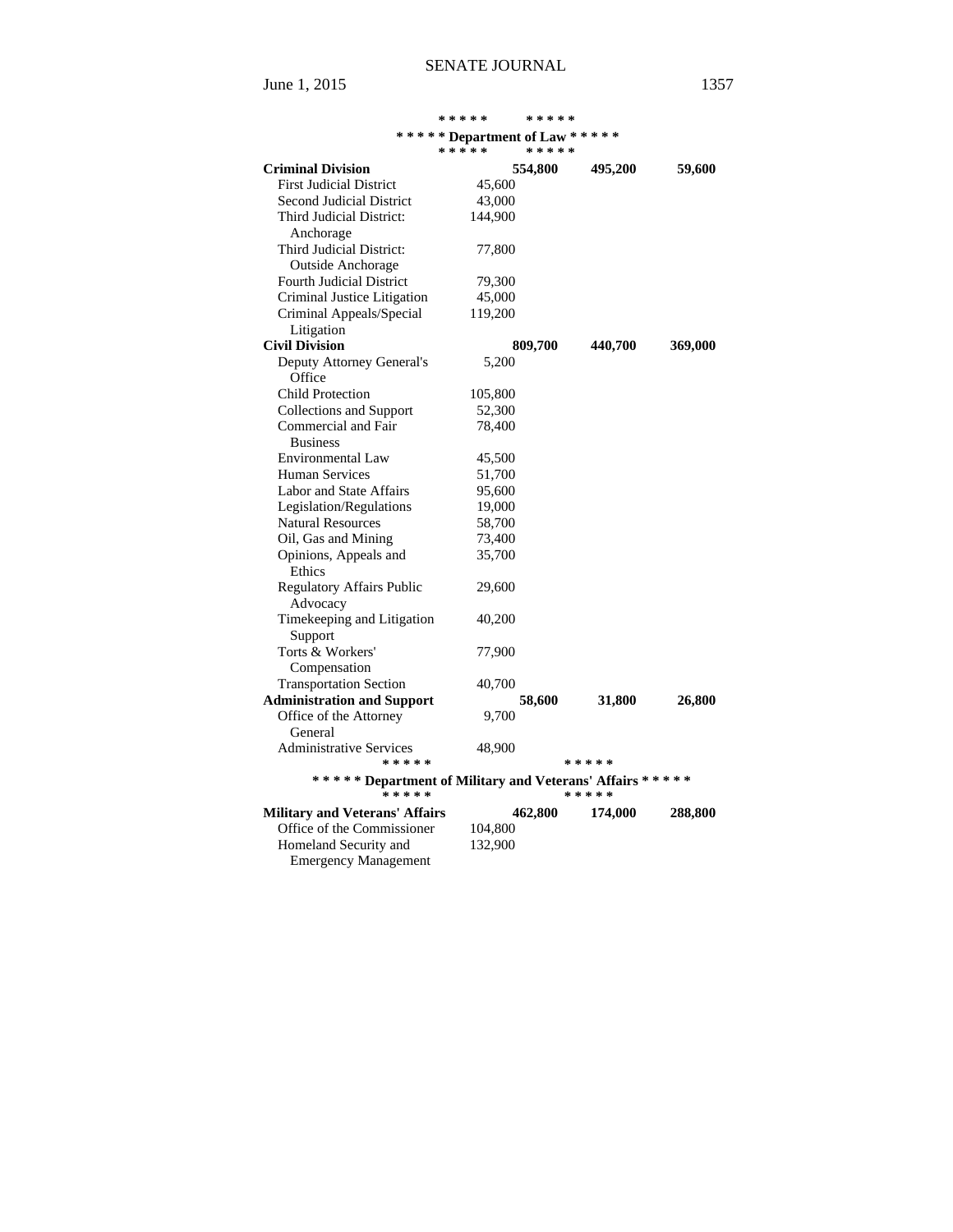|                                                           | * * * * *                      | * * * * * |           |         |
|-----------------------------------------------------------|--------------------------------|-----------|-----------|---------|
|                                                           | ****** Department of Law ***** |           |           |         |
|                                                           | * * * * *                      | * * * * * |           |         |
| <b>Criminal Division</b>                                  |                                | 554,800   | 495,200   | 59,600  |
| <b>First Judicial District</b>                            | 45,600                         |           |           |         |
| Second Judicial District                                  | 43,000                         |           |           |         |
| Third Judicial District:                                  | 144,900                        |           |           |         |
| Anchorage                                                 |                                |           |           |         |
| Third Judicial District:                                  | 77,800                         |           |           |         |
| <b>Outside Anchorage</b>                                  |                                |           |           |         |
| <b>Fourth Judicial District</b>                           | 79,300                         |           |           |         |
| Criminal Justice Litigation                               | 45,000                         |           |           |         |
| Criminal Appeals/Special                                  | 119,200                        |           |           |         |
| Litigation                                                |                                |           |           |         |
| <b>Civil Division</b>                                     |                                | 809,700   | 440,700   | 369,000 |
| Deputy Attorney General's                                 | 5,200                          |           |           |         |
| Office                                                    |                                |           |           |         |
| <b>Child Protection</b>                                   | 105,800                        |           |           |         |
| <b>Collections and Support</b>                            | 52,300                         |           |           |         |
| Commercial and Fair                                       | 78,400                         |           |           |         |
| <b>Business</b>                                           |                                |           |           |         |
| <b>Environmental Law</b>                                  | 45,500                         |           |           |         |
| <b>Human Services</b>                                     | 51,700                         |           |           |         |
| Labor and State Affairs                                   | 95,600                         |           |           |         |
| Legislation/Regulations                                   | 19,000                         |           |           |         |
| <b>Natural Resources</b>                                  | 58,700                         |           |           |         |
| Oil, Gas and Mining                                       | 73,400                         |           |           |         |
| Opinions, Appeals and                                     | 35,700                         |           |           |         |
| Ethics                                                    |                                |           |           |         |
| <b>Regulatory Affairs Public</b>                          | 29,600                         |           |           |         |
| Advocacy                                                  |                                |           |           |         |
| Timekeeping and Litigation                                | 40,200                         |           |           |         |
| Support                                                   |                                |           |           |         |
| Torts & Workers'                                          | 77,900                         |           |           |         |
|                                                           |                                |           |           |         |
| Compensation<br><b>Transportation Section</b>             | 40,700                         |           |           |         |
|                                                           |                                |           | 31,800    |         |
| <b>Administration and Support</b>                         |                                | 58,600    |           | 26,800  |
| Office of the Attorney<br>General                         | 9,700                          |           |           |         |
|                                                           |                                |           |           |         |
| <b>Administrative Services</b><br>* * * * *               | 48,900                         |           | * * * * * |         |
| ****** Department of Military and Veterans' Affairs ***** |                                |           |           |         |
| _<br>*****                                                |                                |           | * * * * * |         |
| <b>Military and Veterans' Affairs</b>                     |                                |           |           | 288,800 |
| Office of the Commissioner                                | 104,800                        | 462,800   | 174,000   |         |
| Homeland Security and                                     | 132,900                        |           |           |         |
| <b>Emergency Management</b>                               |                                |           |           |         |
|                                                           |                                |           |           |         |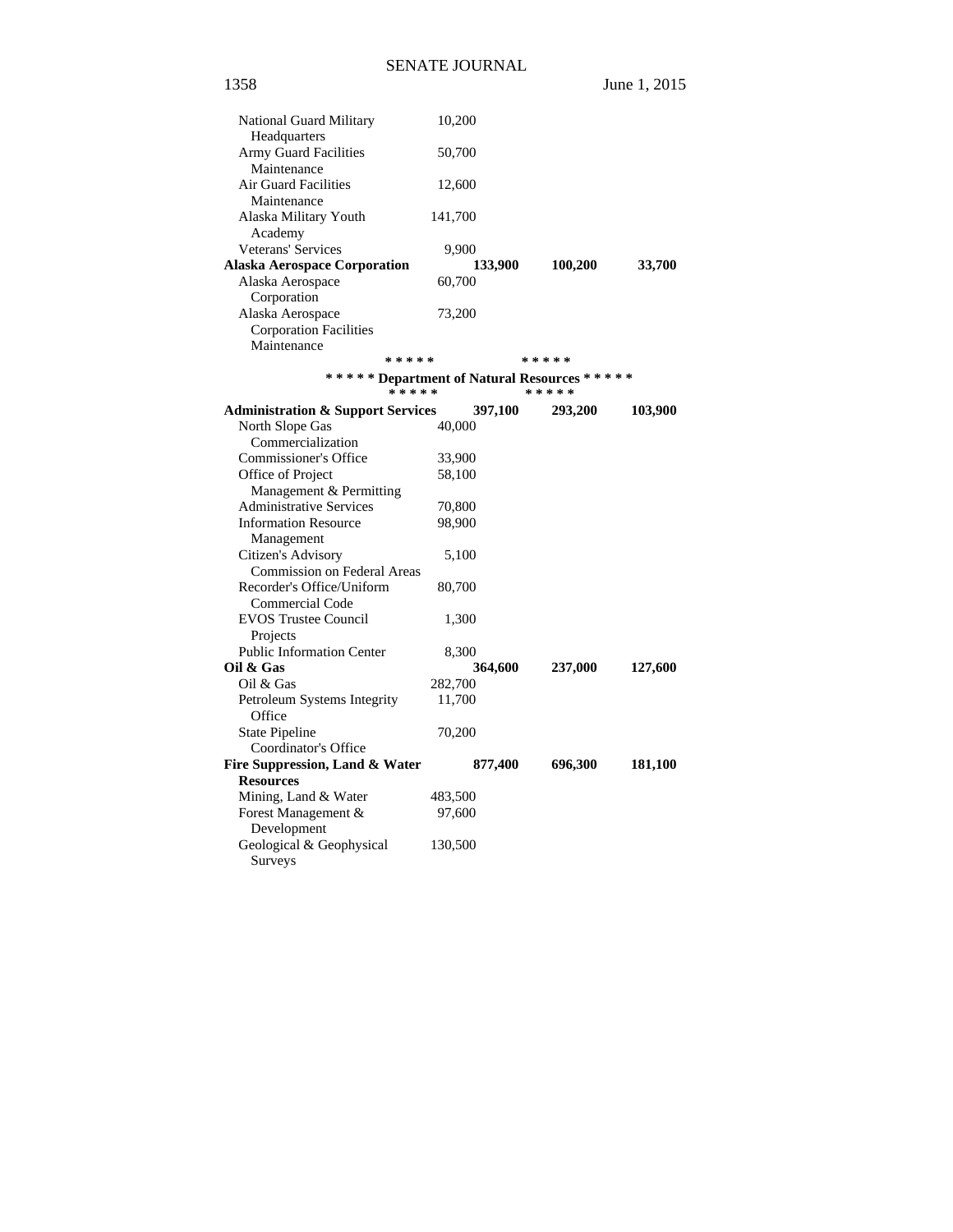1358 June 1, 2015

| National Guard Military                       | 10,200  |         |           |         |
|-----------------------------------------------|---------|---------|-----------|---------|
| Headquarters<br>Army Guard Facilities         |         |         |           |         |
| Maintenance                                   | 50,700  |         |           |         |
| <b>Air Guard Facilities</b>                   | 12,600  |         |           |         |
| Maintenance                                   |         |         |           |         |
| Alaska Military Youth                         | 141,700 |         |           |         |
| Academy                                       |         |         |           |         |
| Veterans' Services                            | 9,900   |         |           |         |
| <b>Alaska Aerospace Corporation</b>           |         | 133,900 | 100,200   | 33,700  |
| Alaska Aerospace                              | 60,700  |         |           |         |
| Corporation                                   |         |         |           |         |
| Alaska Aerospace                              | 73,200  |         |           |         |
| <b>Corporation Facilities</b>                 |         |         |           |         |
| Maintenance                                   |         |         |           |         |
| * * * * *                                     |         |         | *****     |         |
| ***** Department of Natural Resources *****   |         |         |           |         |
| * * * * *                                     |         |         | * * * * * |         |
| <b>Administration &amp; Support Services</b>  |         | 397,100 | 293,200   | 103,900 |
| North Slope Gas                               | 40,000  |         |           |         |
| Commercialization                             |         |         |           |         |
| Commissioner's Office                         | 33,900  |         |           |         |
| Office of Project                             | 58,100  |         |           |         |
| Management & Permitting                       |         |         |           |         |
| <b>Administrative Services</b>                | 70,800  |         |           |         |
| <b>Information Resource</b>                   | 98,900  |         |           |         |
| Management                                    |         |         |           |         |
| Citizen's Advisory                            | 5,100   |         |           |         |
| <b>Commission on Federal Areas</b>            |         |         |           |         |
| Recorder's Office/Uniform                     | 80,700  |         |           |         |
| Commercial Code                               |         |         |           |         |
| <b>EVOS Trustee Council</b>                   | 1,300   |         |           |         |
| Projects                                      |         |         |           |         |
| <b>Public Information Center</b><br>Oil & Gas | 8,300   |         |           |         |
| Oil $&$ Gas                                   | 282,700 | 364,600 | 237,000   | 127,600 |
| Petroleum Systems Integrity                   | 11,700  |         |           |         |
| Office                                        |         |         |           |         |
| <b>State Pipeline</b>                         | 70,200  |         |           |         |
| Coordinator's Office                          |         |         |           |         |
| Fire Suppression, Land & Water                |         | 877,400 | 696,300   | 181,100 |
| <b>Resources</b>                              |         |         |           |         |
| Mining, Land & Water                          | 483,500 |         |           |         |
| Forest Management &                           | 97,600  |         |           |         |
| Development                                   |         |         |           |         |
| Geological & Geophysical                      | 130,500 |         |           |         |
| Surveys                                       |         |         |           |         |
|                                               |         |         |           |         |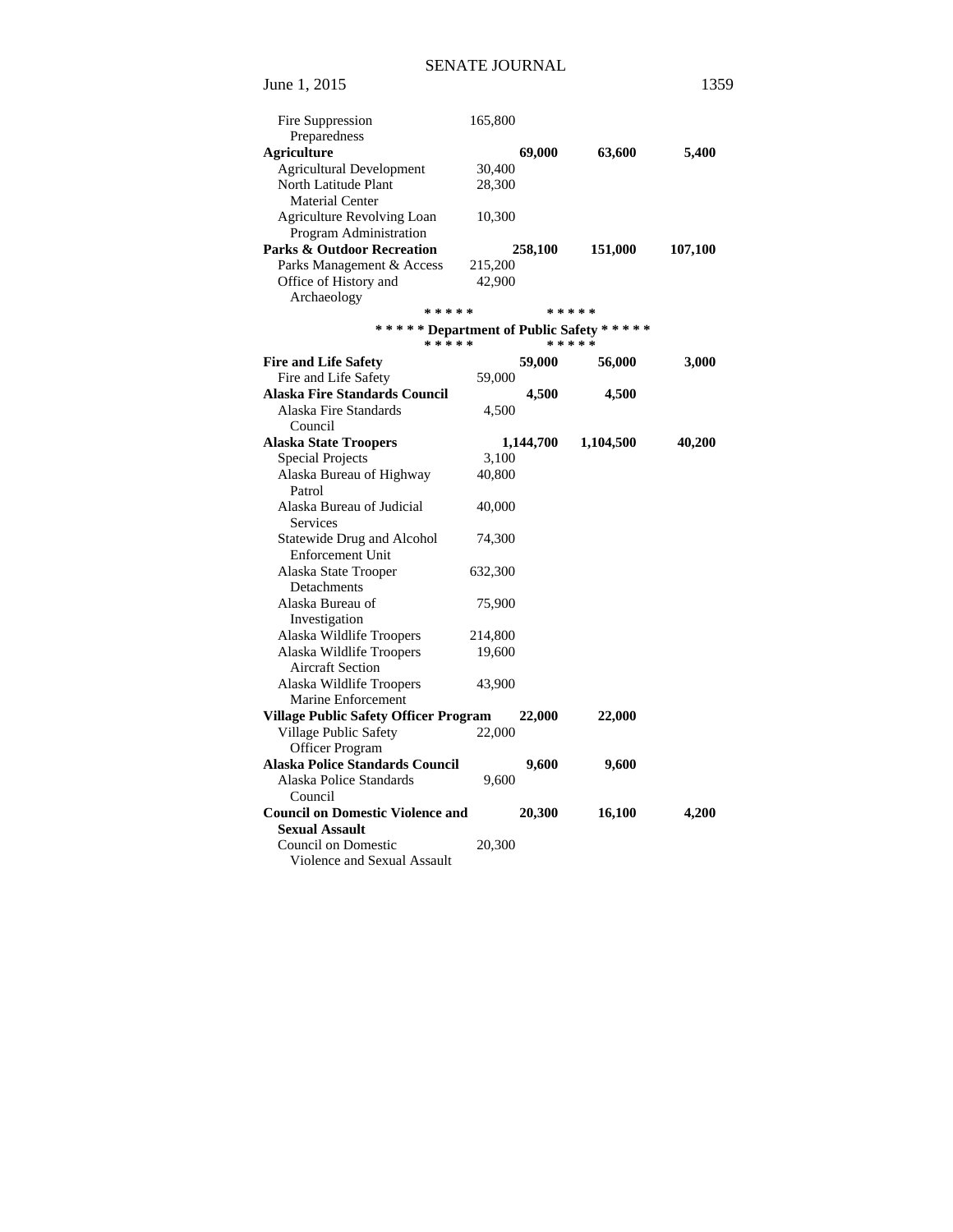| Fire Suppression<br>Preparedness                                 | 165,800 |           |           |         |
|------------------------------------------------------------------|---------|-----------|-----------|---------|
| <b>Agriculture</b>                                               |         | 69,000    | 63,600    | 5,400   |
| <b>Agricultural Development</b>                                  | 30,400  |           |           |         |
| North Latitude Plant                                             | 28,300  |           |           |         |
| <b>Material Center</b>                                           |         |           |           |         |
| Agriculture Revolving Loan                                       | 10,300  |           |           |         |
| Program Administration                                           |         |           |           |         |
| <b>Parks &amp; Outdoor Recreation</b>                            |         | 258,100   | 151,000   | 107,100 |
| Parks Management & Access                                        | 215,200 |           |           |         |
| Office of History and                                            | 42,900  |           |           |         |
| Archaeology                                                      |         |           |           |         |
| * * * * *                                                        |         |           | * * * * * |         |
| ****** Department of Public Safety *****                         |         |           |           |         |
| * * * * *                                                        |         |           | * * * * * |         |
| <b>Fire and Life Safety</b>                                      |         | 59,000    | 56,000    | 3,000   |
| Fire and Life Safety                                             | 59,000  |           |           |         |
| <b>Alaska Fire Standards Council</b>                             |         | 4,500     | 4,500     |         |
| Alaska Fire Standards                                            | 4,500   |           |           |         |
| Council                                                          |         |           |           |         |
| <b>Alaska State Troopers</b>                                     |         | 1,144,700 | 1,104,500 |         |
| <b>Special Projects</b>                                          | 3,100   |           |           | 40,200  |
| Alaska Bureau of Highway                                         | 40,800  |           |           |         |
| Patrol                                                           |         |           |           |         |
| Alaska Bureau of Judicial                                        |         |           |           |         |
| <b>Services</b>                                                  | 40,000  |           |           |         |
|                                                                  |         |           |           |         |
| Statewide Drug and Alcohol                                       | 74,300  |           |           |         |
| <b>Enforcement Unit</b>                                          |         |           |           |         |
| Alaska State Trooper                                             | 632,300 |           |           |         |
| Detachments<br>Alaska Bureau of                                  |         |           |           |         |
|                                                                  | 75,900  |           |           |         |
| Investigation                                                    |         |           |           |         |
| Alaska Wildlife Troopers<br>Alaska Wildlife Troopers             | 214,800 |           |           |         |
|                                                                  | 19,600  |           |           |         |
| <b>Aircraft Section</b><br>Alaska Wildlife Troopers              |         |           |           |         |
|                                                                  | 43,900  |           |           |         |
| Marine Enforcement                                               |         |           |           |         |
| <b>Village Public Safety Officer Program</b>                     |         | 22,000    | 22,000    |         |
| Village Public Safety                                            | 22,000  |           |           |         |
| Officer Program                                                  |         |           |           |         |
| Alaska Police Standards Council                                  |         | 9,600     | 9,600     |         |
| Alaska Police Standards                                          | 9,600   |           |           |         |
| Council                                                          |         |           |           |         |
| <b>Council on Domestic Violence and</b><br><b>Sexual Assault</b> |         | 20,300    | 16,100    | 4,200   |
| Council on Domestic                                              |         |           |           |         |
| Violence and Sexual Assault                                      | 20,300  |           |           |         |
|                                                                  |         |           |           |         |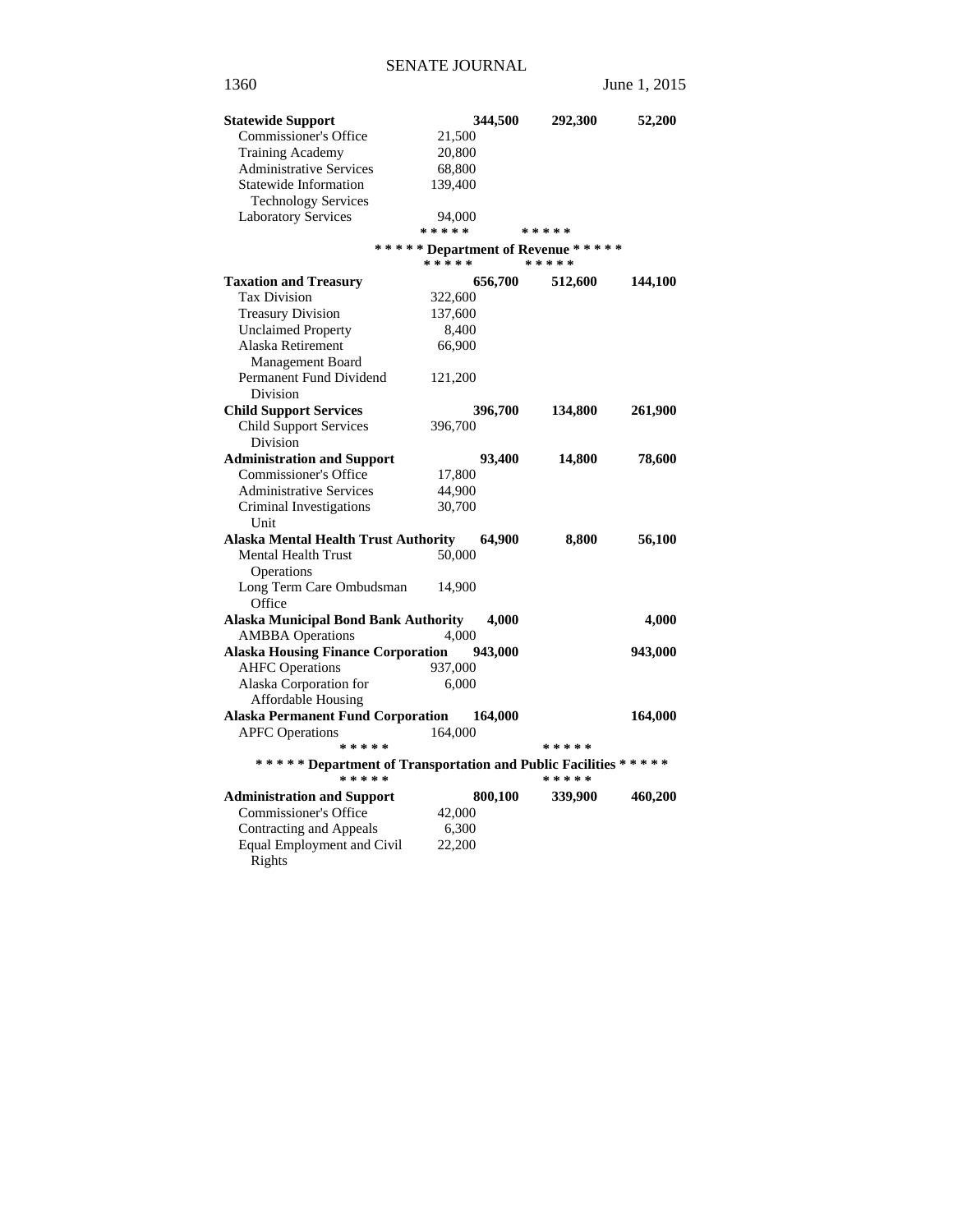| <b>Statewide Support</b>                                                    |           | 344,500 | 292,300                                         | 52,200  |
|-----------------------------------------------------------------------------|-----------|---------|-------------------------------------------------|---------|
| Commissioner's Office                                                       | 21,500    |         |                                                 |         |
| <b>Training Academy</b>                                                     | 20,800    |         |                                                 |         |
| <b>Administrative Services</b>                                              | 68,800    |         |                                                 |         |
| <b>Statewide Information</b>                                                | 139,400   |         |                                                 |         |
| <b>Technology Services</b>                                                  |           |         |                                                 |         |
| <b>Laboratory Services</b>                                                  | 94,000    |         |                                                 |         |
|                                                                             | * * * * * |         | * * * * *                                       |         |
|                                                                             | * * * * * |         | ****** Department of Revenue *****<br>* * * * * |         |
| <b>Taxation and Treasury</b>                                                |           | 656,700 | 512,600                                         | 144,100 |
| <b>Tax Division</b>                                                         | 322,600   |         |                                                 |         |
| <b>Treasury Division</b>                                                    | 137,600   |         |                                                 |         |
| <b>Unclaimed Property</b>                                                   | 8,400     |         |                                                 |         |
| Alaska Retirement                                                           | 66,900    |         |                                                 |         |
| Management Board                                                            |           |         |                                                 |         |
| Permanent Fund Dividend                                                     | 121,200   |         |                                                 |         |
| Division                                                                    |           |         |                                                 |         |
| <b>Child Support Services</b>                                               |           | 396,700 | 134,800                                         | 261,900 |
| <b>Child Support Services</b>                                               | 396,700   |         |                                                 |         |
| Division                                                                    |           |         |                                                 |         |
| <b>Administration and Support</b>                                           |           | 93,400  | 14,800                                          | 78,600  |
| Commissioner's Office                                                       | 17,800    |         |                                                 |         |
| <b>Administrative Services</b>                                              | 44,900    |         |                                                 |         |
| Criminal Investigations                                                     | 30,700    |         |                                                 |         |
| Unit                                                                        |           |         |                                                 |         |
| <b>Alaska Mental Health Trust Authority</b>                                 |           | 64,900  | 8,800                                           | 56,100  |
| <b>Mental Health Trust</b>                                                  | 50,000    |         |                                                 |         |
| Operations                                                                  |           |         |                                                 |         |
| Long Term Care Ombudsman<br>Office                                          | 14,900    |         |                                                 |         |
| <b>Alaska Municipal Bond Bank Authority</b>                                 |           | 4,000   |                                                 | 4,000   |
| <b>AMBBA</b> Operations                                                     | 4,000     |         |                                                 |         |
| <b>Alaska Housing Finance Corporation</b>                                   |           | 943,000 |                                                 | 943,000 |
| <b>AHFC Operations</b>                                                      | 937,000   |         |                                                 |         |
| Alaska Corporation for                                                      | 6,000     |         |                                                 |         |
| Affordable Housing                                                          |           |         |                                                 |         |
| <b>Alaska Permanent Fund Corporation</b>                                    |           | 164,000 |                                                 | 164,000 |
| <b>APFC</b> Operations<br>* * * * *                                         | 164,000   |         | * * * * *                                       |         |
|                                                                             |           |         |                                                 |         |
| ***** Department of Transportation and Public Facilities *****<br>* * * * * |           |         | * * * * *                                       |         |
| <b>Administration and Support</b>                                           |           | 800,100 | 339,900                                         | 460,200 |
| Commissioner's Office                                                       | 42,000    |         |                                                 |         |
| Contracting and Appeals                                                     | 6,300     |         |                                                 |         |
| Equal Employment and Civil                                                  | 22,200    |         |                                                 |         |
| Rights                                                                      |           |         |                                                 |         |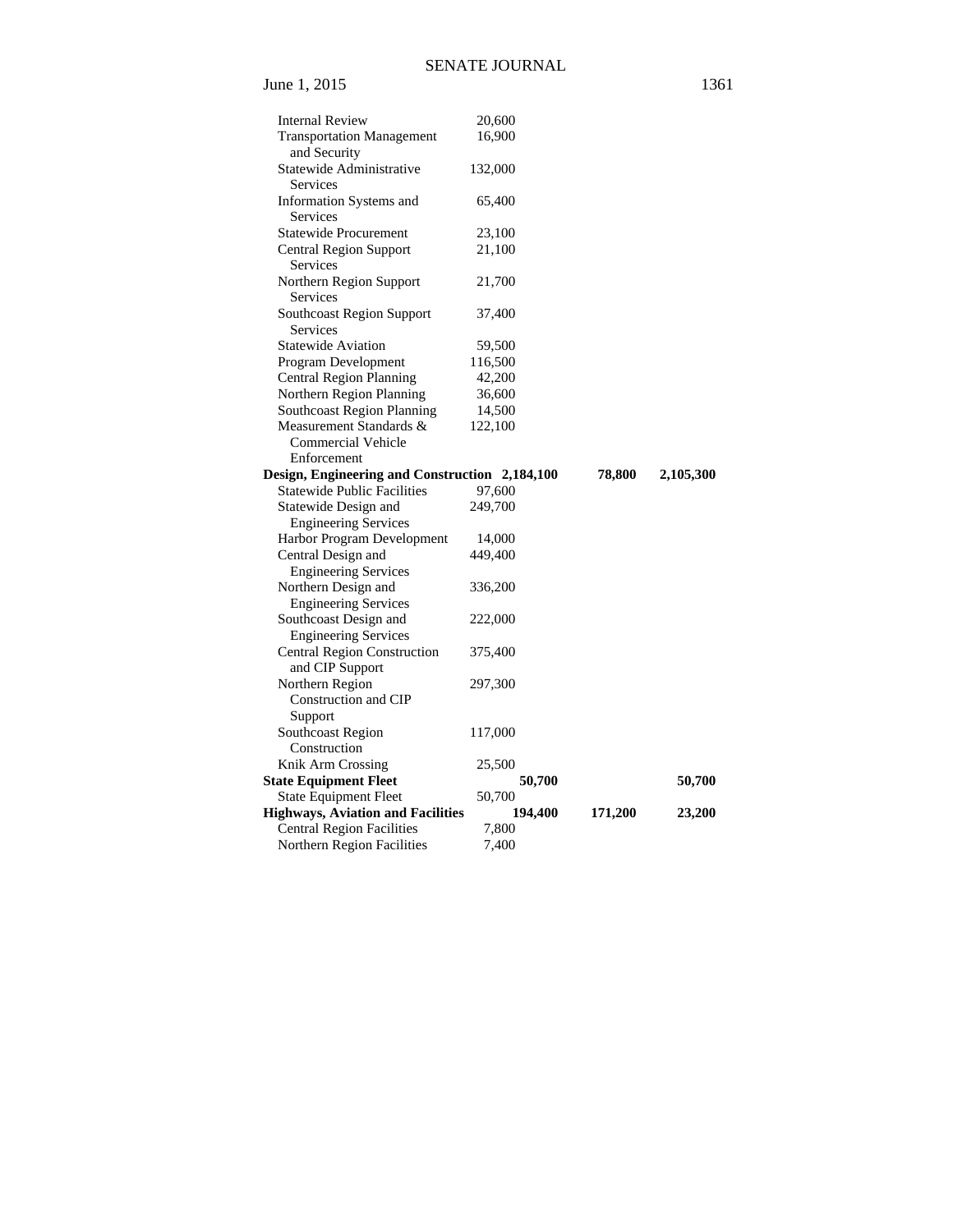| <b>Internal Review</b>                                         | 20,600           |         |           |
|----------------------------------------------------------------|------------------|---------|-----------|
| <b>Transportation Management</b>                               | 16,900           |         |           |
| and Security                                                   |                  |         |           |
| Statewide Administrative                                       | 132,000          |         |           |
| Services                                                       |                  |         |           |
| Information Systems and                                        | 65,400           |         |           |
| Services                                                       |                  |         |           |
| <b>Statewide Procurement</b>                                   | 23,100           |         |           |
| Central Region Support                                         | 21,100           |         |           |
| Services                                                       |                  |         |           |
| Northern Region Support                                        | 21,700           |         |           |
| Services                                                       |                  |         |           |
|                                                                |                  |         |           |
| Southcoast Region Support                                      | 37,400           |         |           |
| Services                                                       |                  |         |           |
| <b>Statewide Aviation</b>                                      | 59,500           |         |           |
| Program Development                                            | 116,500          |         |           |
| <b>Central Region Planning</b>                                 | 42,200           |         |           |
| Northern Region Planning                                       | 36,600           |         |           |
| <b>Southcoast Region Planning</b>                              | 14,500           |         |           |
| Measurement Standards &                                        | 122,100          |         |           |
| <b>Commercial Vehicle</b>                                      |                  |         |           |
| Enforcement                                                    |                  |         |           |
| Design, Engineering and Construction 2,184,100                 |                  | 78,800  | 2,105,300 |
| <b>Statewide Public Facilities</b>                             | 97,600           |         |           |
| Statewide Design and                                           | 249,700          |         |           |
| <b>Engineering Services</b>                                    |                  |         |           |
| Harbor Program Development                                     | 14,000           |         |           |
| Central Design and                                             | 449,400          |         |           |
| <b>Engineering Services</b>                                    |                  |         |           |
| Northern Design and                                            | 336,200          |         |           |
| <b>Engineering Services</b>                                    |                  |         |           |
| Southcoast Design and                                          | 222,000          |         |           |
| <b>Engineering Services</b>                                    |                  |         |           |
| <b>Central Region Construction</b>                             | 375,400          |         |           |
| and CIP Support                                                |                  |         |           |
| Northern Region                                                | 297,300          |         |           |
| Construction and CIP                                           |                  |         |           |
| Support                                                        |                  |         |           |
| Southcoast Region                                              | 117,000          |         |           |
| Construction                                                   |                  |         |           |
| Knik Arm Crossing                                              | 25,500           |         |           |
|                                                                |                  |         | 50,700    |
| <b>State Equipment Fleet</b><br><b>State Equipment Fleet</b>   | 50,700<br>50,700 |         |           |
| <b>Highways, Aviation and Facilities</b>                       |                  |         |           |
|                                                                |                  |         |           |
|                                                                | 194,400          | 171,200 | 23,200    |
| <b>Central Region Facilities</b><br>Northern Region Facilities | 7,800<br>7,400   |         |           |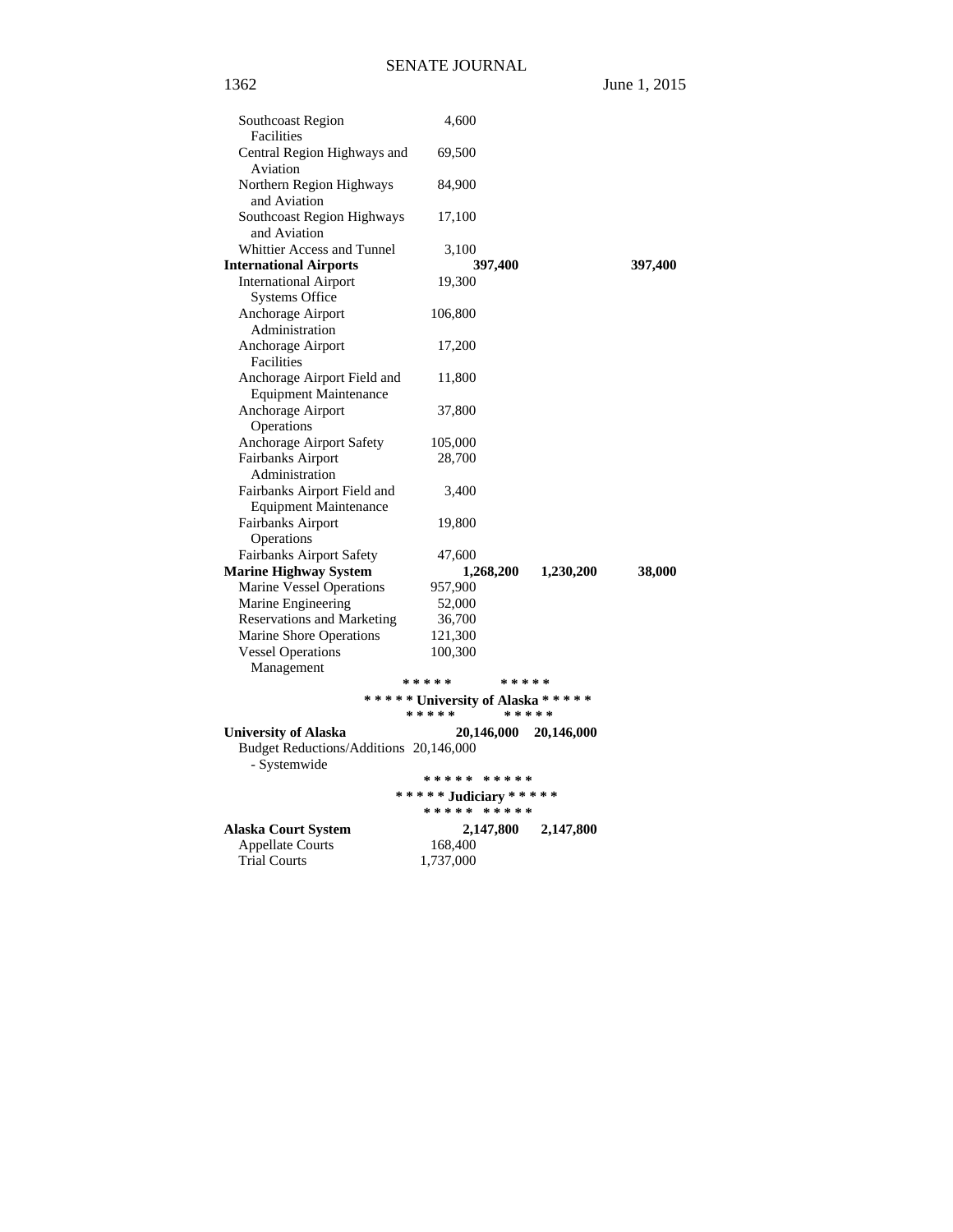1362 June 1, 2015

| Southcoast Region<br>Facilities                             | 4,600                                     |            |            |         |
|-------------------------------------------------------------|-------------------------------------------|------------|------------|---------|
| Central Region Highways and<br>Aviation                     | 69,500                                    |            |            |         |
| Northern Region Highways<br>and Aviation                    | 84,900                                    |            |            |         |
| Southcoast Region Highways<br>and Aviation                  | 17,100                                    |            |            |         |
| Whittier Access and Tunnel                                  | 3,100                                     |            |            |         |
| <b>International Airports</b>                               |                                           | 397,400    |            | 397,400 |
| <b>International Airport</b><br><b>Systems Office</b>       | 19,300                                    |            |            |         |
| Anchorage Airport<br>Administration                         | 106,800                                   |            |            |         |
| Anchorage Airport<br>Facilities                             | 17,200                                    |            |            |         |
| Anchorage Airport Field and<br><b>Equipment Maintenance</b> | 11,800                                    |            |            |         |
| Anchorage Airport<br>Operations                             | 37,800                                    |            |            |         |
| Anchorage Airport Safety                                    | 105,000                                   |            |            |         |
| Fairbanks Airport<br>Administration                         | 28,700                                    |            |            |         |
| Fairbanks Airport Field and<br><b>Equipment Maintenance</b> | 3,400                                     |            |            |         |
| Fairbanks Airport<br>Operations                             | 19,800                                    |            |            |         |
| Fairbanks Airport Safety                                    | 47,600                                    |            |            |         |
| <b>Marine Highway System</b>                                |                                           | 1,268,200  | 1,230,200  | 38,000  |
| Marine Vessel Operations                                    | 957,900                                   |            |            |         |
| Marine Engineering                                          | 52,000                                    |            |            |         |
| <b>Reservations and Marketing</b>                           | 36,700                                    |            |            |         |
| Marine Shore Operations                                     | 121,300                                   |            |            |         |
| <b>Vessel Operations</b>                                    | 100,300                                   |            |            |         |
| Management                                                  |                                           |            |            |         |
|                                                             | *****                                     | * * * * *  |            |         |
|                                                             | ***** University of Alaska *****<br>***** | * * * * *  |            |         |
| <b>University of Alaska</b>                                 |                                           | 20,146,000 | 20,146,000 |         |
| Budget Reductions/Additions 20,146,000<br>- Systemwide      |                                           |            |            |         |
|                                                             | ***** *****                               |            |            |         |
|                                                             | ***** Judiciary *****<br>***** *****      |            |            |         |
| <b>Alaska Court System</b>                                  |                                           | 2,147,800  | 2,147,800  |         |
| <b>Appellate Courts</b>                                     | 168,400                                   |            |            |         |
| <b>Trial Courts</b>                                         | 1,737,000                                 |            |            |         |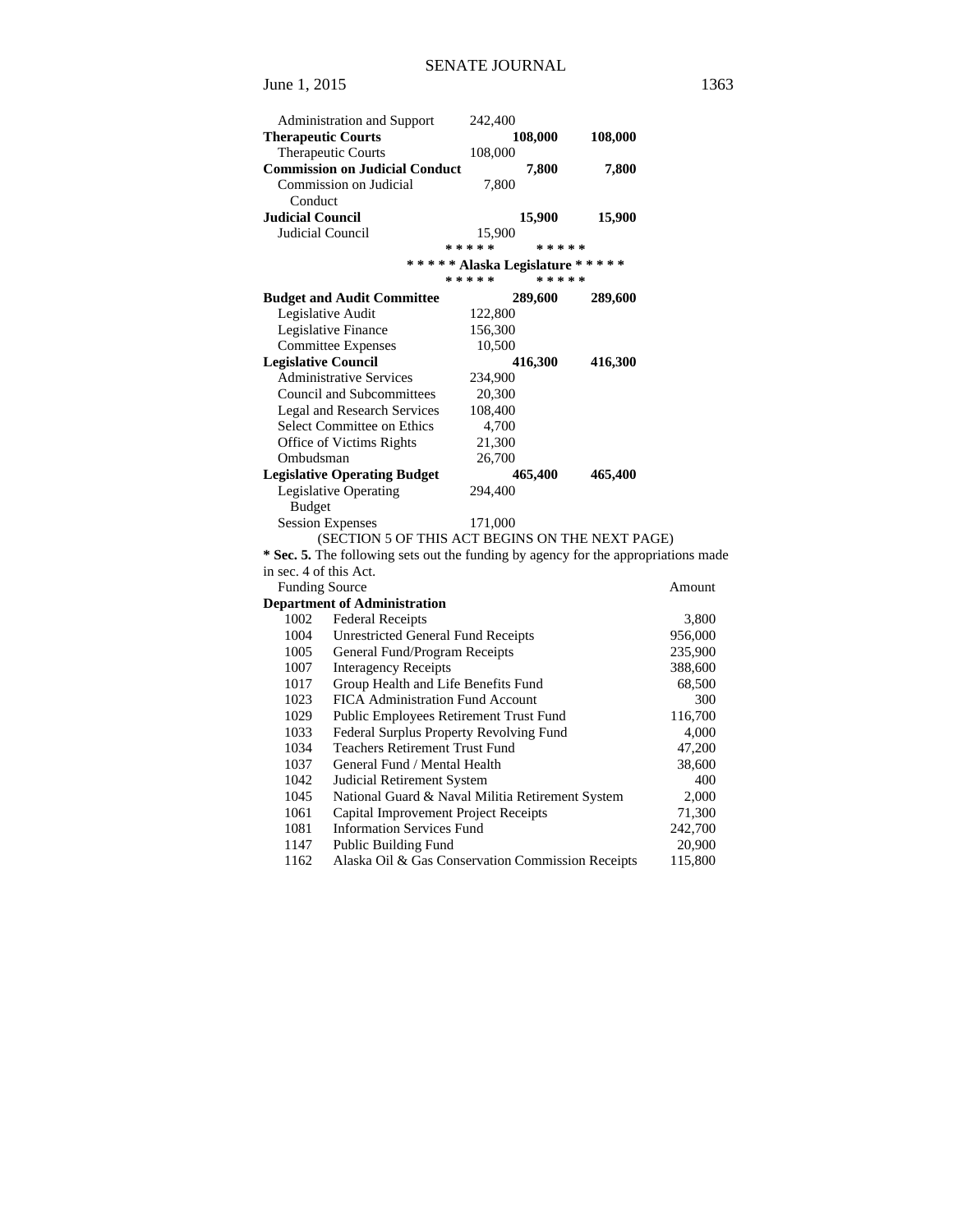| Administration and Support                                                         | 242,400   |           |         |         |
|------------------------------------------------------------------------------------|-----------|-----------|---------|---------|
| <b>Therapeutic Courts</b>                                                          |           | 108,000   | 108,000 |         |
| Therapeutic Courts                                                                 | 108,000   |           |         |         |
| <b>Commission on Judicial Conduct</b>                                              |           | 7,800     | 7,800   |         |
| Commission on Judicial                                                             | 7,800     |           |         |         |
| Conduct                                                                            |           |           |         |         |
| Judicial Council                                                                   |           | 15,900    | 15,900  |         |
| Judicial Council                                                                   | 15,900    |           |         |         |
|                                                                                    | * * * * * | * * * * * |         |         |
| ***** Alaska Legislature *****                                                     |           |           |         |         |
|                                                                                    | * * * * * | * * * * * |         |         |
| <b>Budget and Audit Committee</b>                                                  |           | 289,600   | 289,600 |         |
| Legislative Audit                                                                  | 122,800   |           |         |         |
| Legislative Finance                                                                | 156,300   |           |         |         |
| <b>Committee Expenses</b>                                                          | 10,500    |           |         |         |
| <b>Legislative Council</b>                                                         |           | 416,300   | 416,300 |         |
| <b>Administrative Services</b>                                                     | 234,900   |           |         |         |
| <b>Council and Subcommittees</b>                                                   | 20,300    |           |         |         |
| <b>Legal and Research Services</b>                                                 | 108,400   |           |         |         |
| Select Committee on Ethics                                                         | 4,700     |           |         |         |
| Office of Victims Rights                                                           | 21,300    |           |         |         |
| Ombudsman                                                                          | 26,700    |           |         |         |
| <b>Legislative Operating Budget</b>                                                |           | 465,400   | 465,400 |         |
| Legislative Operating                                                              | 294,400   |           |         |         |
| <b>Budget</b>                                                                      |           |           |         |         |
| <b>Session Expenses</b>                                                            | 171,000   |           |         |         |
| (SECTION 5 OF THIS ACT BEGINS ON THE NEXT PAGE)                                    |           |           |         |         |
| * Sec. 5. The following sets out the funding by agency for the appropriations made |           |           |         |         |
| in sec. 4 of this Act.                                                             |           |           |         |         |
| <b>Funding Source</b>                                                              |           |           |         | Amount  |
| <b>Department of Administration</b>                                                |           |           |         |         |
| 1002<br><b>Federal Receipts</b>                                                    |           |           |         | 3,800   |
| <b>Unrestricted General Fund Receipts</b><br>1004                                  |           |           |         | 956,000 |
| 1005<br>General Fund/Program Receipts                                              |           |           |         | 235,900 |
| 1007<br><b>Interagency Receipts</b>                                                |           |           |         | 388,600 |
| Group Health and Life Benefits Fund<br>1017                                        |           |           |         | 68,500  |
| FICA Administration Fund Account<br>1023                                           |           |           |         | 300     |
| Public Employees Retirement Trust Fund<br>1029                                     |           |           |         | 116,700 |
| 1033<br>Federal Surplus Property Revolving Fund                                    |           |           |         | 4,000   |
| 1034<br><b>Teachers Retirement Trust Fund</b>                                      |           |           |         | 47,200  |
| 1037<br>General Fund / Mental Health                                               |           |           |         | 38,600  |
| 1042<br>Judicial Retirement System                                                 |           |           |         | 400     |
| National Guard & Naval Militia Retirement System<br>1045                           |           |           |         | 2,000   |
| 1061<br>Capital Improvement Project Receipts                                       |           |           |         | 71,300  |
| <b>Information Services Fund</b><br>1081                                           |           |           |         | 242,700 |
| 1147<br><b>Public Building Fund</b>                                                |           |           |         | 20,900  |
| Alaska Oil & Gas Conservation Commission Receipts<br>1162                          |           |           |         | 115,800 |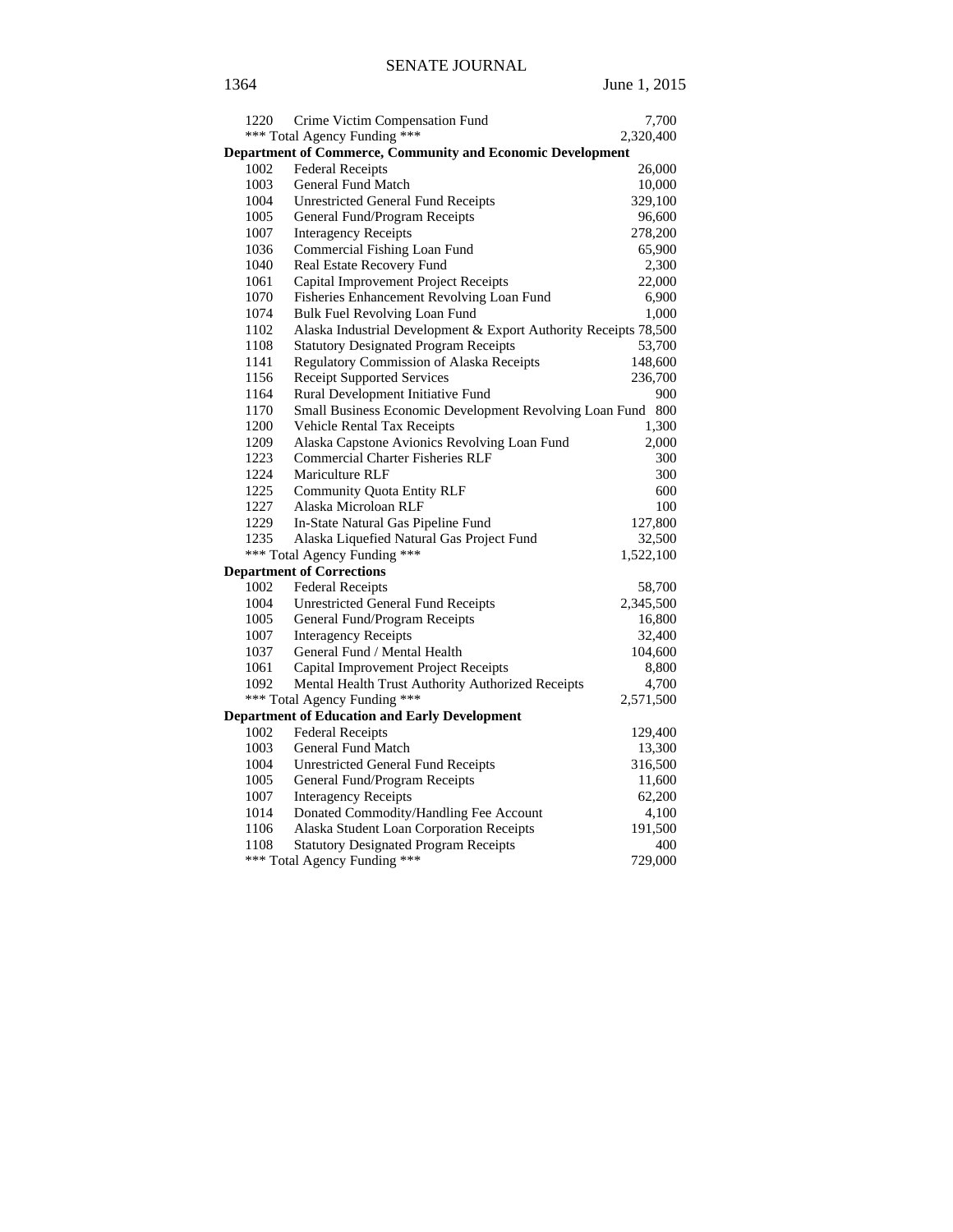| 1220 | Crime Victim Compensation Fund                                    | 7,700     |
|------|-------------------------------------------------------------------|-----------|
|      | *** Total Agency Funding ***                                      | 2,320,400 |
|      | <b>Department of Commerce, Community and Economic Development</b> |           |
| 1002 | <b>Federal Receipts</b>                                           | 26,000    |
| 1003 | General Fund Match                                                | 10,000    |
| 1004 | <b>Unrestricted General Fund Receipts</b>                         | 329,100   |
| 1005 | General Fund/Program Receipts                                     | 96,600    |
| 1007 | <b>Interagency Receipts</b>                                       | 278,200   |
| 1036 | Commercial Fishing Loan Fund                                      | 65,900    |
| 1040 | Real Estate Recovery Fund                                         | 2,300     |
| 1061 | Capital Improvement Project Receipts                              | 22,000    |
| 1070 | Fisheries Enhancement Revolving Loan Fund                         | 6,900     |
| 1074 | Bulk Fuel Revolving Loan Fund                                     | 1,000     |
| 1102 | Alaska Industrial Development & Export Authority Receipts 78,500  |           |
| 1108 | <b>Statutory Designated Program Receipts</b>                      | 53,700    |
| 1141 | Regulatory Commission of Alaska Receipts                          | 148,600   |
| 1156 | <b>Receipt Supported Services</b>                                 | 236,700   |
| 1164 | Rural Development Initiative Fund                                 | 900       |
| 1170 | Small Business Economic Development Revolving Loan Fund           | 800       |
| 1200 | Vehicle Rental Tax Receipts                                       | 1,300     |
| 1209 | Alaska Capstone Avionics Revolving Loan Fund                      | 2,000     |
| 1223 | <b>Commercial Charter Fisheries RLF</b>                           | 300       |
| 1224 | <b>Mariculture RLF</b>                                            | 300       |
| 1225 | <b>Community Quota Entity RLF</b>                                 | 600       |
| 1227 | Alaska Microloan RLF                                              | 100       |
| 1229 | In-State Natural Gas Pipeline Fund                                | 127,800   |
| 1235 | Alaska Liquefied Natural Gas Project Fund                         | 32,500    |
|      | *** Total Agency Funding ***                                      | 1,522,100 |
|      | <b>Department of Corrections</b>                                  |           |
| 1002 | <b>Federal Receipts</b>                                           | 58,700    |
| 1004 | <b>Unrestricted General Fund Receipts</b>                         | 2,345,500 |
| 1005 | General Fund/Program Receipts                                     | 16,800    |
| 1007 | <b>Interagency Receipts</b>                                       | 32,400    |
| 1037 | General Fund / Mental Health                                      | 104,600   |
| 1061 | Capital Improvement Project Receipts                              | 8,800     |
| 1092 | Mental Health Trust Authority Authorized Receipts                 | 4,700     |
|      | *** Total Agency Funding ***                                      | 2,571,500 |
|      | <b>Department of Education and Early Development</b>              |           |
| 1002 | <b>Federal Receipts</b>                                           | 129,400   |
| 1003 | General Fund Match                                                | 13,300    |
| 1004 | <b>Unrestricted General Fund Receipts</b>                         | 316,500   |
| 1005 | General Fund/Program Receipts                                     | 11,600    |
| 1007 | <b>Interagency Receipts</b>                                       | 62,200    |
| 1014 | Donated Commodity/Handling Fee Account                            | 4,100     |
| 1106 | Alaska Student Loan Corporation Receipts                          | 191,500   |
| 1108 | <b>Statutory Designated Program Receipts</b>                      | 400       |
|      | *** Total Agency Funding ***                                      | 729,000   |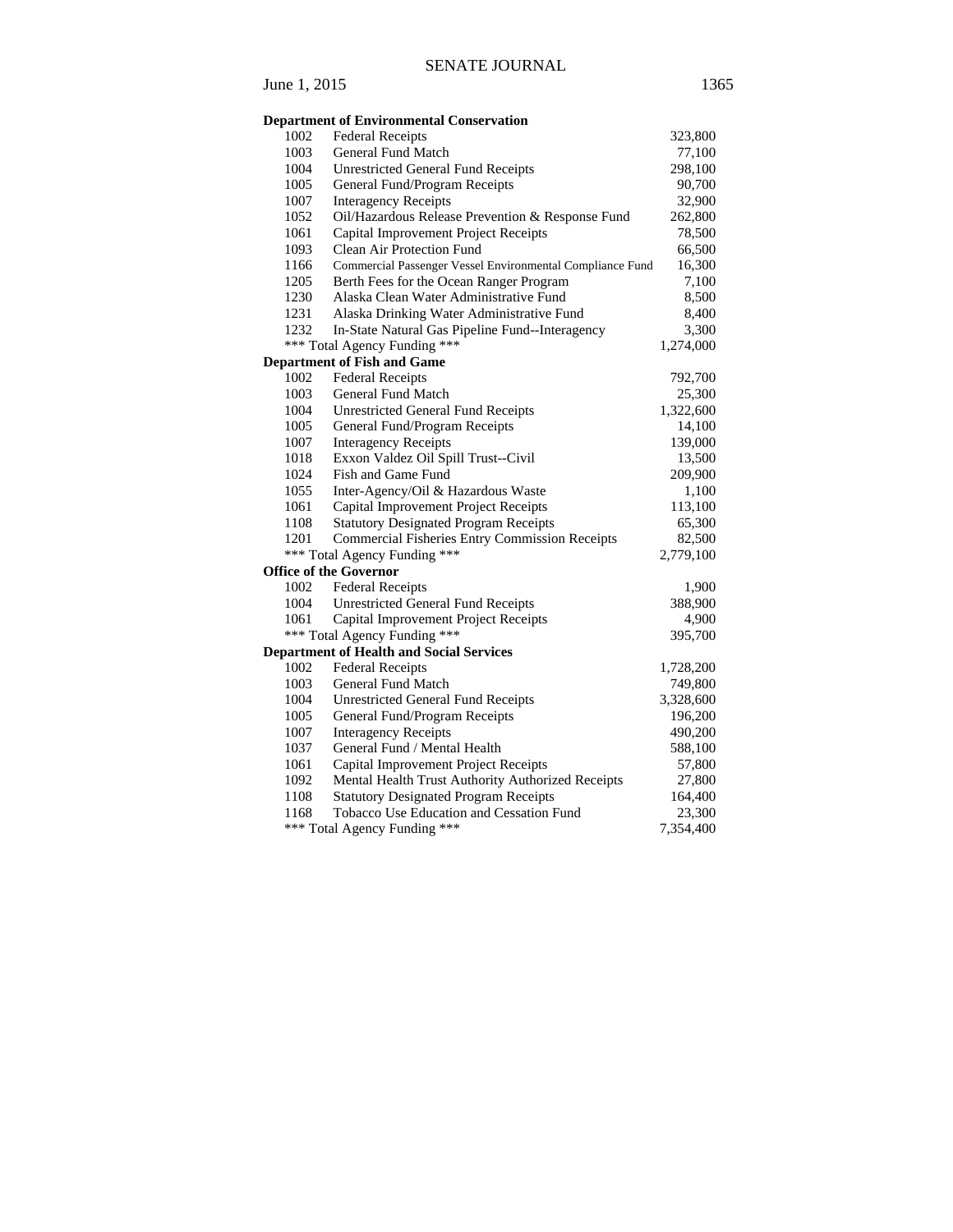|      | <b>Department of Environmental Conservation</b>                                   |           |
|------|-----------------------------------------------------------------------------------|-----------|
| 1002 | <b>Federal Receipts</b>                                                           | 323,800   |
| 1003 | General Fund Match                                                                | 77,100    |
| 1004 | <b>Unrestricted General Fund Receipts</b>                                         | 298,100   |
| 1005 | General Fund/Program Receipts                                                     | 90,700    |
| 1007 | <b>Interagency Receipts</b>                                                       | 32,900    |
| 1052 | Oil/Hazardous Release Prevention & Response Fund                                  | 262,800   |
| 1061 |                                                                                   |           |
| 1093 | Capital Improvement Project Receipts<br>Clean Air Protection Fund                 | 78,500    |
|      |                                                                                   | 66,500    |
| 1166 | Commercial Passenger Vessel Environmental Compliance Fund                         | 16,300    |
| 1205 | Berth Fees for the Ocean Ranger Program<br>Alaska Clean Water Administrative Fund | 7,100     |
| 1230 |                                                                                   | 8,500     |
| 1231 | Alaska Drinking Water Administrative Fund                                         | 8,400     |
| 1232 | In-State Natural Gas Pipeline Fund--Interagency                                   | 3,300     |
|      | *** Total Agency Funding ***                                                      | 1,274,000 |
|      | <b>Department of Fish and Game</b>                                                |           |
| 1002 | <b>Federal Receipts</b>                                                           | 792,700   |
| 1003 | <b>General Fund Match</b>                                                         | 25,300    |
| 1004 | <b>Unrestricted General Fund Receipts</b>                                         | 1,322,600 |
| 1005 | General Fund/Program Receipts                                                     | 14,100    |
| 1007 | <b>Interagency Receipts</b>                                                       | 139,000   |
| 1018 | Exxon Valdez Oil Spill Trust--Civil                                               | 13,500    |
| 1024 | Fish and Game Fund                                                                | 209,900   |
| 1055 | Inter-Agency/Oil & Hazardous Waste                                                | 1,100     |
| 1061 | Capital Improvement Project Receipts                                              | 113,100   |
| 1108 | <b>Statutory Designated Program Receipts</b>                                      | 65,300    |
| 1201 | <b>Commercial Fisheries Entry Commission Receipts</b>                             | 82,500    |
| ***  | Total Agency Funding ***                                                          | 2,779,100 |
|      | <b>Office of the Governor</b>                                                     |           |
| 1002 | <b>Federal Receipts</b>                                                           | 1,900     |
| 1004 | <b>Unrestricted General Fund Receipts</b>                                         | 388,900   |
| 1061 | Capital Improvement Project Receipts                                              | 4,900     |
|      | *** Total Agency Funding ***                                                      | 395,700   |
|      | <b>Department of Health and Social Services</b>                                   |           |
| 1002 | <b>Federal Receipts</b>                                                           | 1,728,200 |
| 1003 | <b>General Fund Match</b>                                                         | 749,800   |
| 1004 | <b>Unrestricted General Fund Receipts</b>                                         | 3,328,600 |
| 1005 | General Fund/Program Receipts                                                     | 196,200   |
| 1007 | <b>Interagency Receipts</b>                                                       | 490,200   |
| 1037 | General Fund / Mental Health                                                      | 588,100   |
| 1061 | Capital Improvement Project Receipts                                              | 57,800    |
| 1092 | Mental Health Trust Authority Authorized Receipts                                 | 27,800    |
| 1108 | <b>Statutory Designated Program Receipts</b>                                      | 164,400   |
| 1168 | Tobacco Use Education and Cessation Fund                                          | 23,300    |
|      | *** Total Agency Funding ***                                                      | 7,354,400 |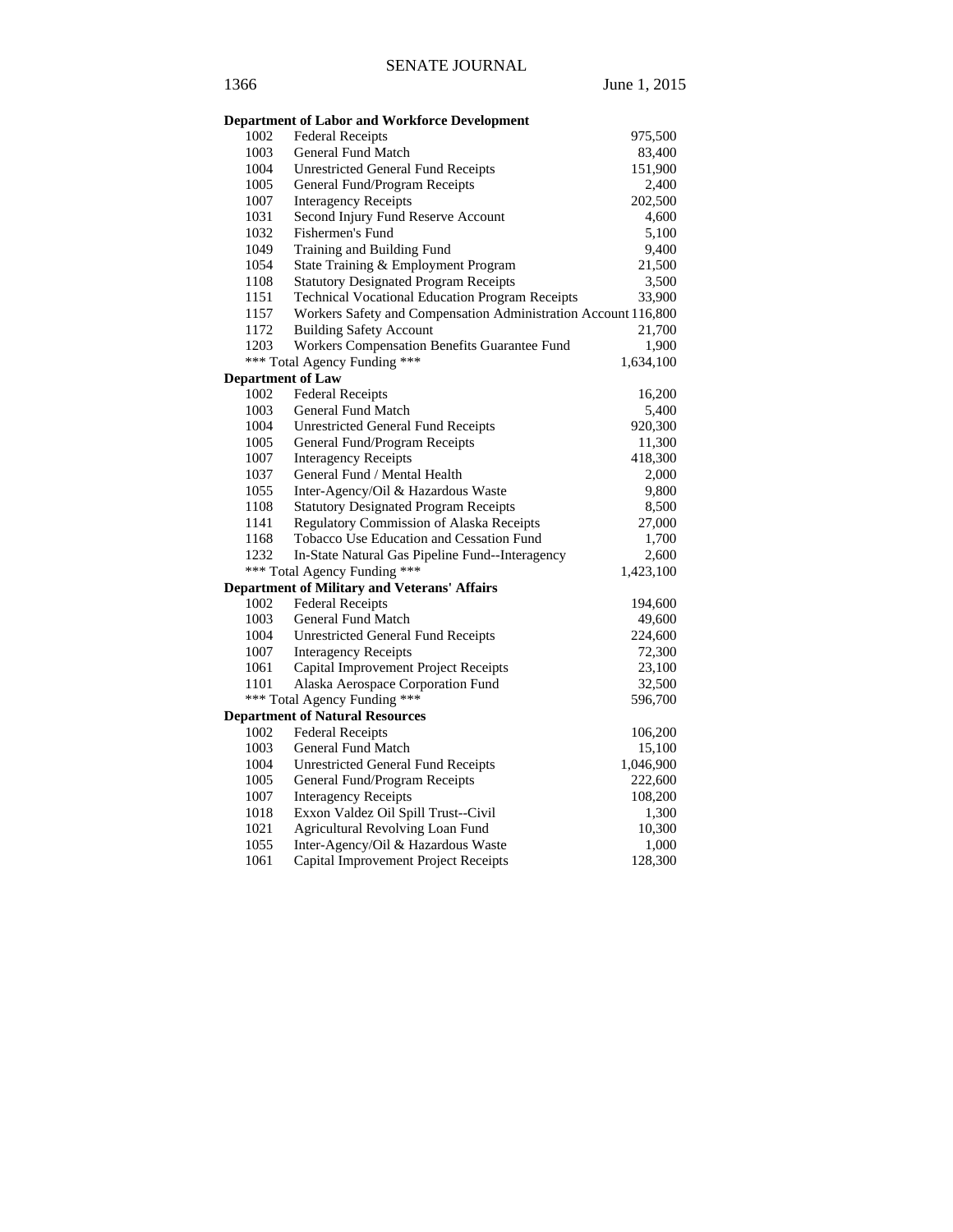|                          | <b>Department of Labor and Workforce Development</b>           |           |
|--------------------------|----------------------------------------------------------------|-----------|
| 1002                     | <b>Federal Receipts</b>                                        | 975,500   |
| 1003                     | <b>General Fund Match</b>                                      | 83,400    |
| 1004                     | <b>Unrestricted General Fund Receipts</b>                      | 151,900   |
| 1005                     | General Fund/Program Receipts                                  | 2,400     |
| 1007                     | <b>Interagency Receipts</b>                                    | 202,500   |
| 1031                     | Second Injury Fund Reserve Account                             | 4,600     |
| 1032                     | Fishermen's Fund                                               | 5,100     |
| 1049                     | Training and Building Fund                                     | 9,400     |
| 1054                     | State Training & Employment Program                            | 21,500    |
| 1108                     | <b>Statutory Designated Program Receipts</b>                   | 3,500     |
| 1151                     | <b>Technical Vocational Education Program Receipts</b>         | 33,900    |
| 1157                     | Workers Safety and Compensation Administration Account 116,800 |           |
| 1172                     | <b>Building Safety Account</b>                                 | 21,700    |
| 1203                     | Workers Compensation Benefits Guarantee Fund                   | 1,900     |
|                          | *** Total Agency Funding ***                                   | 1,634,100 |
| <b>Department of Law</b> |                                                                |           |
| 1002                     | <b>Federal Receipts</b>                                        | 16,200    |
| 1003                     | <b>General Fund Match</b>                                      | 5,400     |
| 1004                     | <b>Unrestricted General Fund Receipts</b>                      | 920,300   |
| 1005                     | General Fund/Program Receipts                                  | 11,300    |
| 1007                     | <b>Interagency Receipts</b>                                    | 418,300   |
| 1037                     | General Fund / Mental Health                                   | 2,000     |
| 1055                     | Inter-Agency/Oil & Hazardous Waste                             | 9,800     |
| 1108                     | <b>Statutory Designated Program Receipts</b>                   | 8,500     |
| 1141                     | Regulatory Commission of Alaska Receipts                       | 27,000    |
| 1168                     | Tobacco Use Education and Cessation Fund                       | 1,700     |
| 1232                     | In-State Natural Gas Pipeline Fund--Interagency                | 2,600     |
|                          | *** Total Agency Funding ***                                   | 1,423,100 |
|                          | <b>Department of Military and Veterans' Affairs</b>            |           |
| 1002                     | <b>Federal Receipts</b>                                        | 194,600   |
| 1003                     | <b>General Fund Match</b>                                      | 49,600    |
| 1004                     | <b>Unrestricted General Fund Receipts</b>                      | 224,600   |
| 1007                     | <b>Interagency Receipts</b>                                    | 72,300    |
| 1061                     | Capital Improvement Project Receipts                           | 23,100    |
| 1101                     | Alaska Aerospace Corporation Fund                              | 32,500    |
|                          | *** Total Agency Funding ***                                   | 596,700   |
|                          | <b>Department of Natural Resources</b>                         |           |
| 1002                     | <b>Federal Receipts</b>                                        | 106,200   |
| 1003                     | General Fund Match                                             | 15,100    |
| 1004                     | <b>Unrestricted General Fund Receipts</b>                      | 1,046,900 |
| 1005                     | General Fund/Program Receipts                                  | 222,600   |
| 1007                     | <b>Interagency Receipts</b>                                    | 108,200   |
| 1018                     | Exxon Valdez Oil Spill Trust--Civil                            | 1,300     |
| 1021                     | Agricultural Revolving Loan Fund                               | 10,300    |
| 1055                     | Inter-Agency/Oil & Hazardous Waste                             | 1,000     |
| 1061                     | Capital Improvement Project Receipts                           | 128,300   |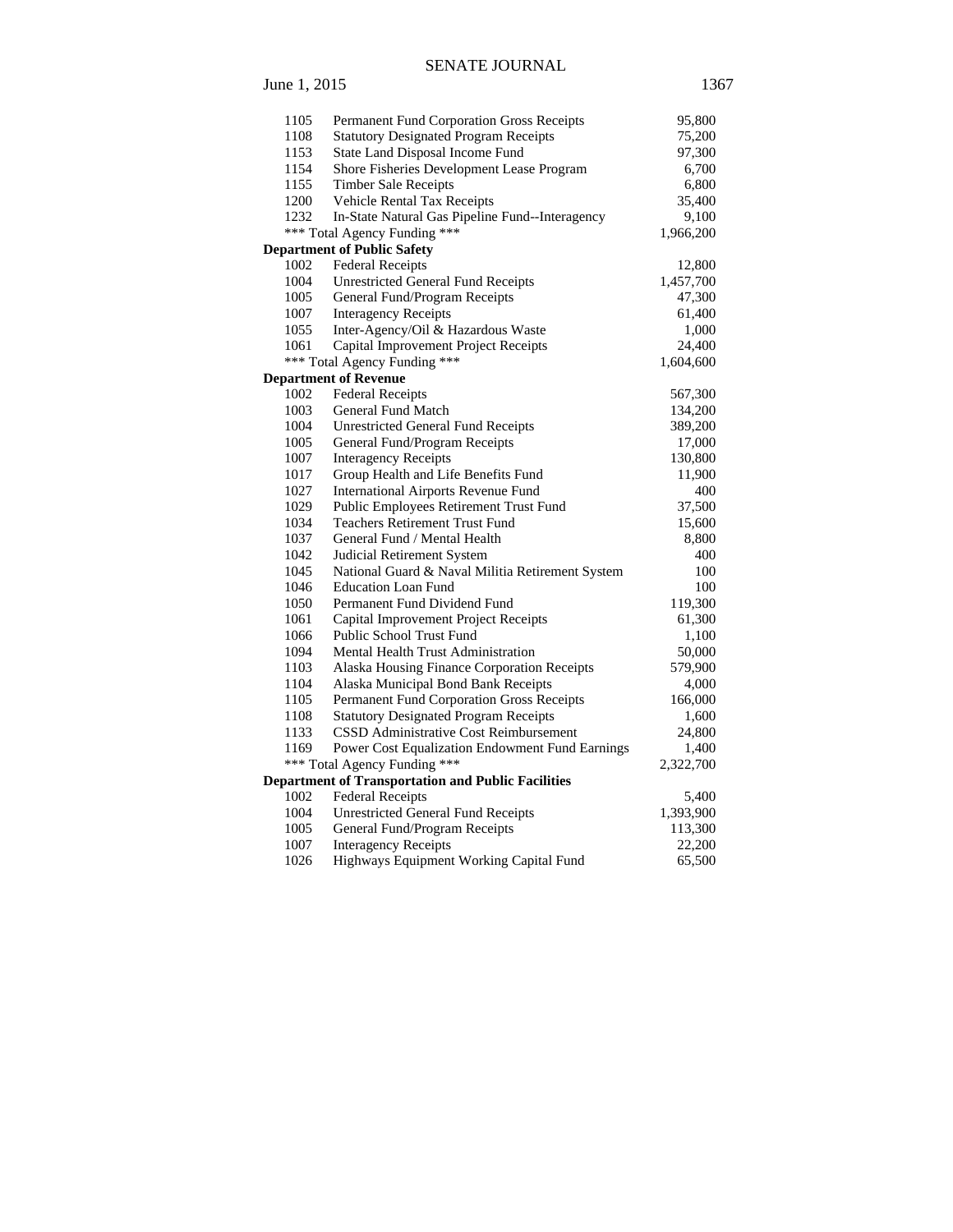# SENATE JOURNAL June 1, 2015 1367

| 1105 | Permanent Fund Corporation Gross Receipts                 | 95,800    |
|------|-----------------------------------------------------------|-----------|
| 1108 | <b>Statutory Designated Program Receipts</b>              | 75,200    |
| 1153 | State Land Disposal Income Fund                           | 97,300    |
| 1154 | Shore Fisheries Development Lease Program                 | 6,700     |
| 1155 | <b>Timber Sale Receipts</b>                               | 6,800     |
| 1200 | Vehicle Rental Tax Receipts                               | 35,400    |
| 1232 | In-State Natural Gas Pipeline Fund--Interagency           | 9,100     |
|      | *** Total Agency Funding ***                              | 1,966,200 |
|      | <b>Department of Public Safety</b>                        |           |
| 1002 | <b>Federal Receipts</b>                                   | 12,800    |
| 1004 | <b>Unrestricted General Fund Receipts</b>                 | 1,457,700 |
| 1005 | General Fund/Program Receipts                             | 47,300    |
| 1007 | <b>Interagency Receipts</b>                               | 61,400    |
| 1055 | Inter-Agency/Oil & Hazardous Waste                        | 1,000     |
| 1061 | Capital Improvement Project Receipts                      | 24,400    |
|      | *** Total Agency Funding ***                              | 1,604,600 |
|      | <b>Department of Revenue</b>                              |           |
| 1002 | <b>Federal Receipts</b>                                   | 567,300   |
| 1003 | General Fund Match                                        | 134,200   |
| 1004 | <b>Unrestricted General Fund Receipts</b>                 | 389,200   |
| 1005 | General Fund/Program Receipts                             | 17,000    |
| 1007 | <b>Interagency Receipts</b>                               | 130,800   |
| 1017 | Group Health and Life Benefits Fund                       | 11,900    |
| 1027 | <b>International Airports Revenue Fund</b>                | 400       |
| 1029 | Public Employees Retirement Trust Fund                    | 37,500    |
| 1034 | <b>Teachers Retirement Trust Fund</b>                     | 15,600    |
| 1037 | General Fund / Mental Health                              | 8,800     |
| 1042 | Judicial Retirement System                                | 400       |
| 1045 | National Guard & Naval Militia Retirement System          | 100       |
| 1046 | <b>Education Loan Fund</b>                                | 100       |
| 1050 | Permanent Fund Dividend Fund                              | 119,300   |
| 1061 | Capital Improvement Project Receipts                      | 61,300    |
| 1066 | <b>Public School Trust Fund</b>                           | 1,100     |
| 1094 | Mental Health Trust Administration                        | 50,000    |
| 1103 | Alaska Housing Finance Corporation Receipts               | 579,900   |
| 1104 | Alaska Municipal Bond Bank Receipts                       | 4,000     |
| 1105 | Permanent Fund Corporation Gross Receipts                 | 166,000   |
| 1108 | <b>Statutory Designated Program Receipts</b>              | 1,600     |
| 1133 | CSSD Administrative Cost Reimbursement                    | 24,800    |
| 1169 | <b>Power Cost Equalization Endowment Fund Earnings</b>    | 1,400     |
|      | *** Total Agency Funding ***                              | 2,322,700 |
|      | <b>Department of Transportation and Public Facilities</b> |           |
| 1002 | <b>Federal Receipts</b>                                   | 5,400     |
| 1004 | <b>Unrestricted General Fund Receipts</b>                 | 1,393,900 |
| 1005 | General Fund/Program Receipts                             | 113,300   |
| 1007 | <b>Interagency Receipts</b>                               | 22,200    |
| 1026 | Highways Equipment Working Capital Fund                   | 65,500    |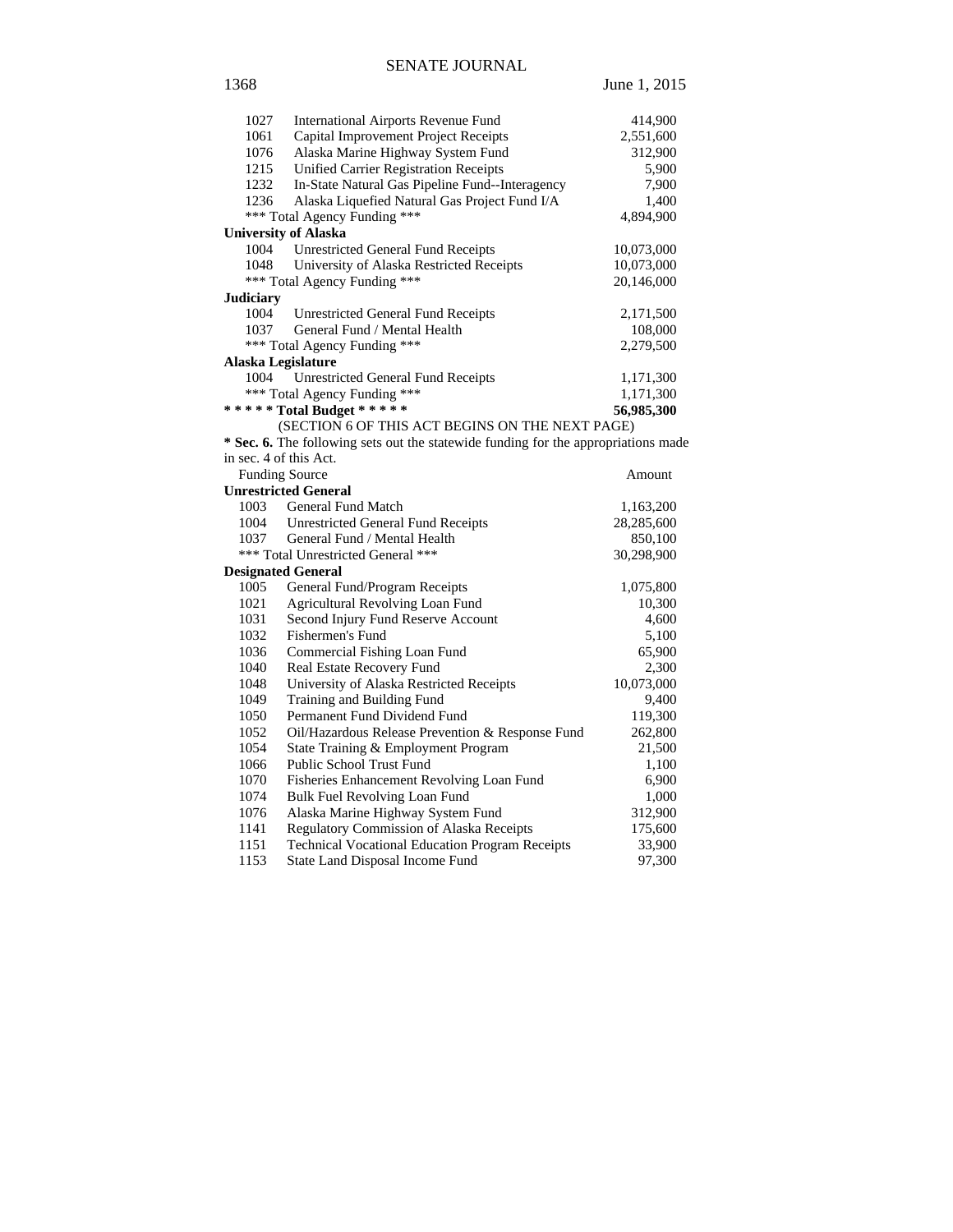| 1027             | <b>International Airports Revenue Fund</b>                                         | 414,900    |
|------------------|------------------------------------------------------------------------------------|------------|
| 1061             | Capital Improvement Project Receipts                                               | 2,551,600  |
| 1076             | Alaska Marine Highway System Fund                                                  | 312,900    |
| 1215             | <b>Unified Carrier Registration Receipts</b>                                       | 5,900      |
| 1232             | In-State Natural Gas Pipeline Fund--Interagency                                    | 7,900      |
| 1236             | Alaska Liquefied Natural Gas Project Fund I/A                                      | 1,400      |
|                  | *** Total Agency Funding ***                                                       | 4,894,900  |
|                  | <b>University of Alaska</b>                                                        |            |
| 1004             | <b>Unrestricted General Fund Receipts</b>                                          | 10,073,000 |
| 1048             | University of Alaska Restricted Receipts                                           | 10,073,000 |
|                  | *** Total Agency Funding ***                                                       | 20,146,000 |
| <b>Judiciary</b> |                                                                                    |            |
| 1004             | <b>Unrestricted General Fund Receipts</b>                                          | 2,171,500  |
| 1037             | General Fund / Mental Health                                                       | 108,000    |
|                  | *** Total Agency Funding ***                                                       | 2,279,500  |
|                  | Alaska Legislature                                                                 |            |
| 1004             | Unrestricted General Fund Receipts                                                 | 1,171,300  |
|                  | *** Total Agency Funding ***                                                       | 1,171,300  |
|                  | ***** Total Budget *****                                                           | 56,985,300 |
|                  | (SECTION 6 OF THIS ACT BEGINS ON THE NEXT PAGE)                                    |            |
|                  | * Sec. 6. The following sets out the statewide funding for the appropriations made |            |
|                  | in sec. 4 of this Act.                                                             |            |
|                  | <b>Funding Source</b>                                                              | Amount     |
|                  | <b>Unrestricted General</b>                                                        |            |
| 1003             | <b>General Fund Match</b>                                                          | 1,163,200  |
|                  | 1004 Unrestricted General Fund Receipts                                            | 28,285,600 |
| 1037             | General Fund / Mental Health                                                       | 850,100    |
|                  | *** Total Unrestricted General ***                                                 | 30,298,900 |
|                  | <b>Designated General</b>                                                          |            |
| 1005             | General Fund/Program Receipts                                                      | 1,075,800  |
| 1021             | Agricultural Revolving Loan Fund                                                   | 10,300     |
| 1031             | Second Injury Fund Reserve Account                                                 | 4,600      |
| 1032             | Fishermen's Fund                                                                   | 5,100      |
| 1036             | Commercial Fishing Loan Fund                                                       | 65,900     |
| 1040             | Real Estate Recovery Fund                                                          | 2,300      |
| 1048             | University of Alaska Restricted Receipts                                           | 10,073,000 |
| 1049             | Training and Building Fund                                                         | 9,400      |
| 1050             | Permanent Fund Dividend Fund                                                       | 119,300    |
| 1052             | Oil/Hazardous Release Prevention & Response Fund                                   | 262,800    |
| 1054             | State Training & Employment Program                                                | 21,500     |

1066 Public School Trust Fund 1,100 1070 Fisheries Enhancement Revolving Loan Fund 6,900<br>1074 Bulk Fuel Revolving Loan Fund 1,000 1074 Bulk Fuel Revolving Loan Fund 1,000<br>1076 Alaska Marine Highway System Fund 312,900

1141 Regulatory Commission of Alaska Receipts 175,600<br>1151 Technical Vocational Education Program Receipts 33,900 1151 Technical Vocational Education Program Receipts 33,900<br>1153 State Land Disposal Income Fund 97,300 State Land Disposal Income Fund 97,300

Alaska Marine Highway System Fund

1368 June 1, 2015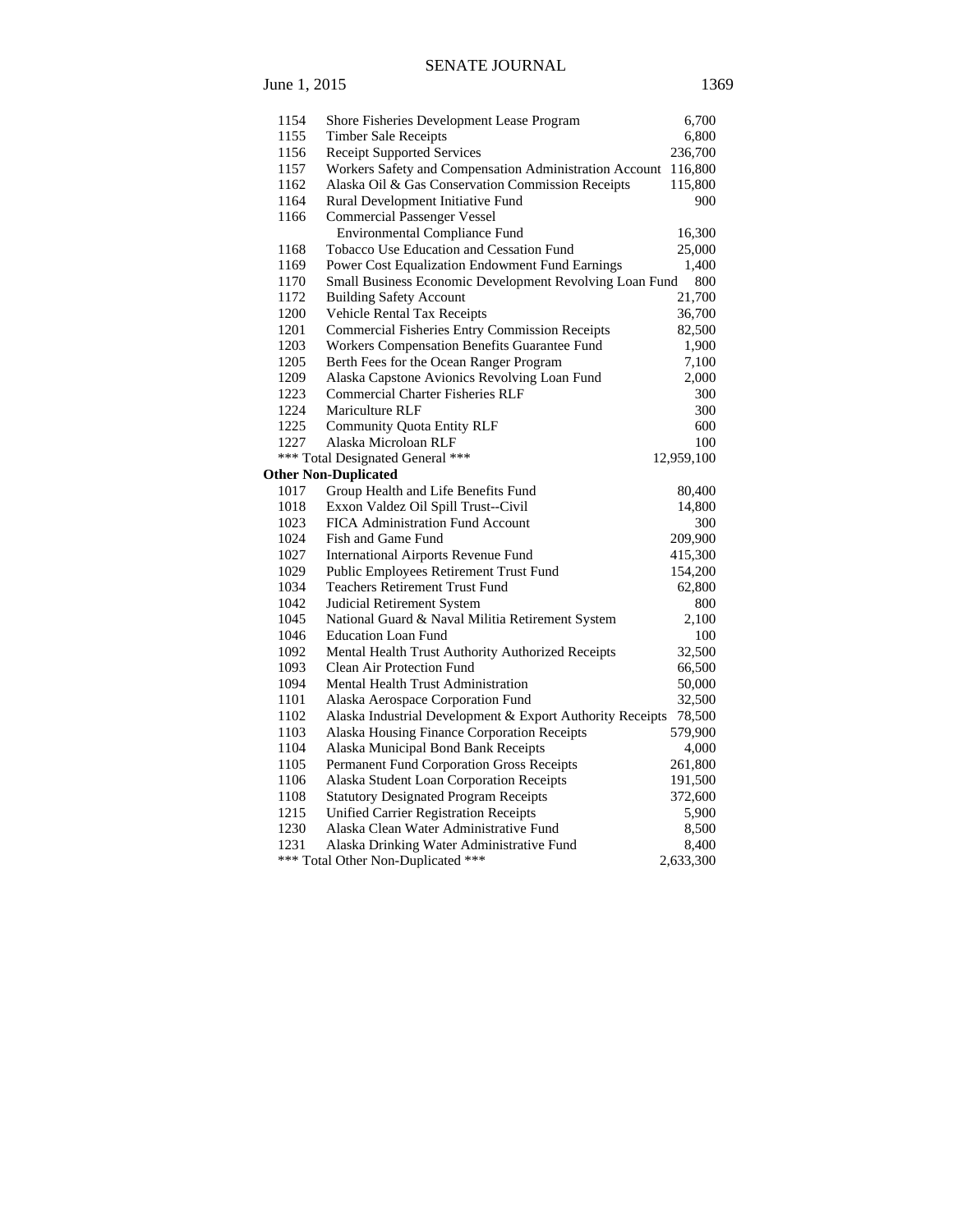# SENATE JOURNAL

| 1154 | Shore Fisheries Development Lease Program                 | 6,700      |
|------|-----------------------------------------------------------|------------|
| 1155 | <b>Timber Sale Receipts</b>                               | 6,800      |
| 1156 | <b>Receipt Supported Services</b>                         | 236,700    |
| 1157 | Workers Safety and Compensation Administration Account    | 116,800    |
| 1162 | Alaska Oil & Gas Conservation Commission Receipts         | 115,800    |
| 1164 | Rural Development Initiative Fund                         | 900        |
| 1166 | <b>Commercial Passenger Vessel</b>                        |            |
|      | <b>Environmental Compliance Fund</b>                      | 16,300     |
| 1168 | Tobacco Use Education and Cessation Fund                  | 25,000     |
| 1169 | Power Cost Equalization Endowment Fund Earnings           | 1,400      |
| 1170 | Small Business Economic Development Revolving Loan Fund   | 800        |
| 1172 | <b>Building Safety Account</b>                            | 21,700     |
| 1200 | Vehicle Rental Tax Receipts                               | 36,700     |
| 1201 | <b>Commercial Fisheries Entry Commission Receipts</b>     | 82,500     |
| 1203 | Workers Compensation Benefits Guarantee Fund              | 1,900      |
| 1205 | Berth Fees for the Ocean Ranger Program                   | 7,100      |
| 1209 | Alaska Capstone Avionics Revolving Loan Fund              | 2,000      |
| 1223 | <b>Commercial Charter Fisheries RLF</b>                   | 300        |
| 1224 | Mariculture RLF                                           | 300        |
| 1225 | <b>Community Quota Entity RLF</b>                         | 600        |
| 1227 | Alaska Microloan RLF                                      | 100        |
|      | *** Total Designated General ***                          | 12,959,100 |
|      | <b>Other Non-Duplicated</b>                               |            |
| 1017 | Group Health and Life Benefits Fund                       | 80,400     |
| 1018 | Exxon Valdez Oil Spill Trust--Civil                       | 14,800     |
| 1023 | <b>FICA Administration Fund Account</b>                   | 300        |
| 1024 | Fish and Game Fund                                        | 209,900    |
| 1027 | <b>International Airports Revenue Fund</b>                | 415,300    |
| 1029 | Public Employees Retirement Trust Fund                    | 154,200    |
| 1034 | <b>Teachers Retirement Trust Fund</b>                     | 62,800     |
| 1042 | Judicial Retirement System                                | 800        |
| 1045 | National Guard & Naval Militia Retirement System          | 2,100      |
| 1046 | <b>Education Loan Fund</b>                                | 100        |
| 1092 | Mental Health Trust Authority Authorized Receipts         | 32,500     |
| 1093 | <b>Clean Air Protection Fund</b>                          | 66,500     |
| 1094 | Mental Health Trust Administration                        | 50,000     |
| 1101 | Alaska Aerospace Corporation Fund                         | 32,500     |
| 1102 | Alaska Industrial Development & Export Authority Receipts | 78,500     |
| 1103 | Alaska Housing Finance Corporation Receipts               | 579,900    |
| 1104 | Alaska Municipal Bond Bank Receipts                       | 4,000      |
| 1105 | Permanent Fund Corporation Gross Receipts                 | 261,800    |
| 1106 | Alaska Student Loan Corporation Receipts                  | 191,500    |
| 1108 | <b>Statutory Designated Program Receipts</b>              | 372,600    |
| 1215 | <b>Unified Carrier Registration Receipts</b>              | 5,900      |
| 1230 | Alaska Clean Water Administrative Fund                    | 8,500      |
| 1231 | Alaska Drinking Water Administrative Fund                 | 8,400      |
|      | *** Total Other Non-Duplicated ***                        | 2,633,300  |

June 1, 2015 1369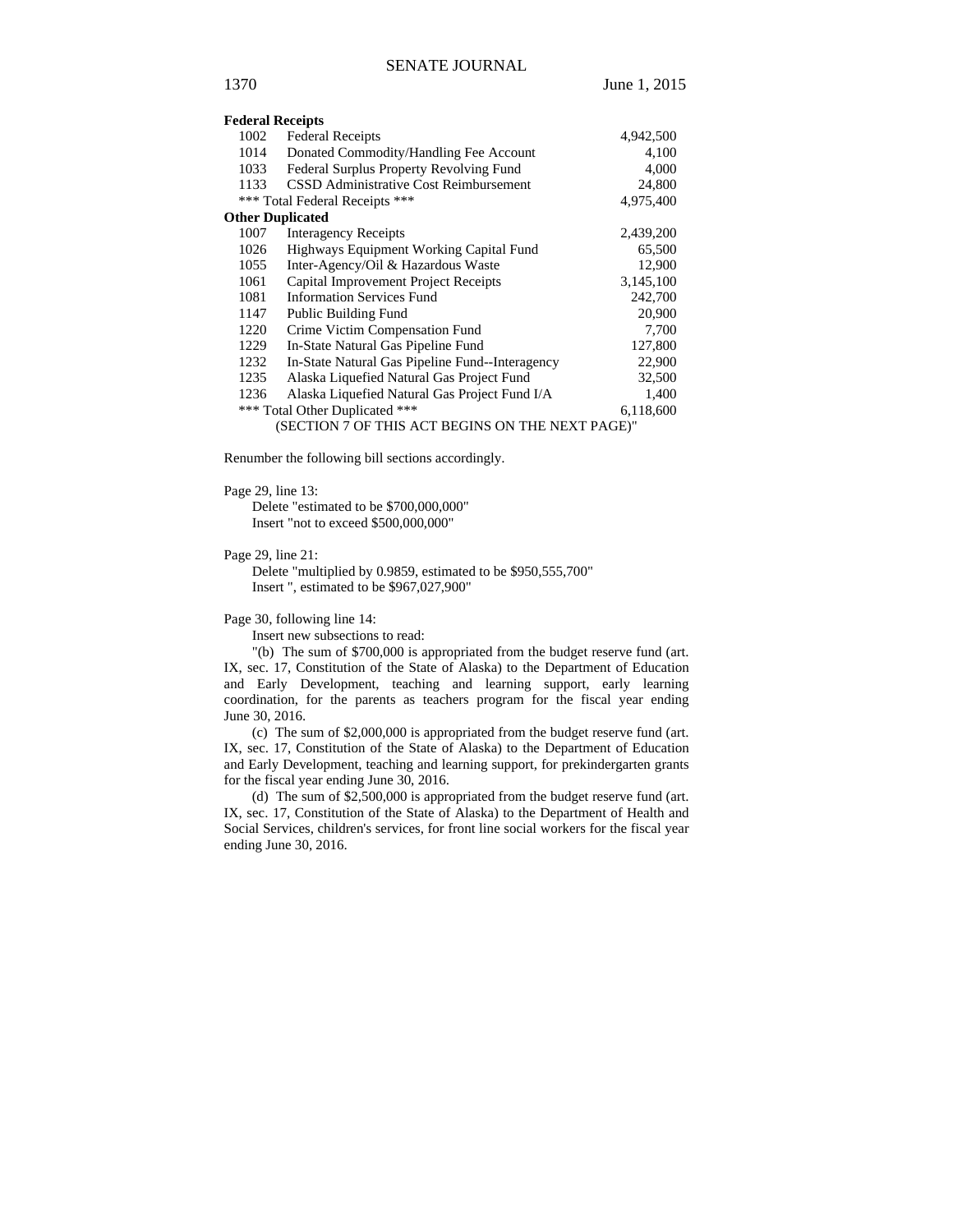|                                             | <b>Federal Receipts</b>                          |           |  |
|---------------------------------------------|--------------------------------------------------|-----------|--|
| 1002                                        | <b>Federal Receipts</b>                          | 4,942,500 |  |
| 1014                                        | Donated Commodity/Handling Fee Account           | 4,100     |  |
| 1033                                        | Federal Surplus Property Revolving Fund          | 4,000     |  |
| 1133                                        | CSSD Administrative Cost Reimbursement           | 24,800    |  |
|                                             | *** Total Federal Receipts ***                   | 4,975,400 |  |
|                                             | <b>Other Duplicated</b>                          |           |  |
| 1007                                        | <b>Interagency Receipts</b>                      | 2,439,200 |  |
| 1026                                        | Highways Equipment Working Capital Fund          | 65,500    |  |
| 1055                                        | Inter-Agency/Oil & Hazardous Waste               | 12,900    |  |
| 1061                                        | Capital Improvement Project Receipts             | 3,145,100 |  |
| 1081                                        | <b>Information Services Fund</b>                 | 242,700   |  |
| 1147                                        | <b>Public Building Fund</b>                      | 20,900    |  |
| 1220                                        | Crime Victim Compensation Fund                   | 7,700     |  |
| 1229                                        | In-State Natural Gas Pipeline Fund               | 127,800   |  |
| 1232                                        | In-State Natural Gas Pipeline Fund--Interagency  | 22,900    |  |
| 1235                                        | Alaska Liquefied Natural Gas Project Fund        | 32,500    |  |
| 1236                                        | Alaska Liquefied Natural Gas Project Fund I/A    | 1,400     |  |
| *** Total Other Duplicated ***<br>6,118,600 |                                                  |           |  |
|                                             | (SECTION 7 OF THIS ACT BEGINS ON THE NEXT PAGE)" |           |  |

Renumber the following bill sections accordingly.

#### Page 29, line 13:

Delete "estimated to be \$700,000,000" Insert "not to exceed \$500,000,000"

#### Page 29, line 21:

Delete "multiplied by 0.9859, estimated to be \$950,555,700" Insert ", estimated to be \$967,027,900"

Page 30, following line 14:

Insert new subsections to read:

"(b) The sum of \$700,000 is appropriated from the budget reserve fund (art. IX, sec. 17, Constitution of the State of Alaska) to the Department of Education and Early Development, teaching and learning support, early learning coordination, for the parents as teachers program for the fiscal year ending June 30, 2016.

(c) The sum of \$2,000,000 is appropriated from the budget reserve fund (art. IX, sec. 17, Constitution of the State of Alaska) to the Department of Education and Early Development, teaching and learning support, for prekindergarten grants for the fiscal year ending June 30, 2016.

(d) The sum of \$2,500,000 is appropriated from the budget reserve fund (art. IX, sec. 17, Constitution of the State of Alaska) to the Department of Health and Social Services, children's services, for front line social workers for the fiscal year ending June 30, 2016.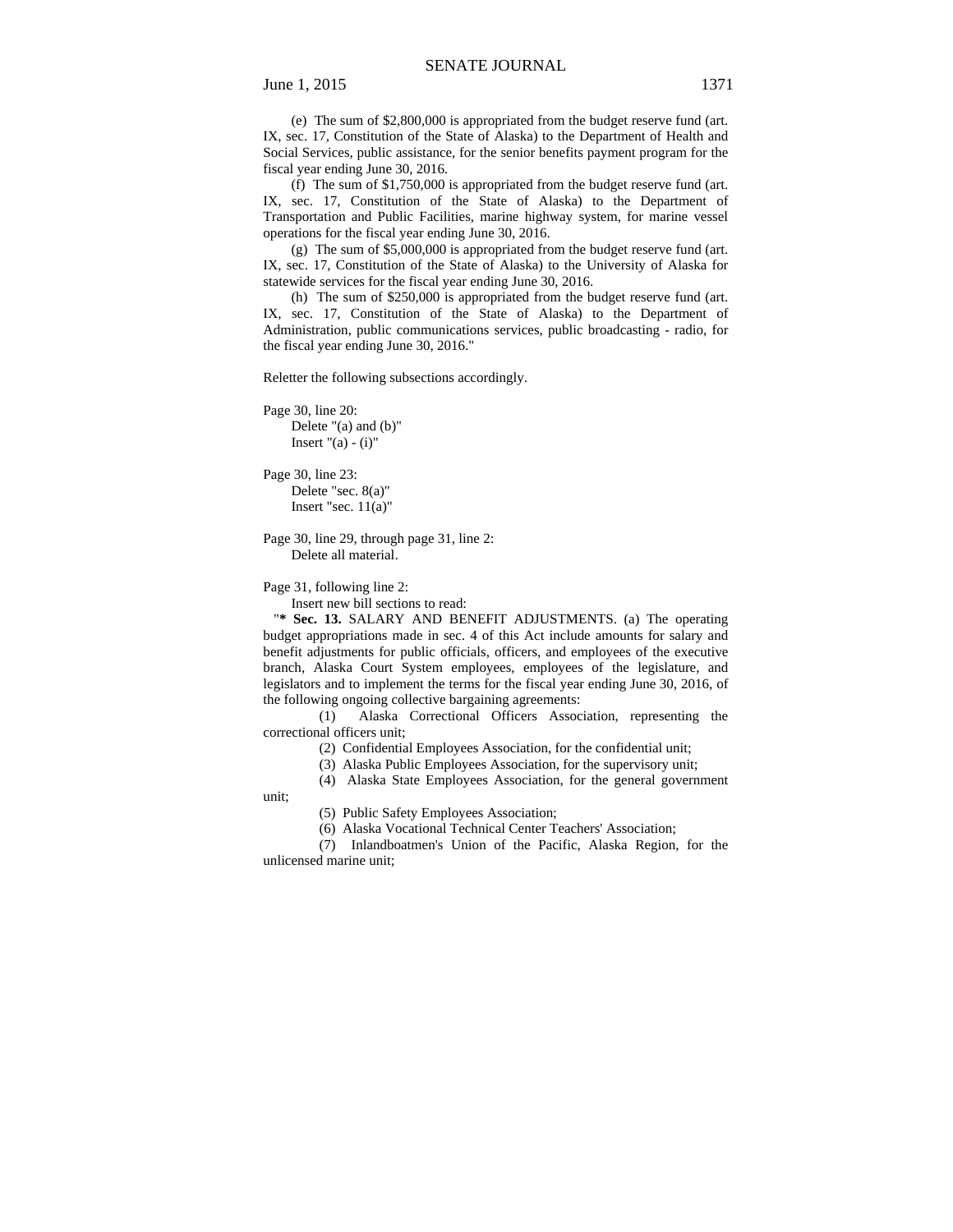(e) The sum of \$2,800,000 is appropriated from the budget reserve fund (art. IX, sec. 17, Constitution of the State of Alaska) to the Department of Health and Social Services, public assistance, for the senior benefits payment program for the fiscal year ending June 30, 2016.

(f) The sum of \$1,750,000 is appropriated from the budget reserve fund (art. IX, sec. 17, Constitution of the State of Alaska) to the Department of Transportation and Public Facilities, marine highway system, for marine vessel operations for the fiscal year ending June 30, 2016.

(g) The sum of \$5,000,000 is appropriated from the budget reserve fund (art. IX, sec. 17, Constitution of the State of Alaska) to the University of Alaska for statewide services for the fiscal year ending June 30, 2016.

(h) The sum of \$250,000 is appropriated from the budget reserve fund (art. IX, sec. 17, Constitution of the State of Alaska) to the Department of Administration, public communications services, public broadcasting - radio, for the fiscal year ending June 30, 2016."

Reletter the following subsections accordingly.

Page 30, line 20: Delete "(a) and (b)" Insert " $(a) - (i)$ "

Page 30, line 23: Delete "sec. 8(a)" Insert "sec. 11(a)"

Page 30, line 29, through page 31, line 2: Delete all material.

Page 31, following line 2:

Insert new bill sections to read:

"**\* Sec. 13.** SALARY AND BENEFIT ADJUSTMENTS. (a) The operating budget appropriations made in sec. 4 of this Act include amounts for salary and benefit adjustments for public officials, officers, and employees of the executive branch, Alaska Court System employees, employees of the legislature, and legislators and to implement the terms for the fiscal year ending June 30, 2016, of the following ongoing collective bargaining agreements:

(1) Alaska Correctional Officers Association, representing the correctional officers unit;

(2) Confidential Employees Association, for the confidential unit;

(3) Alaska Public Employees Association, for the supervisory unit;

(4) Alaska State Employees Association, for the general government

unit;

(5) Public Safety Employees Association;

(6) Alaska Vocational Technical Center Teachers' Association;

(7) Inlandboatmen's Union of the Pacific, Alaska Region, for the unlicensed marine unit;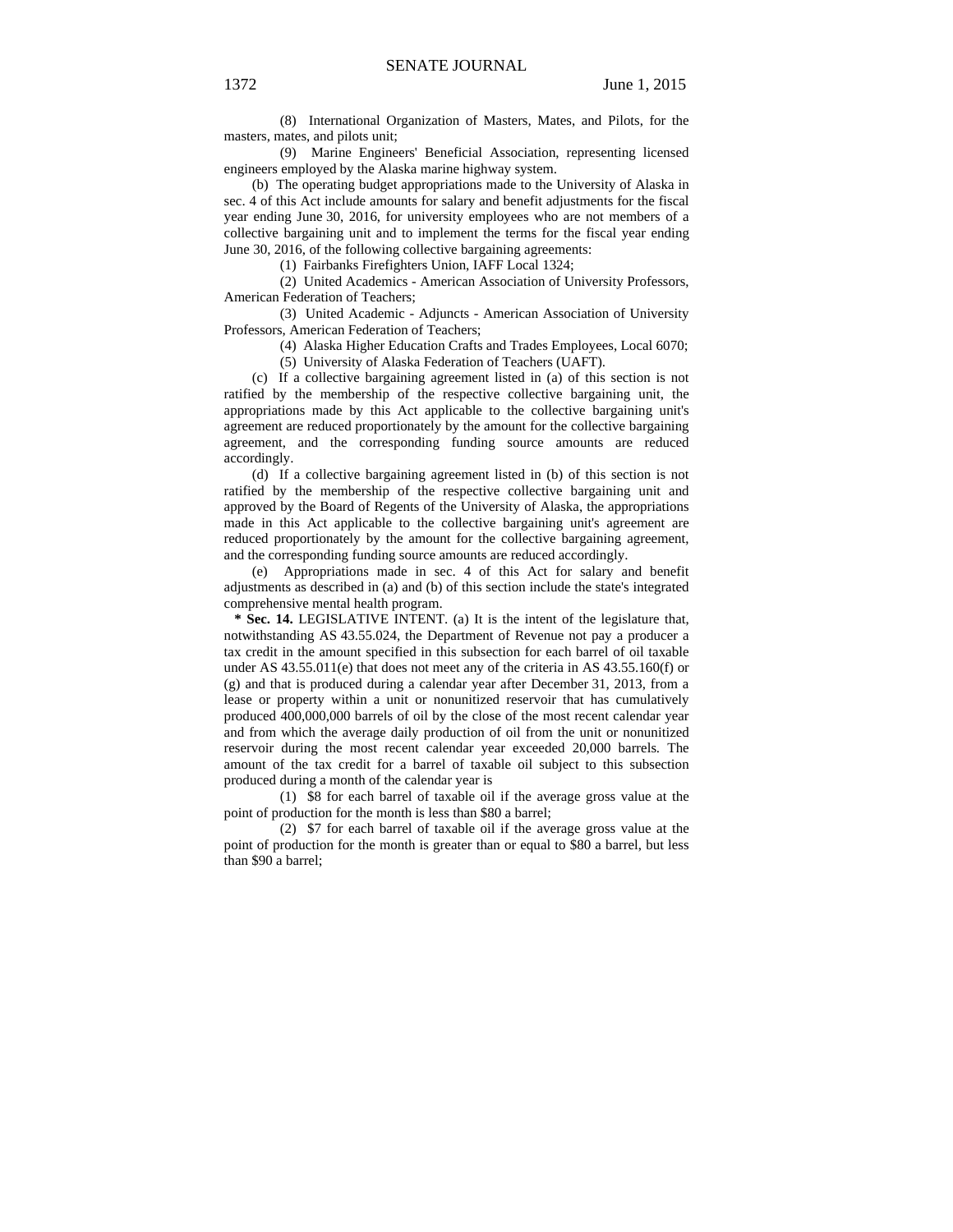(8) International Organization of Masters, Mates, and Pilots, for the masters, mates, and pilots unit;

(9) Marine Engineers' Beneficial Association, representing licensed engineers employed by the Alaska marine highway system.

(b) The operating budget appropriations made to the University of Alaska in sec. 4 of this Act include amounts for salary and benefit adjustments for the fiscal year ending June 30, 2016, for university employees who are not members of a collective bargaining unit and to implement the terms for the fiscal year ending June 30, 2016, of the following collective bargaining agreements:

(1) Fairbanks Firefighters Union, IAFF Local 1324;

(2) United Academics - American Association of University Professors, American Federation of Teachers;

(3) United Academic - Adjuncts - American Association of University Professors, American Federation of Teachers;

(4) Alaska Higher Education Crafts and Trades Employees, Local 6070;

(5) University of Alaska Federation of Teachers (UAFT).

(c) If a collective bargaining agreement listed in (a) of this section is not ratified by the membership of the respective collective bargaining unit, the appropriations made by this Act applicable to the collective bargaining unit's agreement are reduced proportionately by the amount for the collective bargaining agreement, and the corresponding funding source amounts are reduced accordingly.

(d) If a collective bargaining agreement listed in (b) of this section is not ratified by the membership of the respective collective bargaining unit and approved by the Board of Regents of the University of Alaska, the appropriations made in this Act applicable to the collective bargaining unit's agreement are reduced proportionately by the amount for the collective bargaining agreement, and the corresponding funding source amounts are reduced accordingly.

(e) Appropriations made in sec. 4 of this Act for salary and benefit adjustments as described in (a) and (b) of this section include the state's integrated comprehensive mental health program.

 **\* Sec. 14.** LEGISLATIVE INTENT. (a) It is the intent of the legislature that, notwithstanding AS 43.55.024, the Department of Revenue not pay a producer a tax credit in the amount specified in this subsection for each barrel of oil taxable under AS  $43.55.011(e)$  that does not meet any of the criteria in AS  $43.55.160(f)$  or (g) and that is produced during a calendar year after December 31, 2013, from a lease or property within a unit or nonunitized reservoir that has cumulatively produced 400,000,000 barrels of oil by the close of the most recent calendar year and from which the average daily production of oil from the unit or nonunitized reservoir during the most recent calendar year exceeded 20,000 barrels. The amount of the tax credit for a barrel of taxable oil subject to this subsection produced during a month of the calendar year is

(1) \$8 for each barrel of taxable oil if the average gross value at the point of production for the month is less than \$80 a barrel;

(2) \$7 for each barrel of taxable oil if the average gross value at the point of production for the month is greater than or equal to \$80 a barrel, but less than \$90 a barrel;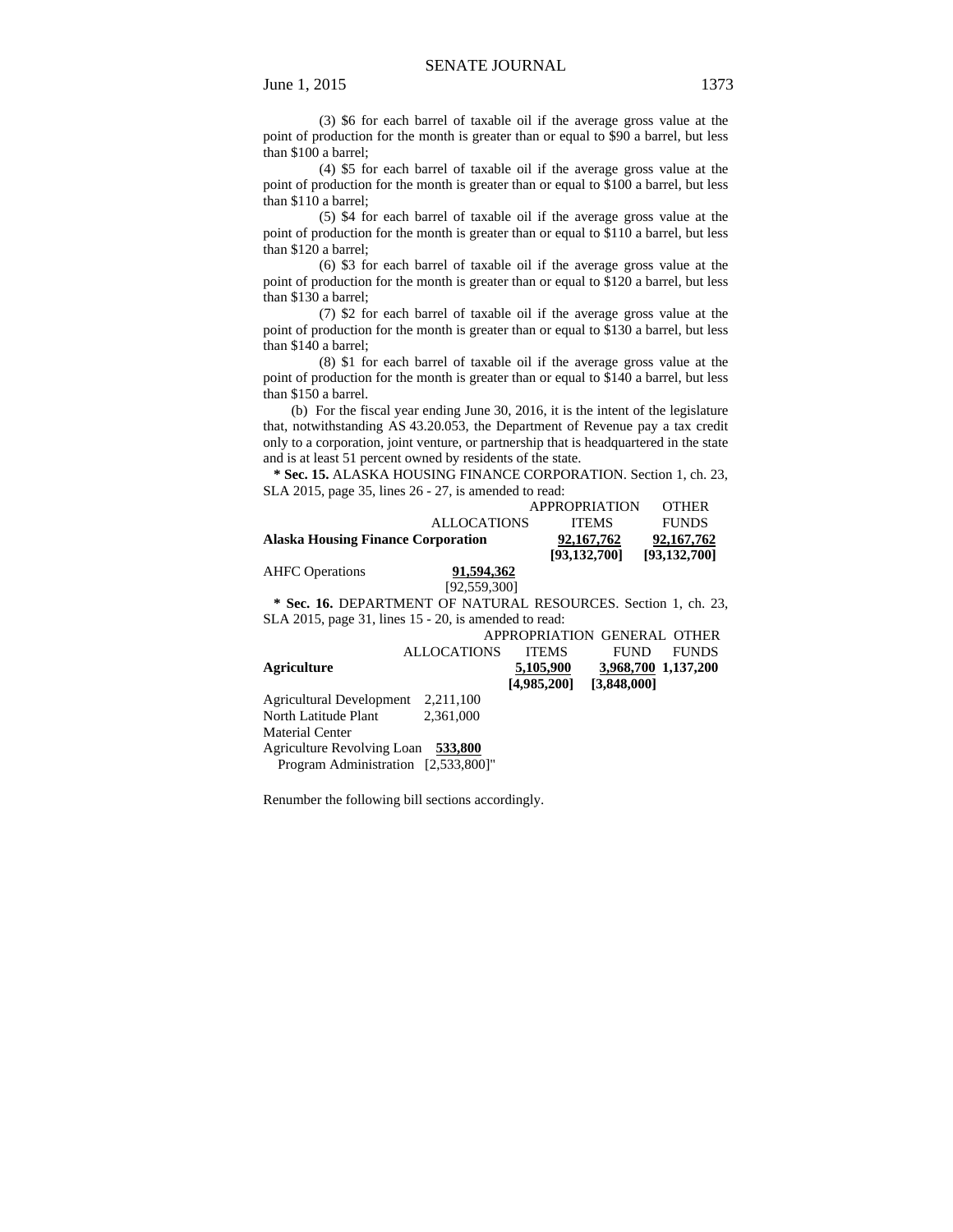(3) \$6 for each barrel of taxable oil if the average gross value at the point of production for the month is greater than or equal to \$90 a barrel, but less than \$100 a barrel;

(4) \$5 for each barrel of taxable oil if the average gross value at the point of production for the month is greater than or equal to \$100 a barrel, but less than \$110 a barrel;

(5) \$4 for each barrel of taxable oil if the average gross value at the point of production for the month is greater than or equal to \$110 a barrel, but less than \$120 a barrel;

(6) \$3 for each barrel of taxable oil if the average gross value at the point of production for the month is greater than or equal to \$120 a barrel, but less than \$130 a barrel;

(7) \$2 for each barrel of taxable oil if the average gross value at the point of production for the month is greater than or equal to \$130 a barrel, but less than \$140 a barrel;

(8) \$1 for each barrel of taxable oil if the average gross value at the point of production for the month is greater than or equal to \$140 a barrel, but less than \$150 a barrel.

(b) For the fiscal year ending June 30, 2016, it is the intent of the legislature that, notwithstanding AS 43.20.053, the Department of Revenue pay a tax credit only to a corporation, joint venture, or partnership that is headquartered in the state and is at least 51 percent owned by residents of the state.

 **\* Sec. 15.** ALASKA HOUSING FINANCE CORPORATION. Section 1, ch. 23, SLA 2015, page 35, lines 26 - 27, is amended to read:

|                                           |                    | <b>APPROPRIATION</b> | <b>OTHER</b>   |
|-------------------------------------------|--------------------|----------------------|----------------|
|                                           | <b>ALLOCATIONS</b> | <b>ITEMS</b>         | <b>FUNDS</b>   |
| <b>Alaska Housing Finance Corporation</b> |                    | 92,167,762           | 92,167,762     |
|                                           |                    | [93,132,700]         | [93, 132, 700] |
| <b>AHFC</b> Operations                    | 91,594,362         |                      |                |
|                                           | [92,559,300]       |                      |                |

 **\* Sec. 16.** DEPARTMENT OF NATURAL RESOURCES. Section 1, ch. 23, SLA 2015, page 31, lines 15 - 20, is amended to read:

|                                     |                    | APPROPRIATION GENERAL OTHER |                     |              |
|-------------------------------------|--------------------|-----------------------------|---------------------|--------------|
|                                     | <b>ALLOCATIONS</b> | <b>ITEMS</b>                | FUND                | <b>FUNDS</b> |
| Agriculture                         |                    | 5,105,900                   | 3,968,700 1,137,200 |              |
|                                     |                    | [4,985,200]                 | [3,848,000]         |              |
| Agricultural Development            | 2,211,100          |                             |                     |              |
| North Latitude Plant                | 2.361,000          |                             |                     |              |
| <b>Material Center</b>              |                    |                             |                     |              |
| Agriculture Revolving Loan 533,800  |                    |                             |                     |              |
| Program Administration [2,533,800]" |                    |                             |                     |              |

Renumber the following bill sections accordingly.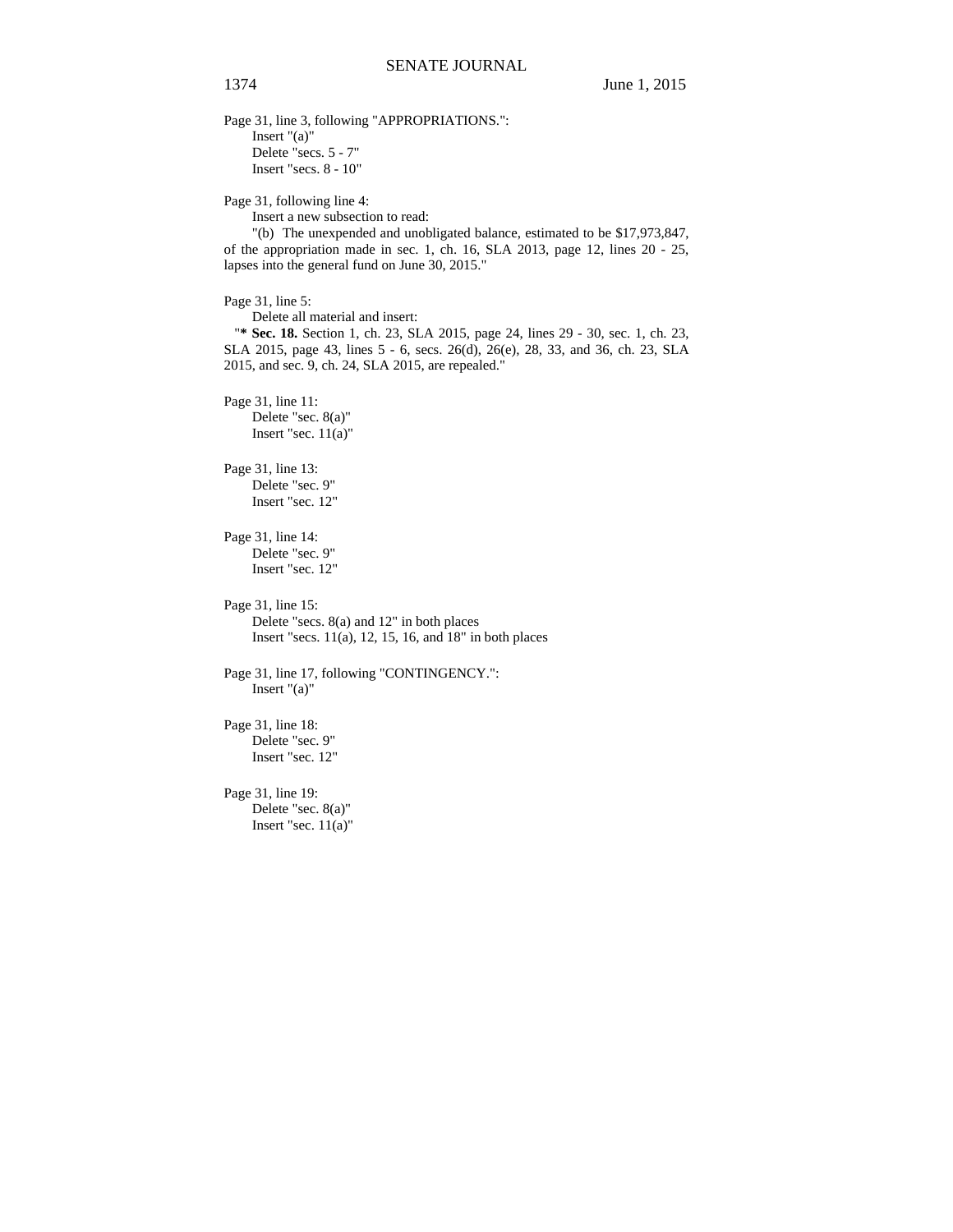Page 31, line 3, following "APPROPRIATIONS.": Insert "(a)" Delete "secs. 5 - 7" Insert "secs. 8 - 10"

Page 31, following line 4:

Insert a new subsection to read:

"(b) The unexpended and unobligated balance, estimated to be \$17,973,847, of the appropriation made in sec. 1, ch. 16, SLA 2013, page 12, lines 20 - 25, lapses into the general fund on June 30, 2015."

Page 31, line 5:

Delete all material and insert:

"**\* Sec. 18.** Section 1, ch. 23, SLA 2015, page 24, lines 29 - 30, sec. 1, ch. 23, SLA 2015, page 43, lines 5 - 6, secs. 26(d), 26(e), 28, 33, and 36, ch. 23, SLA 2015, and sec. 9, ch. 24, SLA 2015, are repealed."

Page 31, line 11: Delete "sec. 8(a)" Insert "sec. 11(a)"

Page 31, line 13: Delete "sec. 9" Insert "sec. 12"

Page 31, line 14: Delete "sec. 9" Insert "sec. 12"

Page 31, line 15: Delete "secs. 8(a) and 12" in both places Insert "secs. 11(a), 12, 15, 16, and 18" in both places

Page 31, line 17, following "CONTINGENCY.": Insert "(a)"

Page 31, line 18: Delete "sec. 9" Insert "sec. 12"

Page 31, line 19: Delete "sec. 8(a)" Insert "sec.  $11(a)$ "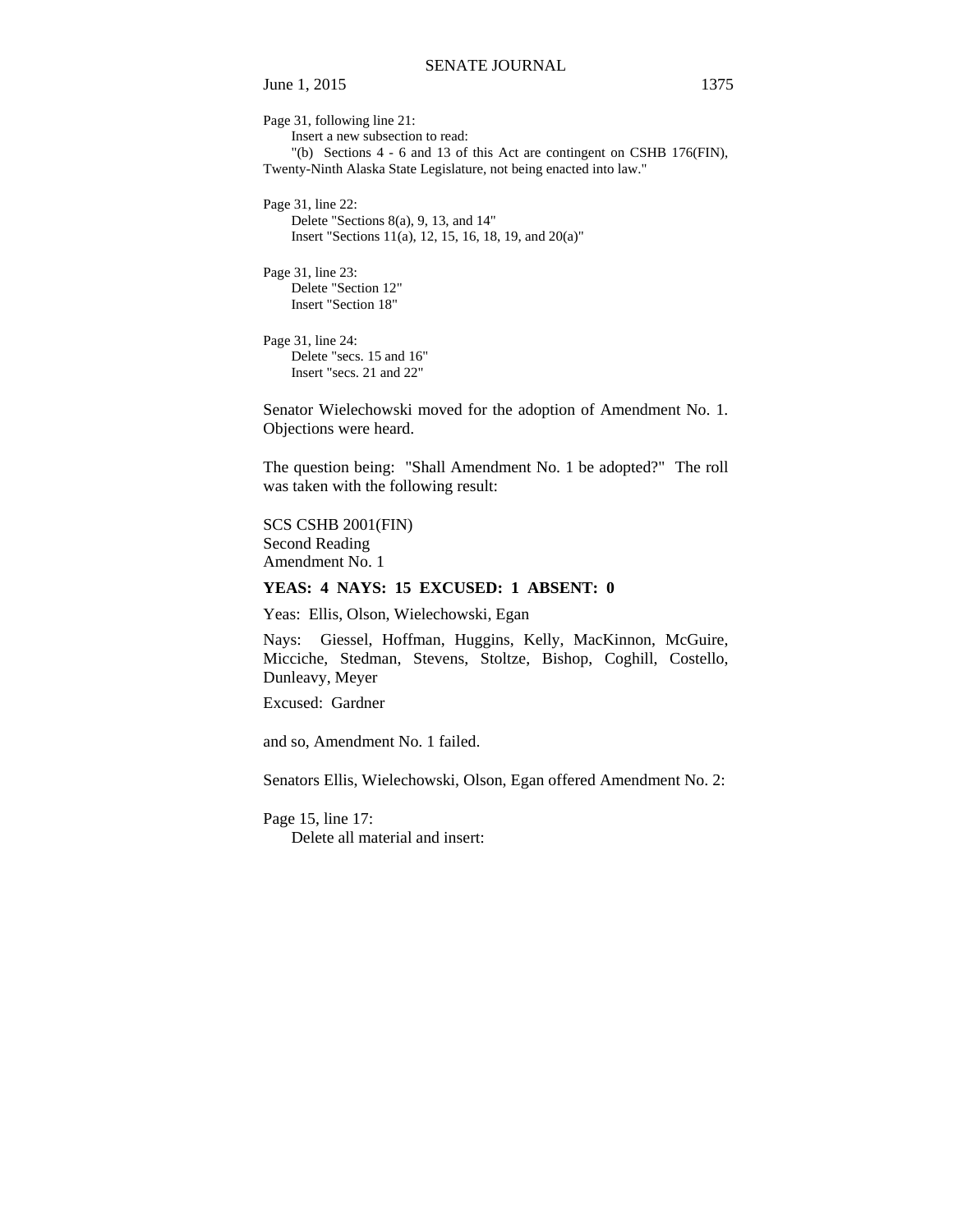Page 31, following line 21: Insert a new subsection to read: "(b) Sections 4 - 6 and 13 of this Act are contingent on CSHB 176(FIN), Twenty-Ninth Alaska State Legislature, not being enacted into law." Page 31, line 22: Delete "Sections 8(a), 9, 13, and 14" Insert "Sections 11(a), 12, 15, 16, 18, 19, and 20(a)"

Page 31, line 23: Delete "Section 12" Insert "Section 18"

Page 31, line 24: Delete "secs. 15 and 16" Insert "secs. 21 and 22"

Senator Wielechowski moved for the adoption of Amendment No. 1. Objections were heard.

The question being: "Shall Amendment No. 1 be adopted?" The roll was taken with the following result:

SCS CSHB 2001(FIN) Second Reading Amendment No. 1

#### **YEAS: 4 NAYS: 15 EXCUSED: 1 ABSENT: 0**

Yeas: Ellis, Olson, Wielechowski, Egan

Nays: Giessel, Hoffman, Huggins, Kelly, MacKinnon, McGuire, Micciche, Stedman, Stevens, Stoltze, Bishop, Coghill, Costello, Dunleavy, Meyer

Excused: Gardner

and so, Amendment No. 1 failed.

Senators Ellis, Wielechowski, Olson, Egan offered Amendment No. 2:

Page 15, line 17:

Delete all material and insert: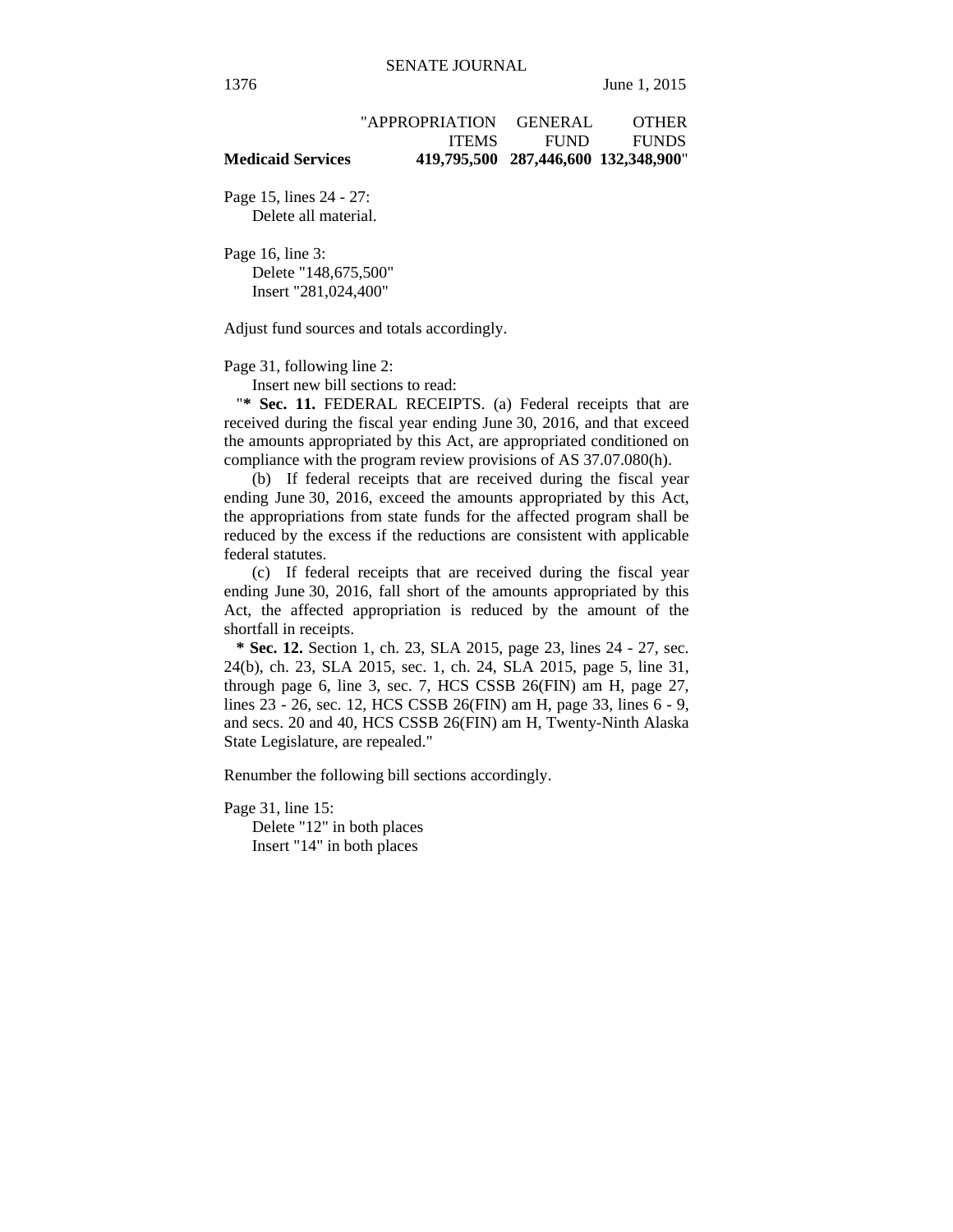| <b>Medicaid Services</b> |                |                | 419,795,500 287,446,600 132,348,900" |
|--------------------------|----------------|----------------|--------------------------------------|
|                          | <b>ITEMS</b>   | <b>FUND</b>    | <b>FUNDS</b>                         |
|                          | "APPROPRIATION | <b>GENERAL</b> | <b>OTHER</b>                         |

Page 15, lines 24 - 27: Delete all material.

Page 16, line 3: Delete "148,675,500" Insert "281,024,400"

Adjust fund sources and totals accordingly.

Page 31, following line 2:

Insert new bill sections to read:

"**\* Sec. 11.** FEDERAL RECEIPTS. (a) Federal receipts that are received during the fiscal year ending June 30, 2016, and that exceed the amounts appropriated by this Act, are appropriated conditioned on compliance with the program review provisions of AS 37.07.080(h).

(b) If federal receipts that are received during the fiscal year ending June 30, 2016, exceed the amounts appropriated by this Act, the appropriations from state funds for the affected program shall be reduced by the excess if the reductions are consistent with applicable federal statutes.

(c) If federal receipts that are received during the fiscal year ending June 30, 2016, fall short of the amounts appropriated by this Act, the affected appropriation is reduced by the amount of the shortfall in receipts.

 **\* Sec. 12.** Section 1, ch. 23, SLA 2015, page 23, lines 24 - 27, sec. 24(b), ch. 23, SLA 2015, sec. 1, ch. 24, SLA 2015, page 5, line 31, through page 6, line 3, sec. 7, HCS CSSB 26(FIN) am H, page 27, lines 23 - 26, sec. 12, HCS CSSB 26(FIN) am H, page 33, lines 6 - 9, and secs. 20 and 40, HCS CSSB 26(FIN) am H, Twenty-Ninth Alaska State Legislature, are repealed."

Renumber the following bill sections accordingly.

Page 31, line 15:

Delete "12" in both places Insert "14" in both places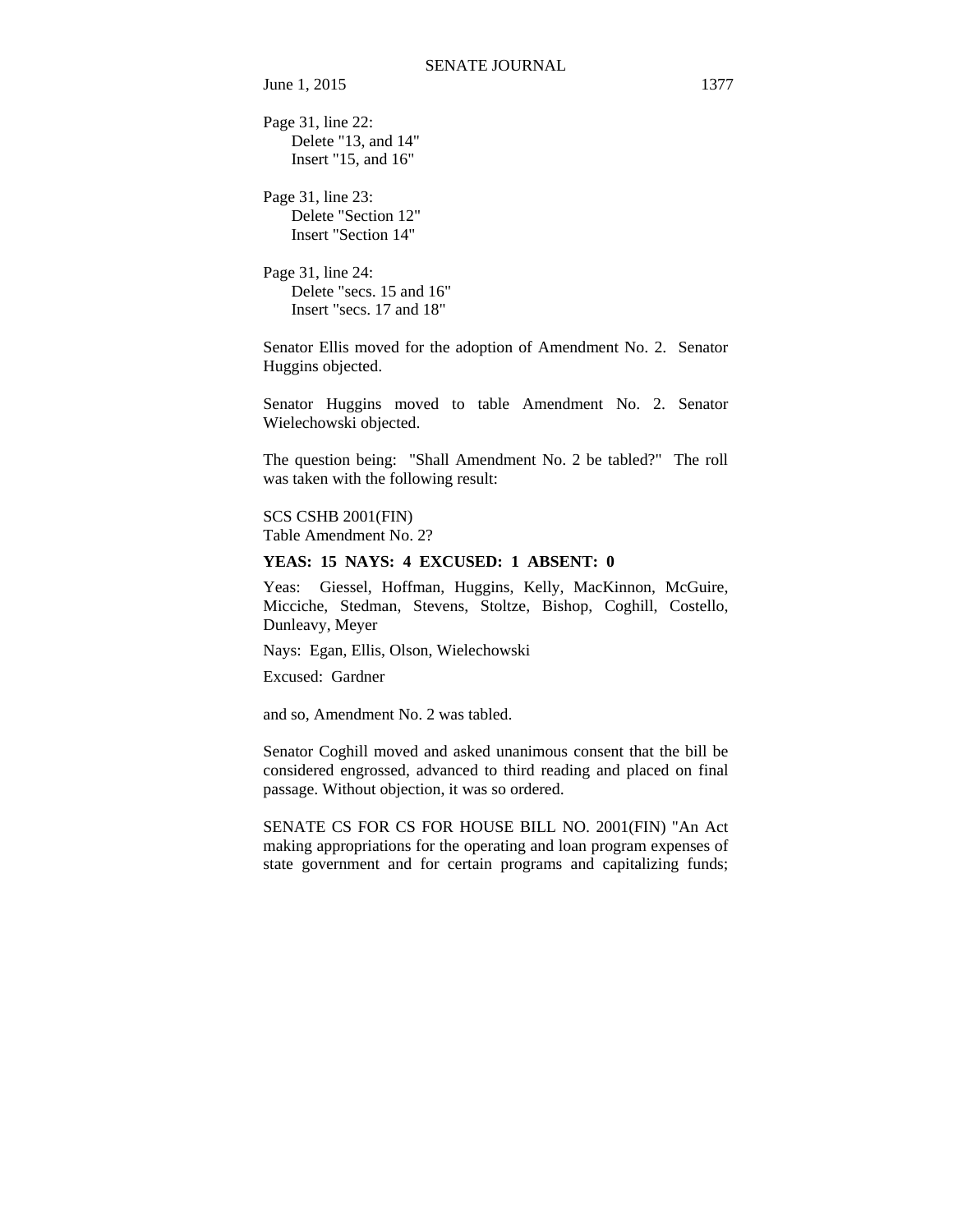Page 31, line 22: Delete "13, and 14" Insert "15, and 16"

Page 31, line 23: Delete "Section 12" Insert "Section 14"

Page 31, line 24: Delete "secs. 15 and 16" Insert "secs. 17 and 18"

Senator Ellis moved for the adoption of Amendment No. 2. Senator Huggins objected.

Senator Huggins moved to table Amendment No. 2. Senator Wielechowski objected.

The question being: "Shall Amendment No. 2 be tabled?" The roll was taken with the following result:

SCS CSHB 2001(FIN) Table Amendment No. 2?

#### **YEAS: 15 NAYS: 4 EXCUSED: 1 ABSENT: 0**

Yeas: Giessel, Hoffman, Huggins, Kelly, MacKinnon, McGuire, Micciche, Stedman, Stevens, Stoltze, Bishop, Coghill, Costello, Dunleavy, Meyer

Nays: Egan, Ellis, Olson, Wielechowski

Excused: Gardner

and so, Amendment No. 2 was tabled.

Senator Coghill moved and asked unanimous consent that the bill be considered engrossed, advanced to third reading and placed on final passage. Without objection, it was so ordered.

SENATE CS FOR CS FOR HOUSE BILL NO. 2001(FIN) "An Act making appropriations for the operating and loan program expenses of state government and for certain programs and capitalizing funds;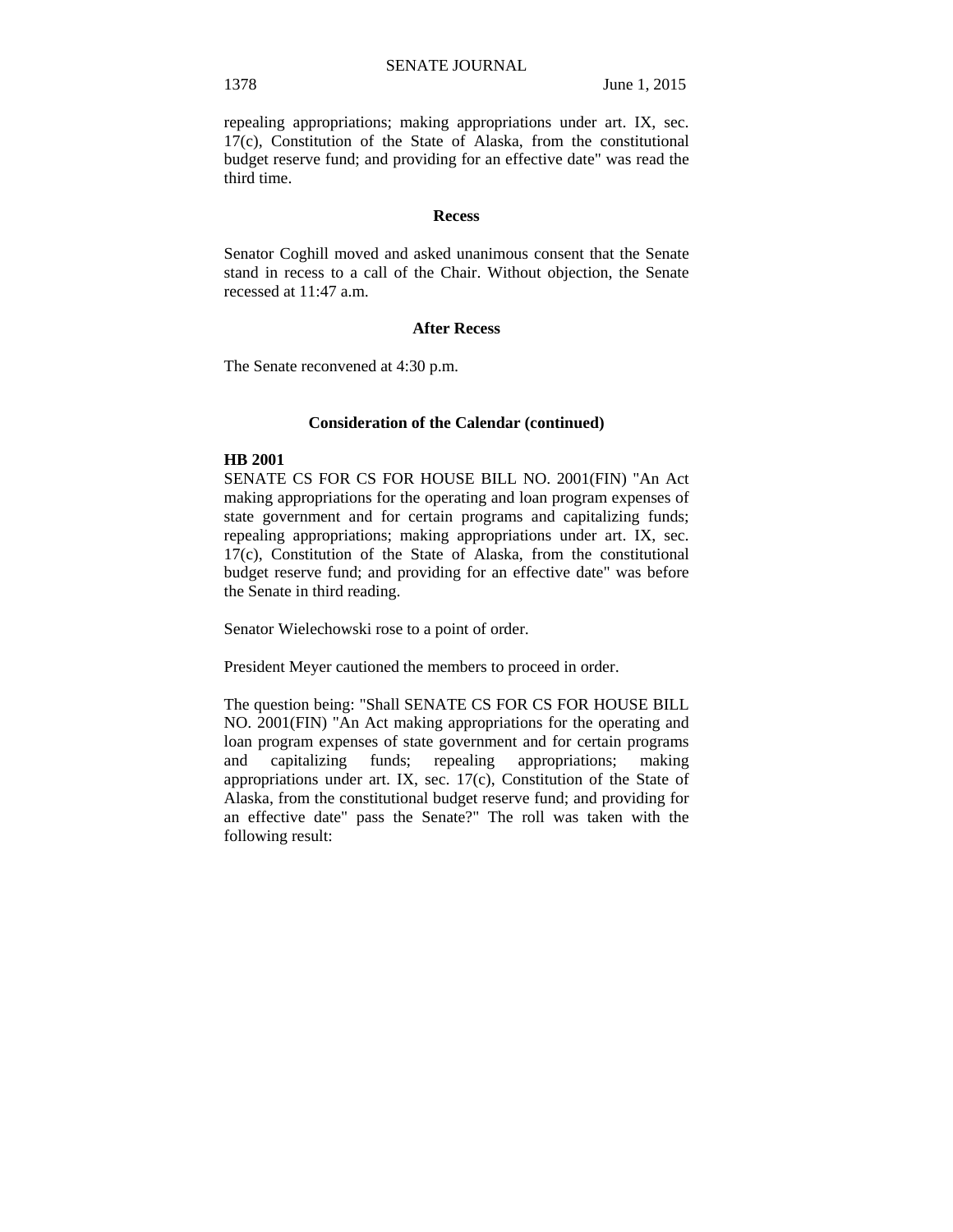repealing appropriations; making appropriations under art. IX, sec. 17(c), Constitution of the State of Alaska, from the constitutional budget reserve fund; and providing for an effective date" was read the third time.

#### **Recess**

Senator Coghill moved and asked unanimous consent that the Senate stand in recess to a call of the Chair. Without objection, the Senate recessed at 11:47 a.m.

#### **After Recess**

The Senate reconvened at 4:30 p.m.

### **Consideration of the Calendar (continued)**

### **HB 2001**

SENATE CS FOR CS FOR HOUSE BILL NO. 2001(FIN) "An Act making appropriations for the operating and loan program expenses of state government and for certain programs and capitalizing funds; repealing appropriations; making appropriations under art. IX, sec. 17(c), Constitution of the State of Alaska, from the constitutional budget reserve fund; and providing for an effective date" was before the Senate in third reading.

Senator Wielechowski rose to a point of order.

President Meyer cautioned the members to proceed in order.

The question being: "Shall SENATE CS FOR CS FOR HOUSE BILL NO. 2001(FIN) "An Act making appropriations for the operating and loan program expenses of state government and for certain programs and capitalizing funds; repealing appropriations; making appropriations under art. IX, sec. 17(c), Constitution of the State of Alaska, from the constitutional budget reserve fund; and providing for an effective date" pass the Senate?" The roll was taken with the following result: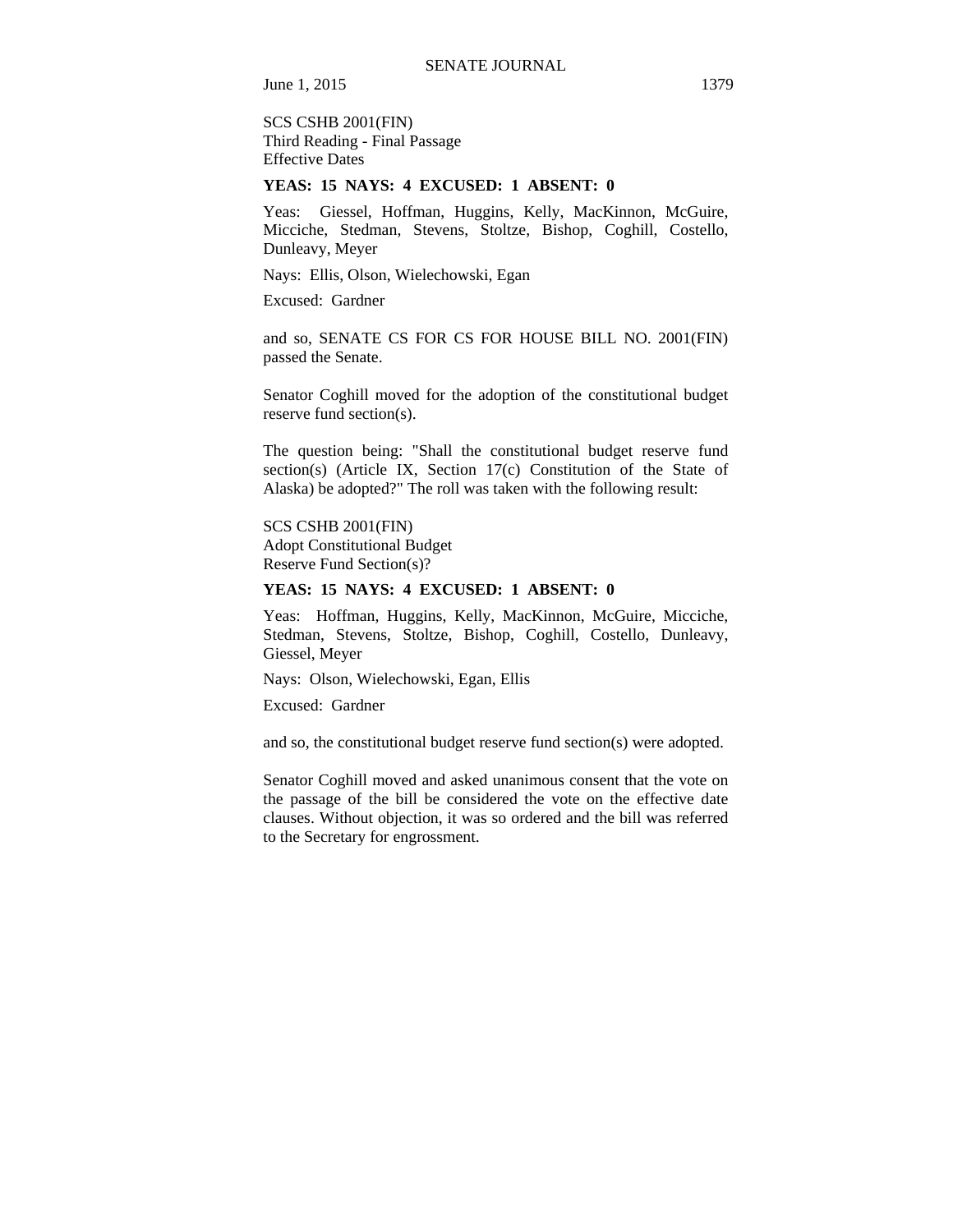SCS CSHB 2001(FIN) Third Reading - Final Passage Effective Dates

#### **YEAS: 15 NAYS: 4 EXCUSED: 1 ABSENT: 0**

Yeas: Giessel, Hoffman, Huggins, Kelly, MacKinnon, McGuire, Micciche, Stedman, Stevens, Stoltze, Bishop, Coghill, Costello, Dunleavy, Meyer

Nays: Ellis, Olson, Wielechowski, Egan

Excused: Gardner

and so, SENATE CS FOR CS FOR HOUSE BILL NO. 2001(FIN) passed the Senate.

Senator Coghill moved for the adoption of the constitutional budget reserve fund section(s).

The question being: "Shall the constitutional budget reserve fund section(s) (Article IX, Section 17(c) Constitution of the State of Alaska) be adopted?" The roll was taken with the following result:

SCS CSHB 2001(FIN)

Adopt Constitutional Budget Reserve Fund Section(s)?

# **YEAS: 15 NAYS: 4 EXCUSED: 1 ABSENT: 0**

Yeas: Hoffman, Huggins, Kelly, MacKinnon, McGuire, Micciche, Stedman, Stevens, Stoltze, Bishop, Coghill, Costello, Dunleavy, Giessel, Meyer

Nays: Olson, Wielechowski, Egan, Ellis

Excused: Gardner

and so, the constitutional budget reserve fund section(s) were adopted.

Senator Coghill moved and asked unanimous consent that the vote on the passage of the bill be considered the vote on the effective date clauses. Without objection, it was so ordered and the bill was referred to the Secretary for engrossment.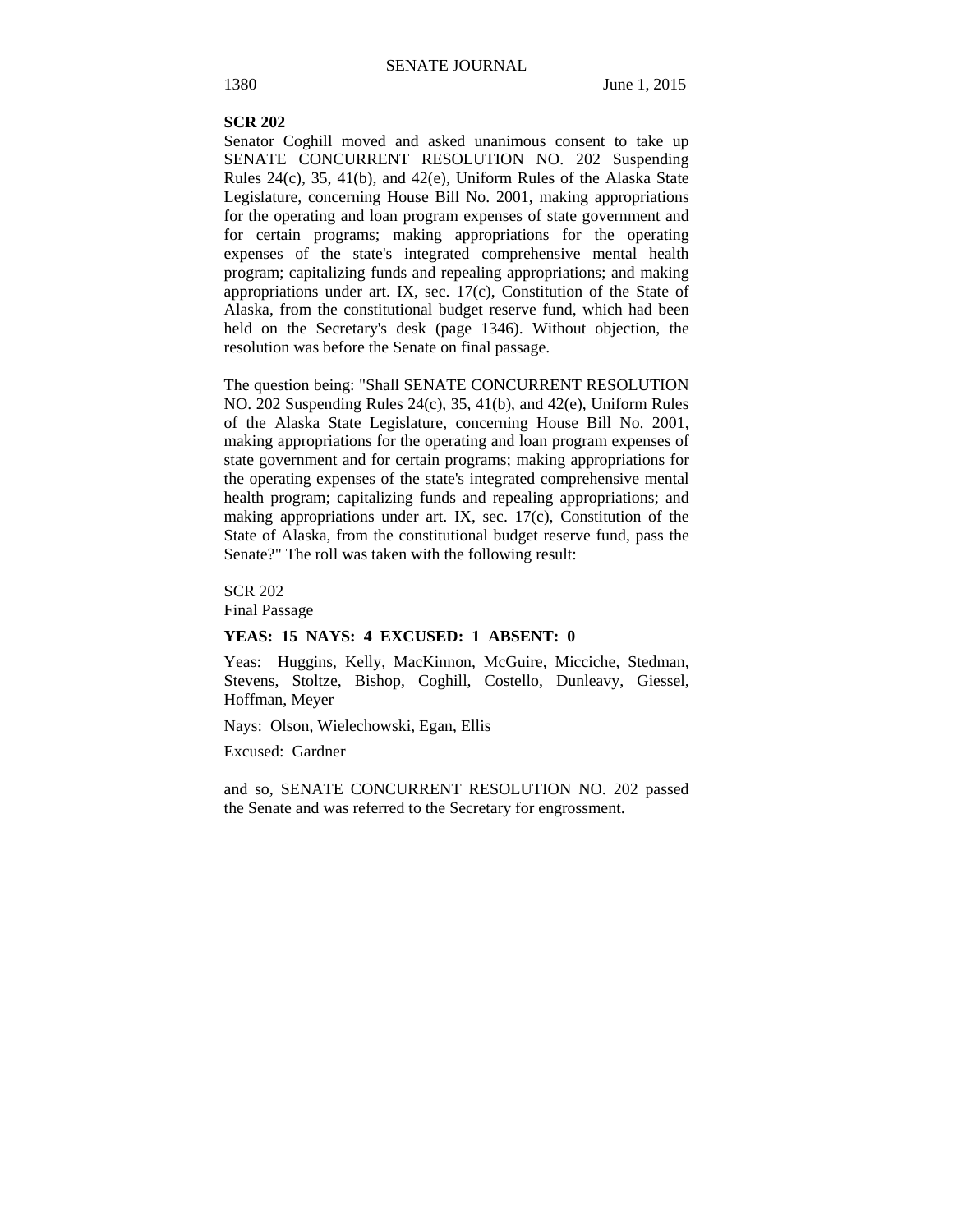#### **SCR 202**

Senator Coghill moved and asked unanimous consent to take up SENATE CONCURRENT RESOLUTION NO. 202 Suspending Rules 24(c), 35, 41(b), and 42(e), Uniform Rules of the Alaska State Legislature, concerning House Bill No. 2001, making appropriations for the operating and loan program expenses of state government and for certain programs; making appropriations for the operating expenses of the state's integrated comprehensive mental health program; capitalizing funds and repealing appropriations; and making appropriations under art. IX, sec. 17(c), Constitution of the State of Alaska, from the constitutional budget reserve fund, which had been held on the Secretary's desk (page 1346). Without objection, the resolution was before the Senate on final passage.

The question being: "Shall SENATE CONCURRENT RESOLUTION NO. 202 Suspending Rules 24(c), 35, 41(b), and 42(e), Uniform Rules of the Alaska State Legislature, concerning House Bill No. 2001, making appropriations for the operating and loan program expenses of state government and for certain programs; making appropriations for the operating expenses of the state's integrated comprehensive mental health program; capitalizing funds and repealing appropriations; and making appropriations under art. IX, sec. 17(c), Constitution of the State of Alaska, from the constitutional budget reserve fund, pass the Senate?" The roll was taken with the following result:

### SCR 202

Final Passage

#### **YEAS: 15 NAYS: 4 EXCUSED: 1 ABSENT: 0**

Yeas: Huggins, Kelly, MacKinnon, McGuire, Micciche, Stedman, Stevens, Stoltze, Bishop, Coghill, Costello, Dunleavy, Giessel, Hoffman, Meyer

Nays: Olson, Wielechowski, Egan, Ellis

Excused: Gardner

and so, SENATE CONCURRENT RESOLUTION NO. 202 passed the Senate and was referred to the Secretary for engrossment.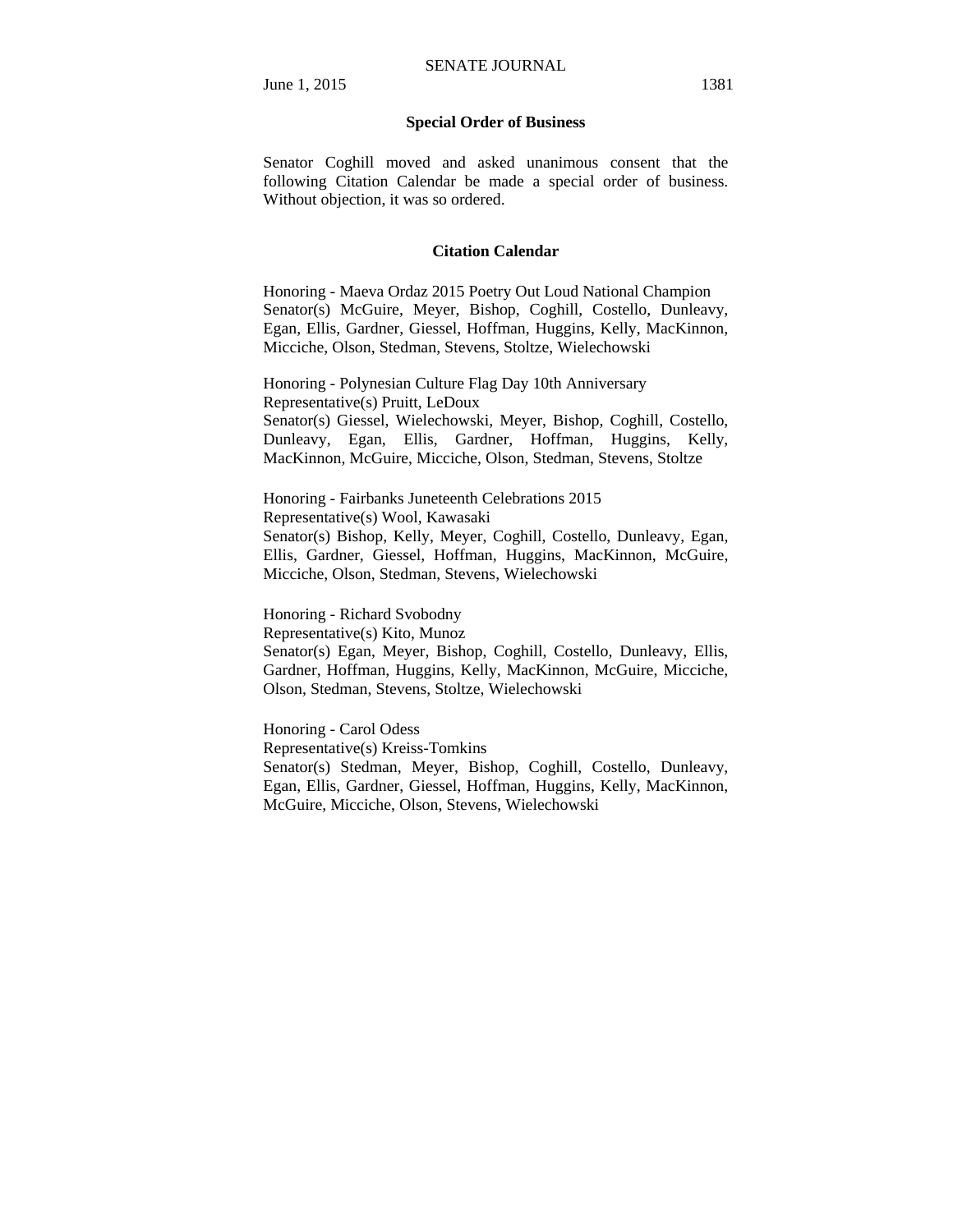## **Special Order of Business**

Senator Coghill moved and asked unanimous consent that the following Citation Calendar be made a special order of business. Without objection, it was so ordered.

## **Citation Calendar**

Honoring - Maeva Ordaz 2015 Poetry Out Loud National Champion Senator(s) McGuire, Meyer, Bishop, Coghill, Costello, Dunleavy, Egan, Ellis, Gardner, Giessel, Hoffman, Huggins, Kelly, MacKinnon, Micciche, Olson, Stedman, Stevens, Stoltze, Wielechowski

Honoring - Polynesian Culture Flag Day 10th Anniversary Representative(s) Pruitt, LeDoux Senator(s) Giessel, Wielechowski, Meyer, Bishop, Coghill, Costello, Dunleavy, Egan, Ellis, Gardner, Hoffman, Huggins, Kelly, MacKinnon, McGuire, Micciche, Olson, Stedman, Stevens, Stoltze

Honoring - Fairbanks Juneteenth Celebrations 2015 Representative(s) Wool, Kawasaki Senator(s) Bishop, Kelly, Meyer, Coghill, Costello, Dunleavy, Egan, Ellis, Gardner, Giessel, Hoffman, Huggins, MacKinnon, McGuire, Micciche, Olson, Stedman, Stevens, Wielechowski

Honoring - Richard Svobodny

Representative(s) Kito, Munoz Senator(s) Egan, Meyer, Bishop, Coghill, Costello, Dunleavy, Ellis, Gardner, Hoffman, Huggins, Kelly, MacKinnon, McGuire, Micciche, Olson, Stedman, Stevens, Stoltze, Wielechowski

Honoring - Carol Odess Representative(s) Kreiss-Tomkins Senator(s) Stedman, Meyer, Bishop, Coghill, Costello, Dunleavy, Egan, Ellis, Gardner, Giessel, Hoffman, Huggins, Kelly, MacKinnon, McGuire, Micciche, Olson, Stevens, Wielechowski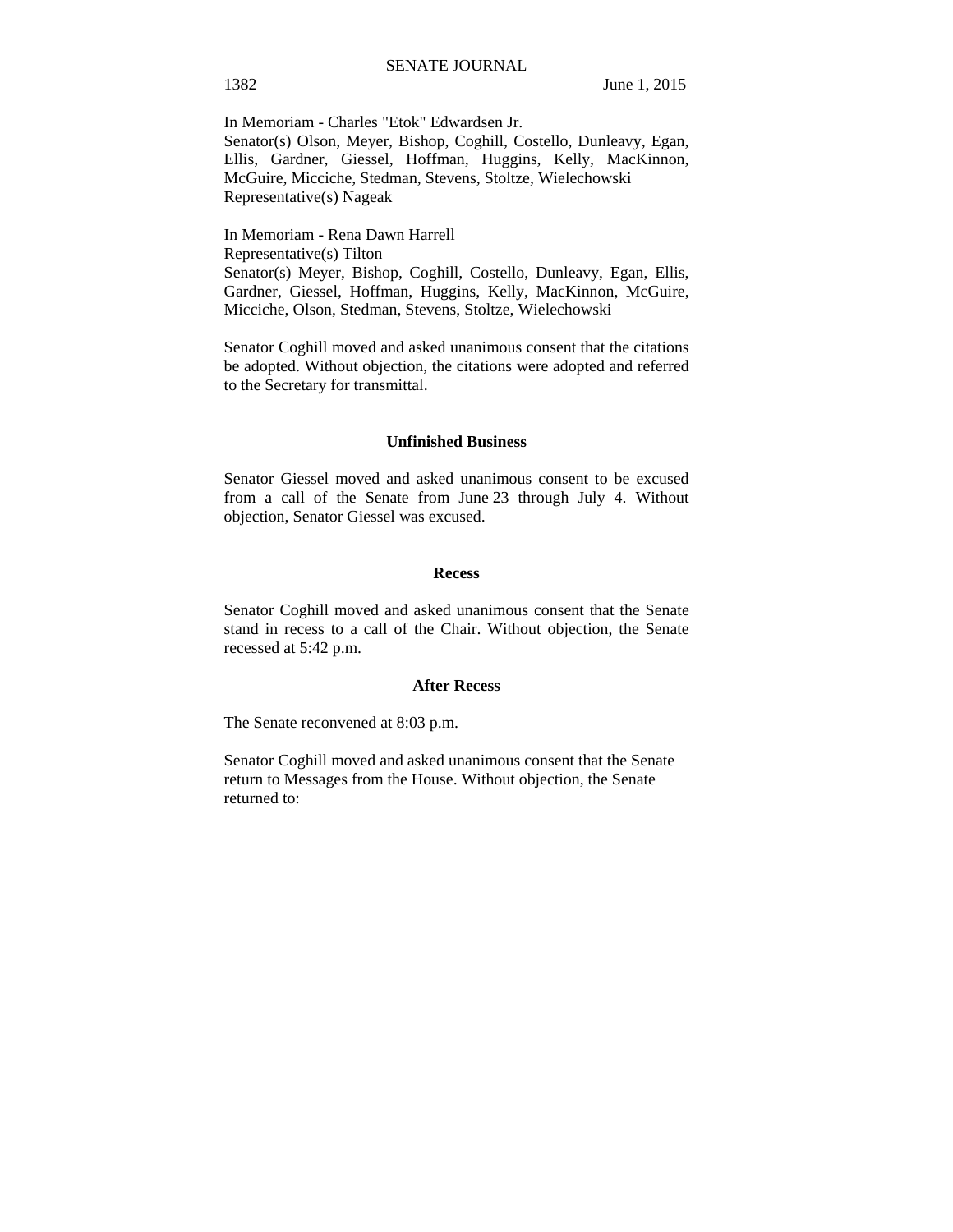In Memoriam - Charles "Etok" Edwardsen Jr. Senator(s) Olson, Meyer, Bishop, Coghill, Costello, Dunleavy, Egan, Ellis, Gardner, Giessel, Hoffman, Huggins, Kelly, MacKinnon, McGuire, Micciche, Stedman, Stevens, Stoltze, Wielechowski Representative(s) Nageak

In Memoriam - Rena Dawn Harrell Representative(s) Tilton Senator(s) Meyer, Bishop, Coghill, Costello, Dunleavy, Egan, Ellis, Gardner, Giessel, Hoffman, Huggins, Kelly, MacKinnon, McGuire, Micciche, Olson, Stedman, Stevens, Stoltze, Wielechowski

Senator Coghill moved and asked unanimous consent that the citations be adopted. Without objection, the citations were adopted and referred to the Secretary for transmittal.

#### **Unfinished Business**

Senator Giessel moved and asked unanimous consent to be excused from a call of the Senate from June 23 through July 4. Without objection, Senator Giessel was excused.

# **Recess**

Senator Coghill moved and asked unanimous consent that the Senate stand in recess to a call of the Chair. Without objection, the Senate recessed at 5:42 p.m.

# **After Recess**

The Senate reconvened at 8:03 p.m.

Senator Coghill moved and asked unanimous consent that the Senate return to Messages from the House. Without objection, the Senate returned to: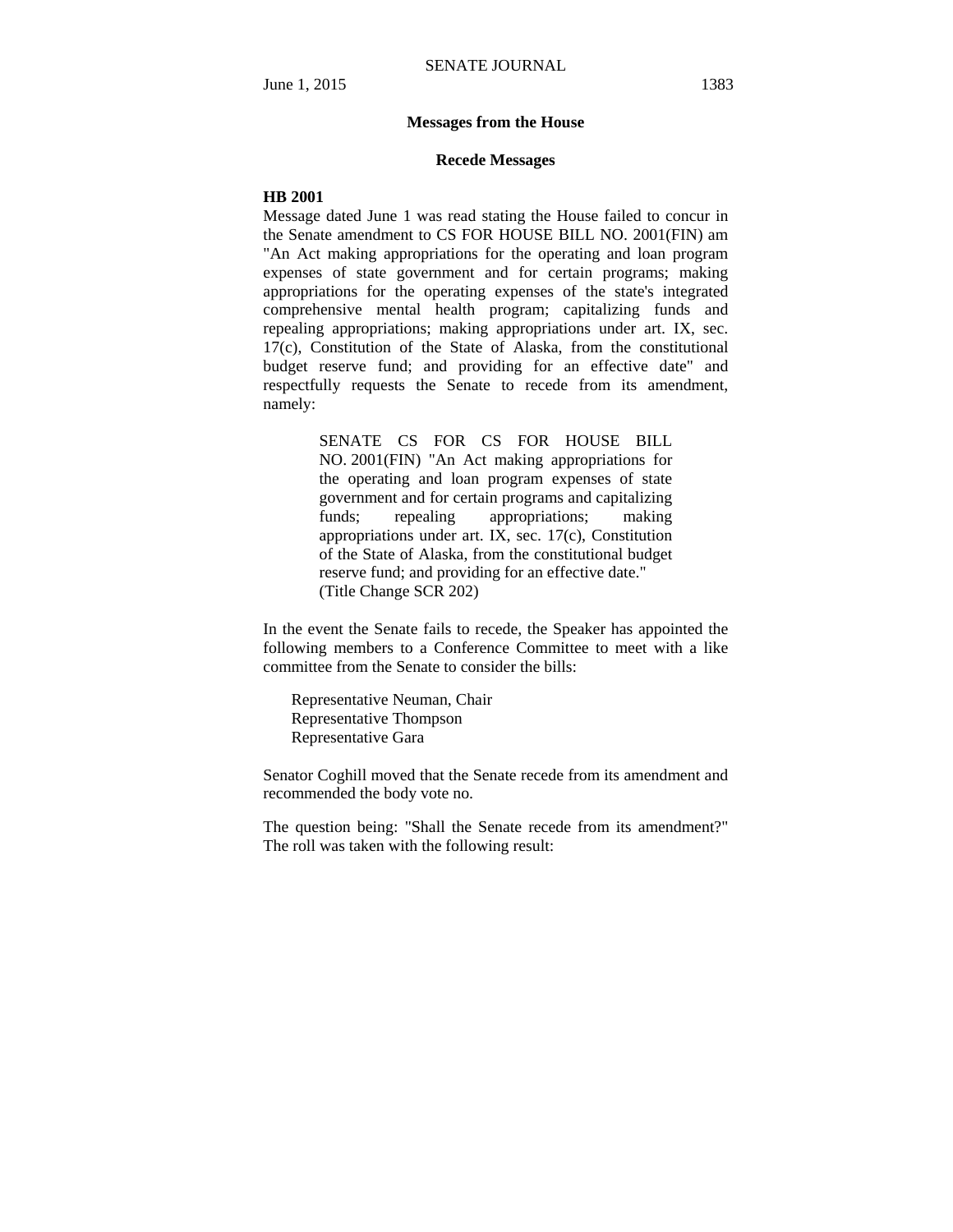#### **Messages from the House**

#### **Recede Messages**

#### **HB 2001**

Message dated June 1 was read stating the House failed to concur in the Senate amendment to CS FOR HOUSE BILL NO. 2001(FIN) am "An Act making appropriations for the operating and loan program expenses of state government and for certain programs; making appropriations for the operating expenses of the state's integrated comprehensive mental health program; capitalizing funds and repealing appropriations; making appropriations under art. IX, sec. 17(c), Constitution of the State of Alaska, from the constitutional budget reserve fund; and providing for an effective date" and respectfully requests the Senate to recede from its amendment, namely:

> SENATE CS FOR CS FOR HOUSE BILL NO. 2001(FIN) "An Act making appropriations for the operating and loan program expenses of state government and for certain programs and capitalizing funds; repealing appropriations; making appropriations under art. IX, sec. 17(c), Constitution of the State of Alaska, from the constitutional budget reserve fund; and providing for an effective date." (Title Change SCR 202)

In the event the Senate fails to recede, the Speaker has appointed the following members to a Conference Committee to meet with a like committee from the Senate to consider the bills:

Representative Neuman, Chair Representative Thompson Representative Gara

Senator Coghill moved that the Senate recede from its amendment and recommended the body vote no.

The question being: "Shall the Senate recede from its amendment?" The roll was taken with the following result: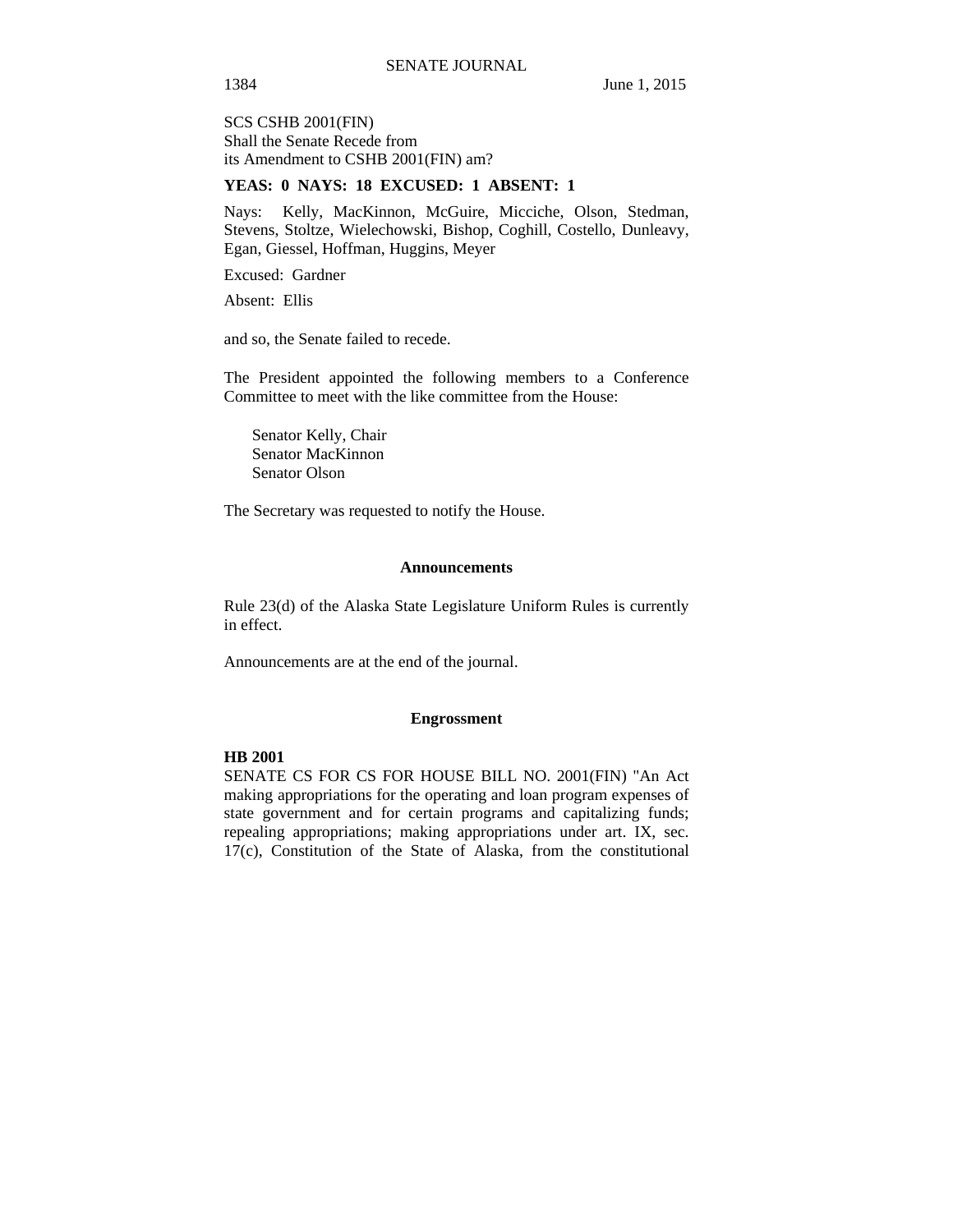SCS CSHB 2001(FIN) Shall the Senate Recede from its Amendment to CSHB 2001(FIN) am?

## **YEAS: 0 NAYS: 18 EXCUSED: 1 ABSENT: 1**

Nays: Kelly, MacKinnon, McGuire, Micciche, Olson, Stedman, Stevens, Stoltze, Wielechowski, Bishop, Coghill, Costello, Dunleavy, Egan, Giessel, Hoffman, Huggins, Meyer

Excused: Gardner

Absent: Ellis

and so, the Senate failed to recede.

The President appointed the following members to a Conference Committee to meet with the like committee from the House:

Senator Kelly, Chair Senator MacKinnon Senator Olson

The Secretary was requested to notify the House.

#### **Announcements**

Rule 23(d) of the Alaska State Legislature Uniform Rules is currently in effect.

Announcements are at the end of the journal.

# **Engrossment**

# **HB 2001**

SENATE CS FOR CS FOR HOUSE BILL NO. 2001(FIN) "An Act making appropriations for the operating and loan program expenses of state government and for certain programs and capitalizing funds; repealing appropriations; making appropriations under art. IX, sec. 17(c), Constitution of the State of Alaska, from the constitutional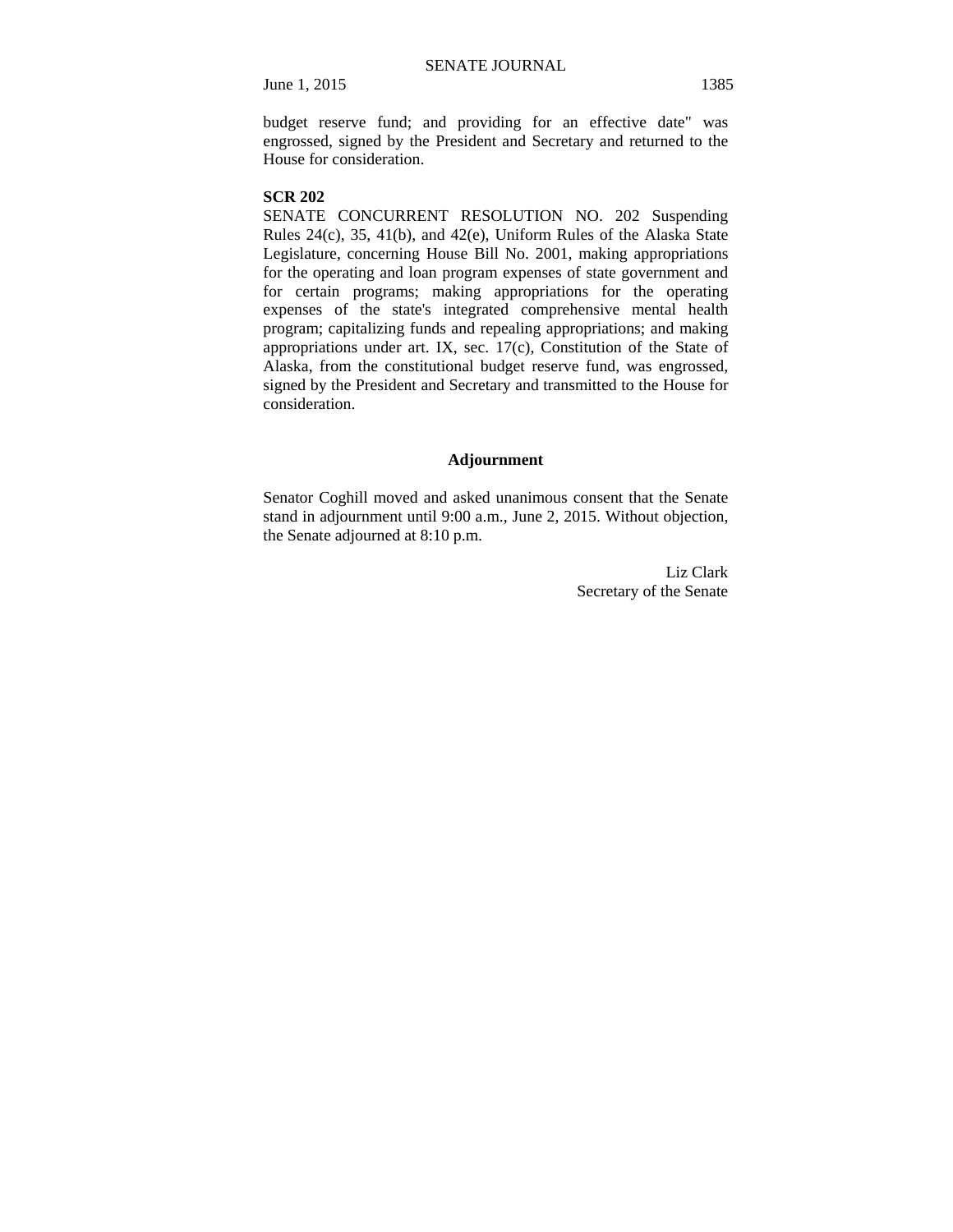budget reserve fund; and providing for an effective date" was engrossed, signed by the President and Secretary and returned to the House for consideration.

#### **SCR 202**

SENATE CONCURRENT RESOLUTION NO. 202 Suspending Rules 24(c), 35, 41(b), and 42(e), Uniform Rules of the Alaska State Legislature, concerning House Bill No. 2001, making appropriations for the operating and loan program expenses of state government and for certain programs; making appropriations for the operating expenses of the state's integrated comprehensive mental health program; capitalizing funds and repealing appropriations; and making appropriations under art. IX, sec. 17(c), Constitution of the State of Alaska, from the constitutional budget reserve fund, was engrossed, signed by the President and Secretary and transmitted to the House for consideration.

## **Adjournment**

Senator Coghill moved and asked unanimous consent that the Senate stand in adjournment until 9:00 a.m., June 2, 2015. Without objection, the Senate adjourned at 8:10 p.m.

> Liz Clark Secretary of the Senate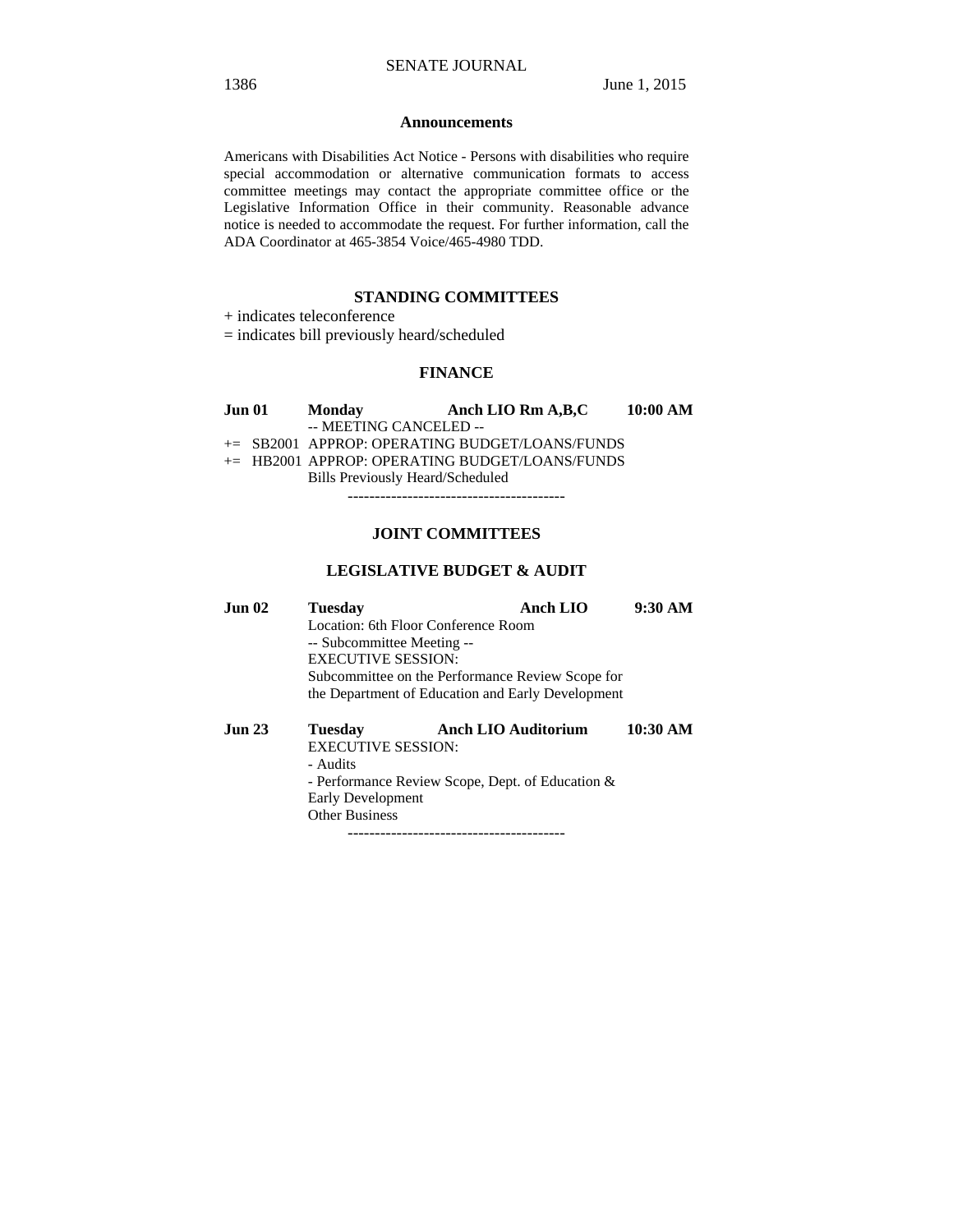#### **Announcements**

Americans with Disabilities Act Notice - Persons with disabilities who require special accommodation or alternative communication formats to access committee meetings may contact the appropriate committee office or the Legislative Information Office in their community. Reasonable advance notice is needed to accommodate the request. For further information, call the ADA Coordinator at 465-3854 Voice/465-4980 TDD.

# **STANDING COMMITTEES**

+ indicates teleconference

= indicates bill previously heard/scheduled

# **FINANCE**

| Jun 01 | <b>Monday</b>                    | Anch LIO Rm A, B, C                               | $10:00~\mathrm{AM}$ |
|--------|----------------------------------|---------------------------------------------------|---------------------|
|        | -- MEETING CANCELED --           |                                                   |                     |
|        |                                  | $\pm$ SB2001 APPROP: OPERATING BUDGET/LOANS/FUNDS |                     |
|        |                                  | $+=$ HB2001 APPROP: OPERATING BUDGET/LOANS/FUNDS  |                     |
|        | Bills Previously Heard/Scheduled |                                                   |                     |

----------------------------------------

# **JOINT COMMITTEES**

## **LEGISLATIVE BUDGET & AUDIT**

| Jun 02 | <b>Tuesday</b>                                    | Anch LIO | 9:30 AM |  |
|--------|---------------------------------------------------|----------|---------|--|
|        | Location: 6th Floor Conference Room               |          |         |  |
|        | -- Subcommittee Meeting --                        |          |         |  |
|        | <b>EXECUTIVE SESSION:</b>                         |          |         |  |
|        | Subcommittee on the Performance Review Scope for  |          |         |  |
|        | the Department of Education and Early Development |          |         |  |
|        |                                                   |          |         |  |

| Jun 23 | Tuesdav                                          | <b>Anch LIO Auditorium</b> | 10:30 AM |
|--------|--------------------------------------------------|----------------------------|----------|
|        | <b>EXECUTIVE SESSION:</b>                        |                            |          |
|        | - Audits                                         |                            |          |
|        | - Performance Review Scope, Dept. of Education & |                            |          |
|        | <b>Early Development</b>                         |                            |          |
|        | <b>Other Business</b>                            |                            |          |
|        |                                                  |                            |          |